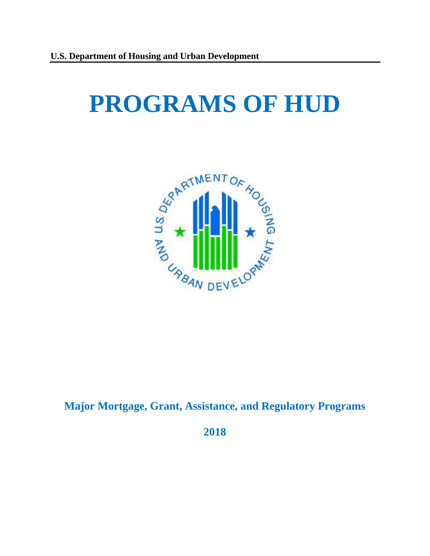# **PROGRAMS OF HUD**



# **Major Mortgage, Grant, Assistance, and Regulatory Programs**

**2018**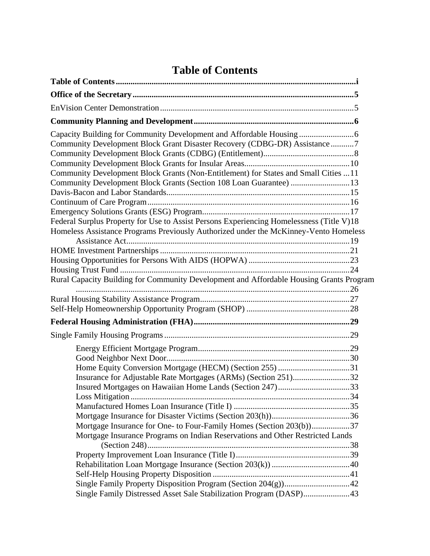# **Table of Contents**

<span id="page-1-0"></span>

| Capacity Building for Community Development and Affordable Housing<br>Community Development Block Grant Disaster Recovery (CDBG-DR) Assistance 7                                 |  |
|----------------------------------------------------------------------------------------------------------------------------------------------------------------------------------|--|
|                                                                                                                                                                                  |  |
| Community Development Block Grants (Non-Entitlement) for States and Small Cities 11                                                                                              |  |
| Community Development Block Grants (Section 108 Loan Guarantee)  13                                                                                                              |  |
|                                                                                                                                                                                  |  |
|                                                                                                                                                                                  |  |
| Federal Surplus Property for Use to Assist Persons Experiencing Homelessness (Title V)18<br>Homeless Assistance Programs Previously Authorized under the McKinney-Vento Homeless |  |
|                                                                                                                                                                                  |  |
|                                                                                                                                                                                  |  |
|                                                                                                                                                                                  |  |
|                                                                                                                                                                                  |  |
| Rural Capacity Building for Community Development and Affordable Housing Grants Program                                                                                          |  |
|                                                                                                                                                                                  |  |
|                                                                                                                                                                                  |  |
|                                                                                                                                                                                  |  |
|                                                                                                                                                                                  |  |
|                                                                                                                                                                                  |  |
|                                                                                                                                                                                  |  |
|                                                                                                                                                                                  |  |
|                                                                                                                                                                                  |  |
|                                                                                                                                                                                  |  |
|                                                                                                                                                                                  |  |
|                                                                                                                                                                                  |  |
|                                                                                                                                                                                  |  |
|                                                                                                                                                                                  |  |
| Mortgage Insurance for One- to Four-Family Homes (Section 203(b))37                                                                                                              |  |
| Mortgage Insurance Programs on Indian Reservations and Other Restricted Lands                                                                                                    |  |
|                                                                                                                                                                                  |  |
|                                                                                                                                                                                  |  |
|                                                                                                                                                                                  |  |
|                                                                                                                                                                                  |  |
| Single Family Distressed Asset Sale Stabilization Program (DASP)43                                                                                                               |  |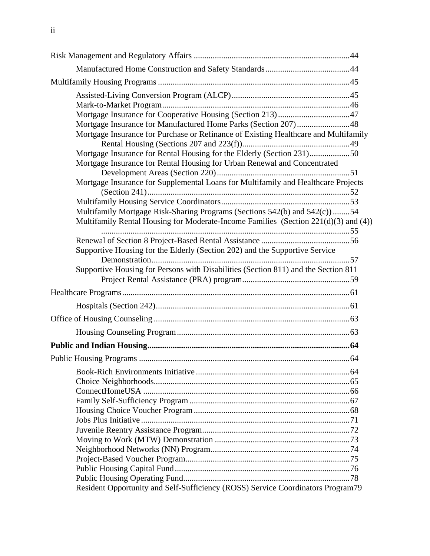| Mortgage Insurance for Purchase or Refinance of Existing Healthcare and Multifamily |  |
|-------------------------------------------------------------------------------------|--|
| Mortgage Insurance for Rental Housing for the Elderly (Section 231)50               |  |
| Mortgage Insurance for Rental Housing for Urban Renewal and Concentrated            |  |
| Mortgage Insurance for Supplemental Loans for Multifamily and Healthcare Projects   |  |
|                                                                                     |  |
|                                                                                     |  |
| Multifamily Mortgage Risk-Sharing Programs (Sections 542(b) and 542(c))54           |  |
| Multifamily Rental Housing for Moderate-Income Families (Section 221(d)(3) and (4)) |  |
|                                                                                     |  |
|                                                                                     |  |
| Supportive Housing for the Elderly (Section 202) and the Supportive Service         |  |
| Supportive Housing for Persons with Disabilities (Section 811) and the Section 811  |  |
|                                                                                     |  |
|                                                                                     |  |
|                                                                                     |  |
|                                                                                     |  |
|                                                                                     |  |
|                                                                                     |  |
|                                                                                     |  |
|                                                                                     |  |
|                                                                                     |  |
|                                                                                     |  |
|                                                                                     |  |
|                                                                                     |  |
|                                                                                     |  |
|                                                                                     |  |
|                                                                                     |  |
|                                                                                     |  |
|                                                                                     |  |
|                                                                                     |  |
| Resident Opportunity and Self-Sufficiency (ROSS) Service Coordinators Program79     |  |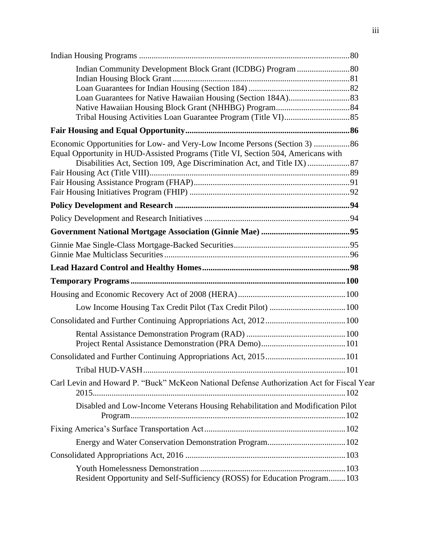| Economic Opportunities for Low- and Very-Low Income Persons (Section 3) 86<br>Equal Opportunity in HUD-Assisted Programs (Title VI, Section 504, Americans with |  |
|-----------------------------------------------------------------------------------------------------------------------------------------------------------------|--|
|                                                                                                                                                                 |  |
|                                                                                                                                                                 |  |
|                                                                                                                                                                 |  |
|                                                                                                                                                                 |  |
|                                                                                                                                                                 |  |
|                                                                                                                                                                 |  |
|                                                                                                                                                                 |  |
|                                                                                                                                                                 |  |
|                                                                                                                                                                 |  |
|                                                                                                                                                                 |  |
|                                                                                                                                                                 |  |
|                                                                                                                                                                 |  |
|                                                                                                                                                                 |  |
|                                                                                                                                                                 |  |
|                                                                                                                                                                 |  |
|                                                                                                                                                                 |  |
|                                                                                                                                                                 |  |
| Carl Levin and Howard P. "Buck" McKeon National Defense Authorization Act for Fiscal Year                                                                       |  |
| Disabled and Low-Income Veterans Housing Rehabilitation and Modification Pilot                                                                                  |  |
|                                                                                                                                                                 |  |
|                                                                                                                                                                 |  |
|                                                                                                                                                                 |  |
| Resident Opportunity and Self-Sufficiency (ROSS) for Education Program 103                                                                                      |  |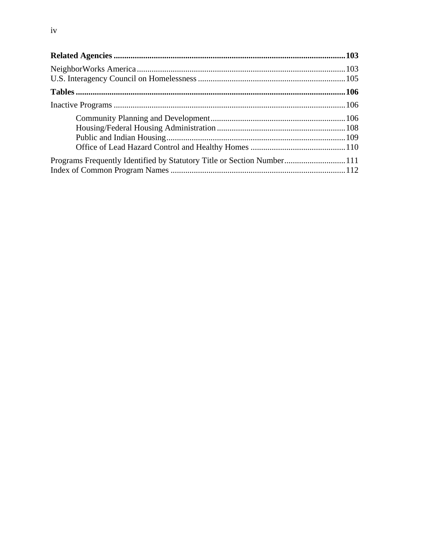| Programs Frequently Identified by Statutory Title or Section Number111 |  |
|------------------------------------------------------------------------|--|
|                                                                        |  |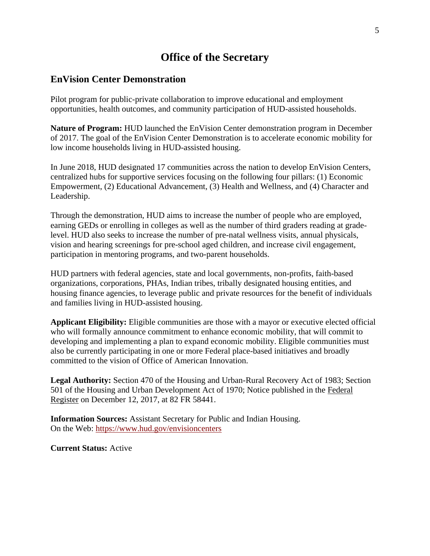# **Office of the Secretary**

#### <span id="page-5-1"></span><span id="page-5-0"></span>**EnVision Center Demonstration**

Pilot program for public-private collaboration to improve educational and employment opportunities, health outcomes, and community participation of HUD-assisted households.

**Nature of Program:** HUD launched the EnVision Center demonstration program in December of 2017. The goal of the EnVision Center Demonstration is to accelerate economic mobility for low income households living in HUD-assisted housing.

In June 2018, HUD designated 17 communities across the nation to develop EnVision Centers, centralized hubs for supportive services focusing on the following four pillars: (1) Economic Empowerment, (2) Educational Advancement, (3) Health and Wellness, and (4) Character and Leadership.

Through the demonstration, HUD aims to increase the number of people who are employed, earning GEDs or enrolling in colleges as well as the number of third graders reading at gradelevel. HUD also seeks to increase the number of pre-natal wellness visits, annual physicals, vision and hearing screenings for pre-school aged children, and increase civil engagement, participation in mentoring programs, and two-parent households.

HUD partners with federal agencies, state and local governments, non-profits, faith-based organizations, corporations, PHAs, Indian tribes, tribally designated housing entities, and housing finance agencies, to leverage public and private resources for the benefit of individuals and families living in HUD-assisted housing.

**Applicant Eligibility:** Eligible communities are those with a mayor or executive elected official who will formally announce commitment to enhance economic mobility, that will commit to developing and implementing a plan to expand economic mobility. Eligible communities must also be currently participating in one or more Federal place-based initiatives and broadly committed to the vision of Office of American Innovation.

**Legal Authority:** Section 470 of the Housing and Urban-Rural Recovery Act of 1983; Section 501 of the Housing and Urban Development Act of 1970; Notice published in the Federal Register on December 12, 2017, at 82 FR 58441.

**Information Sources:** Assistant Secretary for Public and Indian Housing. On the Web:<https://www.hud.gov/envisioncenters>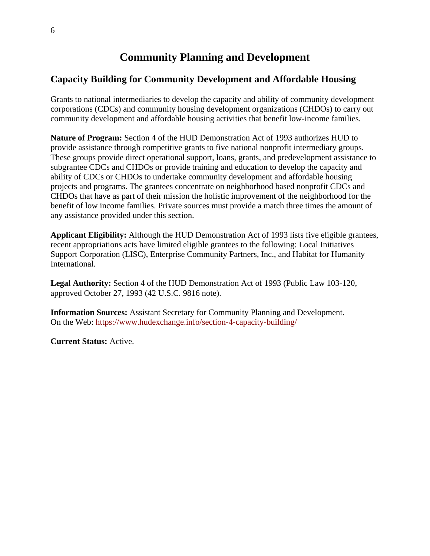# **Community Planning and Development**

# <span id="page-6-1"></span><span id="page-6-0"></span>**Capacity Building for Community Development and Affordable Housing**

Grants to national intermediaries to develop the capacity and ability of community development corporations (CDCs) and community housing development organizations (CHDOs) to carry out community development and affordable housing activities that benefit low-income families.

**Nature of Program:** Section 4 of the HUD Demonstration Act of 1993 authorizes HUD to provide assistance through competitive grants to five national nonprofit intermediary groups. These groups provide direct operational support, loans, grants, and predevelopment assistance to subgrantee CDCs and CHDOs or provide training and education to develop the capacity and ability of CDCs or CHDOs to undertake community development and affordable housing projects and programs. The grantees concentrate on neighborhood based nonprofit CDCs and CHDOs that have as part of their mission the holistic improvement of the neighborhood for the benefit of low income families. Private sources must provide a match three times the amount of any assistance provided under this section.

**Applicant Eligibility:** Although the HUD Demonstration Act of 1993 lists five eligible grantees, recent appropriations acts have limited eligible grantees to the following: Local Initiatives Support Corporation (LISC), Enterprise Community Partners, Inc., and Habitat for Humanity International.

**Legal Authority:** Section 4 of the HUD Demonstration Act of 1993 (Public Law 103-120, approved October 27, 1993 (42 U.S.C. 9816 note).

**Information Sources:** Assistant Secretary for Community Planning and Development. On the Web:<https://www.hudexchange.info/section-4-capacity-building/>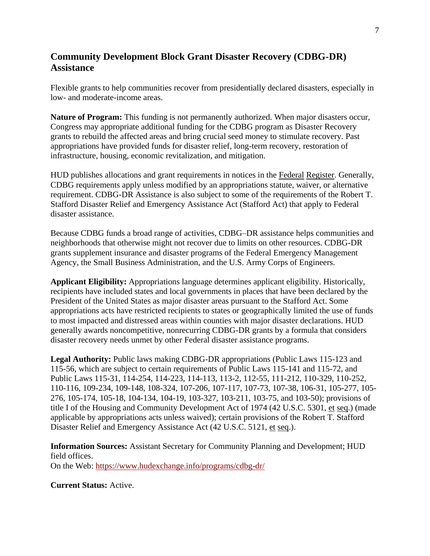# <span id="page-7-0"></span>**Community Development Block Grant Disaster Recovery (CDBG-DR) Assistance**

Flexible grants to help communities recover from presidentially declared disasters, especially in low- and moderate-income areas.

**Nature of Program:** This funding is not permanently authorized. When major disasters occur, Congress may appropriate additional funding for the CDBG program as Disaster Recovery grants to rebuild the affected areas and bring crucial seed money to stimulate recovery. Past appropriations have provided funds for disaster relief, long-term recovery, restoration of infrastructure, housing, economic revitalization, and mitigation.

HUD publishes allocations and grant requirements in notices in the Federal Register. Generally, CDBG requirements apply unless modified by an appropriations statute, waiver, or alternative requirement. CDBG-DR Assistance is also subject to some of the requirements of the Robert T. Stafford Disaster Relief and Emergency Assistance Act (Stafford Act) that apply to Federal disaster assistance.

Because CDBG funds a broad range of activities, CDBG–DR assistance helps communities and neighborhoods that otherwise might not recover due to limits on other resources. CDBG-DR grants supplement insurance and disaster programs of the Federal Emergency Management Agency, the Small Business Administration, and the U.S. Army Corps of Engineers.

**Applicant Eligibility:** Appropriations language determines applicant eligibility. Historically, recipients have included states and local governments in places that have been declared by the President of the United States as major disaster areas pursuant to the Stafford Act. Some appropriations acts have restricted recipients to states or geographically limited the use of funds to most impacted and distressed areas within counties with major disaster declarations. HUD generally awards noncompetitive, nonrecurring CDBG-DR grants by a formula that considers disaster recovery needs unmet by other Federal disaster assistance programs.

**Legal Authority:** Public laws making CDBG-DR appropriations (Public Laws 115-123 and 115-56, which are subject to certain requirements of Public Laws 115-141 and 115-72, and Public Laws 115-31, 114-254, 114-223, 114-113, 113-2, 112-55, 111-212, 110-329, 110-252, 110-116, 109-234, 109-148, 108-324, 107-206, 107-117, 107-73, 107-38, 106-31, 105-277, 105- 276, 105-174, 105-18, 104-134, 104-19, 103-327, 103-211, 103-75, and 103-50); provisions of title I of the Housing and Community Development Act of 1974 (42 U.S.C. 5301, et seq.) (made applicable by appropriations acts unless waived); certain provisions of the Robert T. Stafford Disaster Relief and Emergency Assistance Act (42 U.S.C. 5121, et seq.).

**Information Sources:** Assistant Secretary for Community Planning and Development; HUD field offices. On the Web: https://www.hudexchange.info/programs/cdbg-dr/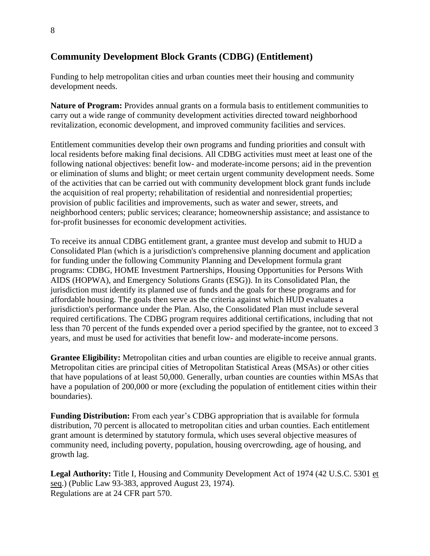# <span id="page-8-0"></span>**Community Development Block Grants (CDBG) (Entitlement)**

Funding to help metropolitan cities and urban counties meet their housing and community development needs.

**Nature of Program:** Provides annual grants on a formula basis to entitlement communities to carry out a wide range of community development activities directed toward neighborhood revitalization, economic development, and improved community facilities and services.

Entitlement communities develop their own programs and funding priorities and consult with local residents before making final decisions. All CDBG activities must meet at least one of the following national objectives: benefit low- and moderate-income persons; aid in the prevention or elimination of slums and blight; or meet certain urgent community development needs. Some of the activities that can be carried out with community development block grant funds include the acquisition of real property; rehabilitation of residential and nonresidential properties; provision of public facilities and improvements, such as water and sewer, streets, and neighborhood centers; public services; clearance; homeownership assistance; and assistance to for-profit businesses for economic development activities.

To receive its annual CDBG entitlement grant, a grantee must develop and submit to HUD a [Consolidated Plan](http://www.hud.gov/offices/cpd/about/conplan/) (which is a jurisdiction's comprehensive planning document and application for funding under the following Community Planning and Development formula grant programs: [CDBG,](http://portal.hud.gov/hudportal/HUD/program_offices/comm_planning/communitydevelopment/programs) [HOME Investment Partnerships,](http://portal.hud.gov/hudportal/HUD/program_offices/comm_planning/affordablehousing/programs/home) Housing Opportunities for Persons With AIDS [\(HOPWA\)](http://portal.hud.gov/hudportal/HUD?src=/program_offices/comm_planning/aidshousing), and Emergency Solutions Grants [\(ESG\)](http://portal.hud.gov/hudportal/HUD?src=/program_offices/comm_planning/homeless/programs/esg)). In its Consolidated Plan, the jurisdiction must identify its planned use of funds and the goals for these programs and for affordable housing. The goals then serve as the criteria against which HUD evaluates a jurisdiction's performance under the Plan. Also, the Consolidated Plan must include several required certifications. The CDBG program requires additional certifications, including that not less than 70 percent of the funds expended over a period specified by the grantee, not to exceed 3 years, and must be used for activities that benefit low- and moderate-income persons.

**Grantee Eligibility:** Metropolitan cities and urban counties are eligible to receive annual grants. Metropolitan cities are principal cities of Metropolitan Statistical Areas (MSAs) or other cities that have populations of at least 50,000. Generally, urban counties are counties within MSAs that have a population of 200,000 or more (excluding the population of entitlement cities within their boundaries).

**Funding Distribution:** From each year's CDBG appropriation that is available for formula distribution, 70 percent is allocated to metropolitan cities and urban counties. Each entitlement grant amount is determined by statutory formula, which uses several objective measures of community need, including poverty, population, housing overcrowding, age of housing, and growth lag.

**Legal Authority:** Title I, Housing and Community Development Act of 1974 (42 U.S.C. 5301 et seq.) (Public Law 93-383, approved August 23, 1974). Regulations are at 24 CFR part 570.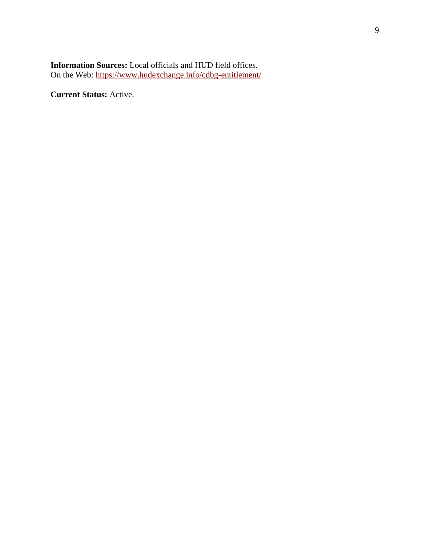#### **Information Sources:** Local officials and HUD field offices. On the Web:<https://www.hudexchange.info/cdbg-entitlement/>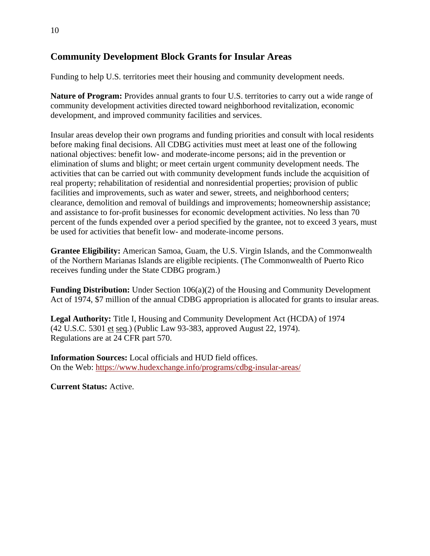# <span id="page-10-0"></span>**Community Development Block Grants for Insular Areas**

Funding to help U.S. territories meet their housing and community development needs.

**Nature of Program:** Provides annual grants to four U.S. territories to carry out a wide range of community development activities directed toward neighborhood revitalization, economic development, and improved community facilities and services.

Insular areas develop their own programs and funding priorities and consult with local residents before making final decisions. All CDBG activities must meet at least one of the following national objectives: benefit low- and moderate-income persons; aid in the prevention or elimination of slums and blight; or meet certain urgent community development needs. The activities that can be carried out with community development funds include the acquisition of real property; rehabilitation of residential and nonresidential properties; provision of public facilities and improvements, such as water and sewer, streets, and neighborhood centers; clearance, demolition and removal of buildings and improvements; homeownership assistance; and assistance to for-profit businesses for economic development activities. No less than 70 percent of the funds expended over a period specified by the grantee, not to exceed 3 years, must be used for activities that benefit low- and moderate-income persons.

**Grantee Eligibility:** American Samoa, Guam, the U.S. Virgin Islands, and the Commonwealth of the Northern Marianas Islands are eligible recipients. (The Commonwealth of Puerto Rico receives funding under the State CDBG program.)

**Funding Distribution:** Under Section 106(a)(2) of the Housing and Community Development Act of 1974, \$7 million of the annual CDBG appropriation is allocated for grants to insular areas.

**Legal Authority:** Title I, Housing and Community Development Act (HCDA) of 1974 (42 U.S.C. 5301 et seq.) (Public Law 93-383, approved August 22, 1974). Regulations are at 24 CFR part 570.

**Information Sources:** Local officials and HUD field offices. On the Web: https://www.hudexchange.info/programs/cdbg-insular-areas/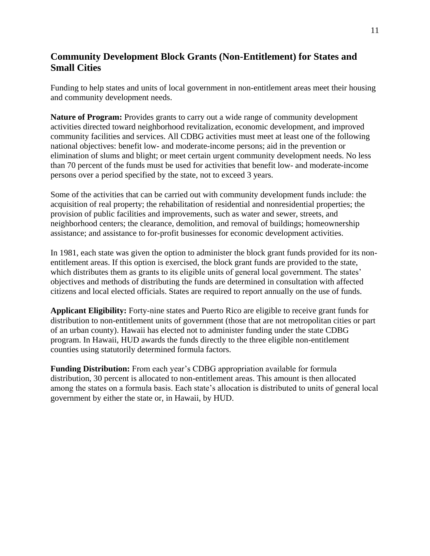# <span id="page-11-0"></span>**Community Development Block Grants (Non-Entitlement) for States and Small Cities**

Funding to help states and units of local government in non-entitlement areas meet their housing and community development needs.

**Nature of Program:** Provides grants to carry out a wide range of community development activities directed toward neighborhood revitalization, economic development, and improved community facilities and services. All CDBG activities must meet at least one of the following national objectives: benefit low- and moderate-income persons; aid in the prevention or elimination of slums and blight; or meet certain urgent community development needs. No less than 70 percent of the funds must be used for activities that benefit low- and moderate-income persons over a period specified by the state, not to exceed 3 years.

Some of the activities that can be carried out with community development funds include: the acquisition of real property; the rehabilitation of residential and nonresidential properties; the provision of public facilities and improvements, such as water and sewer, streets, and neighborhood centers; the clearance, demolition, and removal of buildings; homeownership assistance; and assistance to for-profit businesses for economic development activities.

In 1981, each state was given the option to administer the block grant funds provided for its nonentitlement areas. If this option is exercised, the block grant funds are provided to the state, which distributes them as grants to its eligible units of general local government. The states' objectives and methods of distributing the funds are determined in consultation with affected citizens and local elected officials. States are required to report annually on the use of funds.

**Applicant Eligibility:** Forty-nine states and Puerto Rico are eligible to receive grant funds for distribution to non-entitlement units of government (those that are not metropolitan cities or part of an urban county). Hawaii has elected not to administer funding under the state CDBG program. In Hawaii, HUD awards the funds directly to the three eligible non-entitlement counties using statutorily determined formula factors.

**Funding Distribution:** From each year's CDBG appropriation available for formula distribution, 30 percent is allocated to non-entitlement areas. This amount is then allocated among the states on a formula basis. Each state's allocation is distributed to units of general local government by either the state or, in Hawaii, by HUD.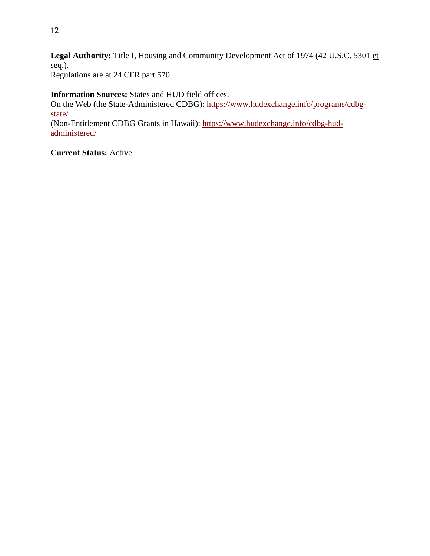Legal Authority: Title I, Housing and Community Development Act of 1974 (42 U.S.C. 5301 et seq.).

Regulations are at 24 CFR part 570.

**Information Sources:** States and HUD field offices. On the Web (the State-Administered CDBG): [https://www.hudexchange.info/programs/cdbg](https://www.hudexchange.info/programs/cdbg-state/)[state/](https://www.hudexchange.info/programs/cdbg-state/) (Non-Entitlement CDBG Grants in Hawaii): [https://www.hudexchange.info/cdbg-hud](https://www.hudexchange.info/cdbg-hud-administered/)[administered/](https://www.hudexchange.info/cdbg-hud-administered/)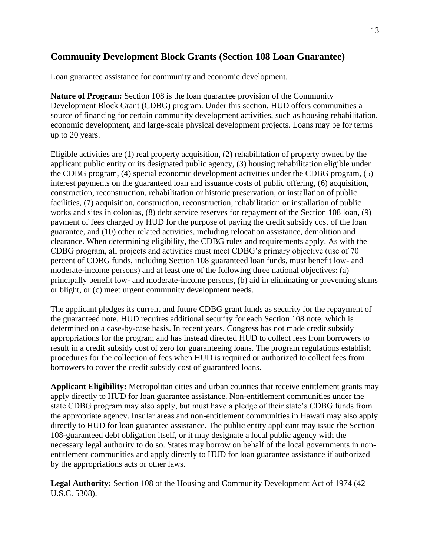# <span id="page-13-0"></span>**Community Development Block Grants (Section 108 Loan Guarantee)**

Loan guarantee assistance for community and economic development.

**Nature of Program:** Section 108 is the loan guarantee provision of the Community Development Block Grant (CDBG) program. Under this section, HUD offers communities a source of financing for certain community development activities, such as housing rehabilitation, economic development, and large-scale physical development projects. Loans may be for terms up to 20 years.

Eligible activities are (1) real property acquisition, (2) rehabilitation of property owned by the applicant public entity or its designated public agency, (3) housing rehabilitation eligible under the CDBG program, (4) special economic development activities under the CDBG program, (5) interest payments on the guaranteed loan and issuance costs of public offering, (6) acquisition, construction, reconstruction, rehabilitation or historic preservation, or installation of public facilities, (7) acquisition, construction, reconstruction, rehabilitation or installation of public works and sites in colonias, (8) debt service reserves for repayment of the Section 108 loan, (9) payment of fees charged by HUD for the purpose of paying the credit subsidy cost of the loan guarantee, and (10) other related activities, including relocation assistance, demolition and clearance. When determining eligibility, the CDBG rules and requirements apply. As with the CDBG program, all projects and activities must meet CDBG's primary objective (use of 70 percent of CDBG funds, including Section 108 guaranteed loan funds, must benefit low- and moderate-income persons) and at least one of the following three national objectives: (a) principally benefit low- and moderate-income persons, (b) aid in eliminating or preventing slums or blight, or (c) meet urgent community development needs.

The applicant pledges its current and future CDBG grant funds as security for the repayment of the guaranteed note. HUD requires additional security for each Section 108 note, which is determined on a case-by-case basis. In recent years, Congress has not made credit subsidy appropriations for the program and has instead directed HUD to collect fees from borrowers to result in a credit subsidy cost of zero for guaranteeing loans. The program regulations establish procedures for the collection of fees when HUD is required or authorized to collect fees from borrowers to cover the credit subsidy cost of guaranteed loans.

**Applicant Eligibility:** Metropolitan cities and urban counties that receive entitlement grants may apply directly to HUD for loan guarantee assistance. Non-entitlement communities under the state CDBG program may also apply, but must have a pledge of their state's CDBG funds from the appropriate agency. Insular areas and non-entitlement communities in Hawaii may also apply directly to HUD for loan guarantee assistance. The public entity applicant may issue the Section 108-guaranteed debt obligation itself, or it may designate a local public agency with the necessary legal authority to do so. States may borrow on behalf of the local governments in nonentitlement communities and apply directly to HUD for loan guarantee assistance if authorized by the appropriations acts or other laws.

**Legal Authority:** Section 108 of the Housing and Community Development Act of 1974 (42 U.S.C. 5308).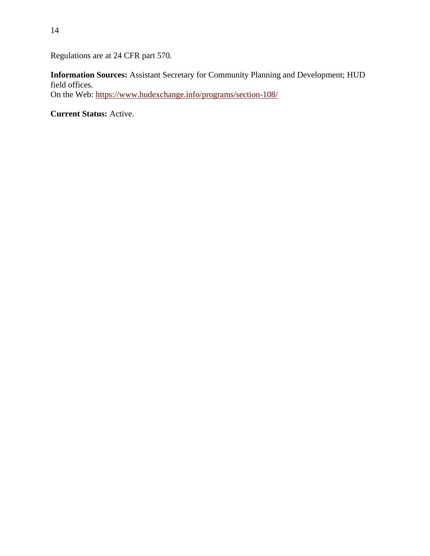Regulations are at 24 CFR part 570.

**Information Sources:** Assistant Secretary for Community Planning and Development; HUD field offices. On the Web: https://www.hudexchange.info/programs/section-108/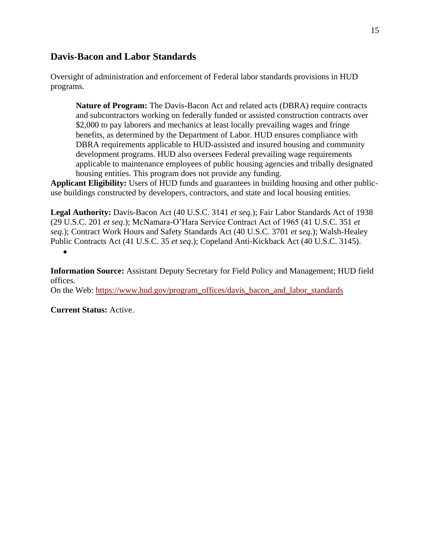## <span id="page-15-0"></span>**Davis-Bacon and Labor Standards**

Oversight of administration and enforcement of Federal labor standards provisions in HUD programs.

**Nature of Program:** The Davis-Bacon Act and related acts (DBRA) require contracts and subcontractors working on federally funded or assisted construction contracts over \$2,000 to pay laborers and mechanics at least locally prevailing wages and fringe benefits, as determined by the Department of Labor. HUD ensures compliance with DBRA requirements applicable to HUD-assisted and insured housing and community development programs. HUD also oversees Federal prevailing wage requirements applicable to maintenance employees of public housing agencies and tribally designated housing entities. This program does not provide any funding.

**Applicant Eligibility:** Users of HUD funds and guarantees in building housing and other publicuse buildings constructed by developers, contractors, and state and local housing entities.

**Legal Authority:** Davis-Bacon Act (40 U.S.C. 3141 *et seq*.); Fair Labor Standards Act of 1938 (29 U.S.C. 201 *et seq*.); McNamara-O'Hara Service Contract Act of 1965 (41 U.S.C. 351 *et seq*.); Contract Work Hours and Safety Standards Act (40 U.S.C. 3701 *et seq*.); Walsh-Healey Public Contracts Act (41 U.S.C. 35 *et seq*.); Copeland Anti-Kickback Act (40 U.S.C. 3145). •

**Information Source:** Assistant Deputy Secretary for Field Policy and Management; HUD field offices.

On the Web: [https://www.hud.gov/program\\_offices/davis\\_bacon\\_and\\_labor\\_standards](https://www.hud.gov/program_offices/davis_bacon_and_labor_standards)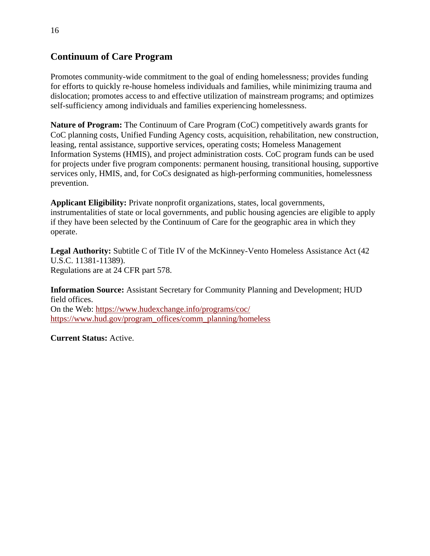# <span id="page-16-0"></span>**Continuum of Care Program**

Promotes community-wide commitment to the goal of ending homelessness; provides funding for efforts to quickly re-house homeless individuals and families, while minimizing trauma and dislocation; promotes access to and effective utilization of mainstream programs; and optimizes self-sufficiency among individuals and families experiencing homelessness.

**Nature of Program:** The Continuum of Care Program (CoC) competitively awards grants for CoC planning costs, Unified Funding Agency costs, acquisition, rehabilitation, new construction, leasing, rental assistance, supportive services, operating costs; Homeless Management Information Systems (HMIS), and project administration costs. CoC program funds can be used for projects under five program components: permanent housing, transitional housing, supportive services only, HMIS, and, for CoCs designated as high-performing communities, homelessness prevention.

**Applicant Eligibility:** Private nonprofit organizations, states, local governments, instrumentalities of state or local governments, and public housing agencies are eligible to apply if they have been selected by the Continuum of Care for the geographic area in which they operate.

**Legal Authority:** Subtitle C of Title IV of the McKinney-Vento Homeless Assistance Act (42 U.S.C. 11381-11389). Regulations are at 24 CFR part 578.

**Information Source:** Assistant Secretary for Community Planning and Development; HUD field offices. On the Web: <https://www.hudexchange.info/programs/coc/> [https://www.hud.gov/program\\_offices/comm\\_planning/homeless](https://www.hud.gov/program_offices/comm_planning/homeless)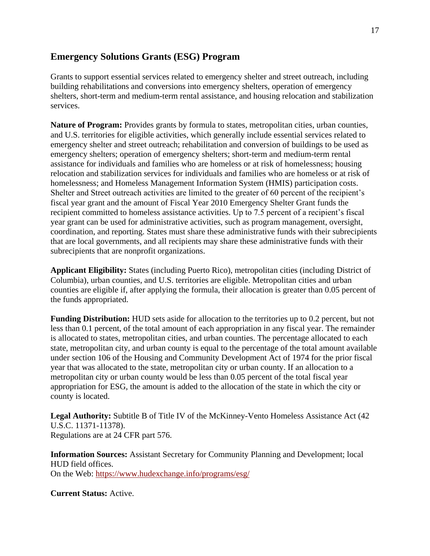## <span id="page-17-0"></span>**Emergency Solutions Grants (ESG) Program**

Grants to support essential services related to emergency shelter and street outreach, including building rehabilitations and conversions into emergency shelters, operation of emergency shelters, short-term and medium-term rental assistance, and housing relocation and stabilization services.

**Nature of Program:** Provides grants by formula to states, metropolitan cities, urban counties, and U.S. territories for eligible activities, which generally include essential services related to emergency shelter and street outreach; rehabilitation and conversion of buildings to be used as emergency shelters; operation of emergency shelters; short-term and medium-term rental assistance for individuals and families who are homeless or at risk of homelessness; housing relocation and stabilization services for individuals and families who are homeless or at risk of homelessness; and Homeless Management Information System (HMIS) participation costs. Shelter and Street outreach activities are limited to the greater of 60 percent of the recipient's fiscal year grant and the amount of Fiscal Year 2010 Emergency Shelter Grant funds the recipient committed to homeless assistance activities. Up to 7.5 percent of a recipient's fiscal year grant can be used for administrative activities, such as program management, oversight, coordination, and reporting. States must share these administrative funds with their subrecipients that are local governments, and all recipients may share these administrative funds with their subrecipients that are nonprofit organizations.

**Applicant Eligibility:** States (including Puerto Rico), metropolitan cities (including District of Columbia), urban counties, and U.S. territories are eligible. Metropolitan cities and urban counties are eligible if, after applying the formula, their allocation is greater than 0.05 percent of the funds appropriated.

**Funding Distribution:** HUD sets aside for allocation to the territories up to 0.2 percent, but not less than 0.1 percent, of the total amount of each appropriation in any fiscal year. The remainder is allocated to states, metropolitan cities, and urban counties. The percentage allocated to each state, metropolitan city, and urban county is equal to the percentage of the total amount available under section 106 of the Housing and Community Development Act of 1974 for the prior fiscal year that was allocated to the state, metropolitan city or urban county. If an allocation to a metropolitan city or urban county would be less than 0.05 percent of the total fiscal year appropriation for ESG, the amount is added to the allocation of the state in which the city or county is located.

Legal Authority: Subtitle B of Title IV of the McKinney-Vento Homeless Assistance Act (42) U.S.C. 11371-11378). Regulations are at 24 CFR part 576.

**Information Sources:** Assistant Secretary for Community Planning and Development; local HUD field offices. On the Web: https://www.hudexchange.info/programs/esg/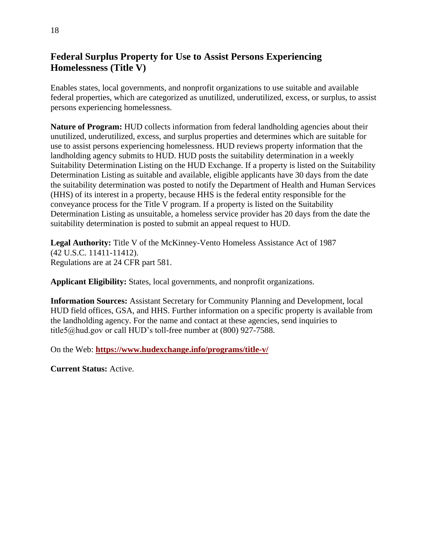# <span id="page-18-0"></span>**Federal Surplus Property for Use to Assist Persons Experiencing Homelessness (Title V)**

Enables states, local governments, and nonprofit organizations to use suitable and available federal properties, which are categorized as unutilized, underutilized, excess, or surplus, to assist persons experiencing homelessness.

**Nature of Program:** HUD collects information from federal landholding agencies about their unutilized, underutilized, excess, and surplus properties and determines which are suitable for use to assist persons experiencing homelessness. HUD reviews property information that the landholding agency submits to HUD. HUD posts the suitability determination in a weekly Suitability Determination Listing on the HUD Exchange. If a property is listed on the Suitability Determination Listing as suitable and available, eligible applicants have 30 days from the date the suitability determination was posted to notify the Department of Health and Human Services (HHS) of its interest in a property, because HHS is the federal entity responsible for the conveyance process for the Title V program. If a property is listed on the Suitability Determination Listing as unsuitable, a homeless service provider has 20 days from the date the suitability determination is posted to submit an appeal request to HUD.

**Legal Authority:** Title V of the McKinney-Vento Homeless Assistance Act of 1987 (42 U.S.C. 11411-11412). Regulations are at 24 CFR part 581.

**Applicant Eligibility:** States, local governments, and nonprofit organizations.

**Information Sources:** Assistant Secretary for Community Planning and Development, local HUD field offices, GSA, and HHS. Further information on a specific property is available from the landholding agency. For the name and contact at these agencies, send inquiries to title5@hud.gov or call HUD's toll-free number at (800) 927-7588.

On the Web: **<https://www.hudexchange.info/programs/title-v/>**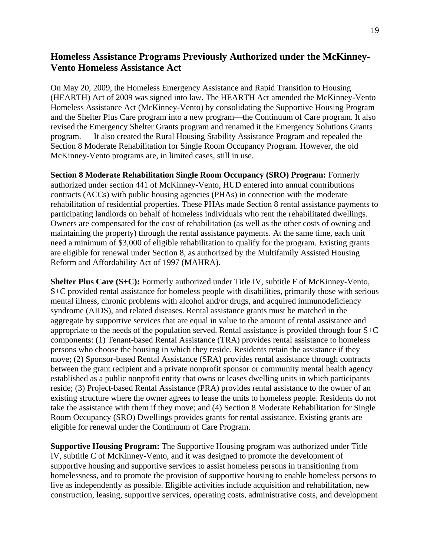# <span id="page-19-0"></span>**Homeless Assistance Programs Previously Authorized under the McKinney-Vento Homeless Assistance Act**

On May 20, 2009, the Homeless Emergency Assistance and Rapid Transition to Housing (HEARTH) Act of 2009 was signed into law. The HEARTH Act amended the McKinney-Vento Homeless Assistance Act (McKinney-Vento) by consolidating the Supportive Housing Program and the Shelter Plus Care program into a new program—the Continuum of Care program. It also revised the Emergency Shelter Grants program and renamed it the Emergency Solutions Grants program.— It also created the Rural Housing Stability Assistance Program and repealed the Section 8 Moderate Rehabilitation for Single Room Occupancy Program. However, the old McKinney-Vento programs are, in limited cases, still in use.

**Section 8 Moderate Rehabilitation Single Room Occupancy (SRO) Program:** Formerly authorized under section 441 of McKinney-Vento, HUD entered into annual contributions contracts (ACCs) with public housing agencies (PHAs) in connection with the moderate rehabilitation of residential properties. These PHAs made Section 8 rental assistance payments to participating landlords on behalf of homeless individuals who rent the rehabilitated dwellings. Owners are compensated for the cost of rehabilitation (as well as the other costs of owning and maintaining the property) through the rental assistance payments. At the same time, each unit need a minimum of \$3,000 of eligible rehabilitation to qualify for the program. Existing grants are eligible for renewal under Section 8, as authorized by the Multifamily Assisted Housing Reform and Affordability Act of 1997 (MAHRA).

**Shelter Plus Care (S+C):** Formerly authorized under Title IV, subtitle F of McKinney-Vento, S+C provided rental assistance for homeless people with disabilities, primarily those with serious mental illness, chronic problems with alcohol and/or drugs, and acquired immunodeficiency syndrome (AIDS), and related diseases. Rental assistance grants must be matched in the aggregate by supportive services that are equal in value to the amount of rental assistance and appropriate to the needs of the population served. Rental assistance is provided through four S+C components: (1) Tenant-based Rental Assistance (TRA) provides rental assistance to homeless persons who choose the housing in which they reside. Residents retain the assistance if they move; (2) Sponsor-based Rental Assistance (SRA) provides rental assistance through contracts between the grant recipient and a private nonprofit sponsor or community mental health agency established as a public nonprofit entity that owns or leases dwelling units in which participants reside; (3) Project-based Rental Assistance (PRA) provides rental assistance to the owner of an existing structure where the owner agrees to lease the units to homeless people. Residents do not take the assistance with them if they move; and (4) Section 8 Moderate Rehabilitation for Single Room Occupancy (SRO) Dwellings provides grants for rental assistance. Existing grants are eligible for renewal under the Continuum of Care Program.

**Supportive Housing Program:** The Supportive Housing program was authorized under Title IV, subtitle C of McKinney-Vento, and it was designed to promote the development of supportive housing and supportive services to assist homeless persons in transitioning from homelessness, and to promote the provision of supportive housing to enable homeless persons to live as independently as possible. Eligible activities include acquisition and rehabilitation, new construction, leasing, supportive services, operating costs, administrative costs, and development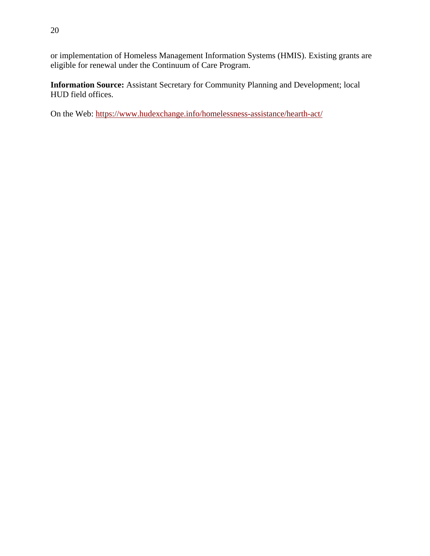or implementation of Homeless Management Information Systems (HMIS). Existing grants are eligible for renewal under the Continuum of Care Program.

**Information Source:** Assistant Secretary for Community Planning and Development; local HUD field offices.

On the Web:<https://www.hudexchange.info/homelessness-assistance/hearth-act/>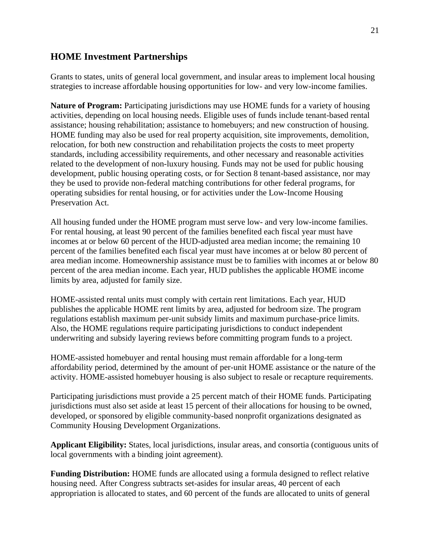#### <span id="page-21-0"></span>**HOME Investment Partnerships**

Grants to states, units of general local government, and insular areas to implement local housing strategies to increase affordable housing opportunities for low- and very low-income families.

**Nature of Program:** Participating jurisdictions may use HOME funds for a variety of housing activities, depending on local housing needs. Eligible uses of funds include tenant-based rental assistance; housing rehabilitation; assistance to homebuyers; and new construction of housing. HOME funding may also be used for real property acquisition, site improvements, demolition, relocation, for both new construction and rehabilitation projects the costs to meet property standards, including accessibility requirements, and other necessary and reasonable activities related to the development of non-luxury housing. Funds may not be used for public housing development, public housing operating costs, or for Section 8 tenant-based assistance, nor may they be used to provide non-federal matching contributions for other federal programs, for operating subsidies for rental housing, or for activities under the Low-Income Housing Preservation Act.

All housing funded under the HOME program must serve low- and very low-income families. For rental housing, at least 90 percent of the families benefited each fiscal year must have incomes at or below 60 percent of the HUD-adjusted area median income; the remaining 10 percent of the families benefited each fiscal year must have incomes at or below 80 percent of area median income. Homeownership assistance must be to families with incomes at or below 80 percent of the area median income. Each year, HUD publishes the applicable HOME income limits by area, adjusted for family size.

HOME-assisted rental units must comply with certain rent limitations. Each year, HUD publishes the applicable HOME rent limits by area, adjusted for bedroom size. The program regulations establish maximum per-unit subsidy limits and maximum purchase-price limits. Also, the HOME regulations require participating jurisdictions to conduct independent underwriting and subsidy layering reviews before committing program funds to a project.

HOME-assisted homebuyer and rental housing must remain affordable for a long-term affordability period, determined by the amount of per-unit HOME assistance or the nature of the activity. HOME-assisted homebuyer housing is also subject to resale or recapture requirements.

Participating jurisdictions must provide a 25 percent match of their HOME funds. Participating jurisdictions must also set aside at least 15 percent of their allocations for housing to be owned, developed, or sponsored by eligible community-based nonprofit organizations designated as Community Housing Development Organizations.

**Applicant Eligibility:** States, local jurisdictions, insular areas, and consortia (contiguous units of local governments with a binding joint agreement).

**Funding Distribution:** HOME funds are allocated using a formula designed to reflect relative housing need. After Congress subtracts set-asides for insular areas, 40 percent of each appropriation is allocated to states, and 60 percent of the funds are allocated to units of general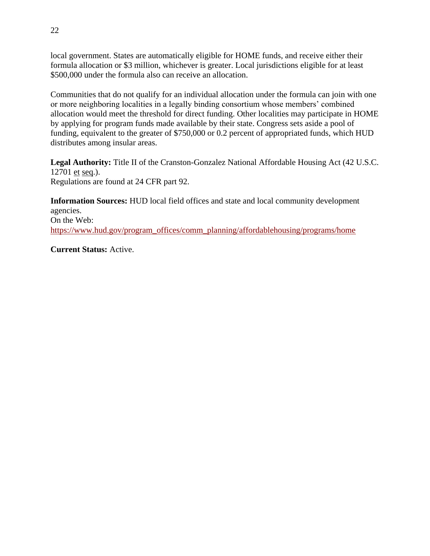local government. States are automatically eligible for HOME funds, and receive either their formula allocation or \$3 million, whichever is greater. Local jurisdictions eligible for at least \$500,000 under the formula also can receive an allocation.

Communities that do not qualify for an individual allocation under the formula can join with one or more neighboring localities in a legally binding consortium whose members' combined allocation would meet the threshold for direct funding. Other localities may participate in HOME by applying for program funds made available by their state. Congress sets aside a pool of funding, equivalent to the greater of \$750,000 or 0.2 percent of appropriated funds, which HUD distributes among insular areas.

**Legal Authority:** Title II of the Cranston-Gonzalez National Affordable Housing Act (42 U.S.C. 12701 et seq.). Regulations are found at 24 CFR part 92.

**Information Sources:** HUD local field offices and state and local community development agencies. On the Web: https://www.hud.gov/program\_offices/comm\_planning/affordablehousing/programs/home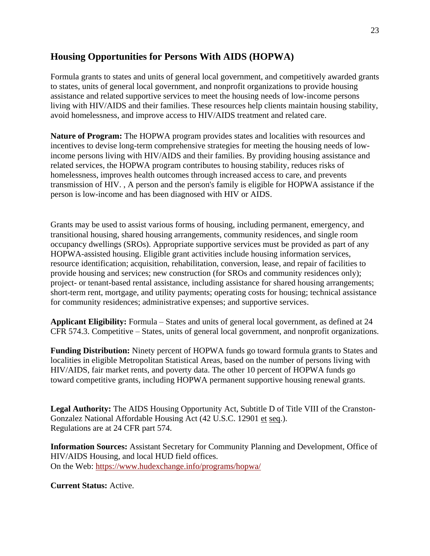# <span id="page-23-0"></span>**Housing Opportunities for Persons With AIDS (HOPWA)**

Formula grants to states and units of general local government, and competitively awarded grants to states, units of general local government, and nonprofit organizations to provide housing assistance and related supportive services to meet the housing needs of low-income persons living with HIV/AIDS and their families. These resources help clients maintain housing stability, avoid homelessness, and improve access to HIV/AIDS treatment and related care.

**Nature of Program:** The HOPWA program provides states and localities with resources and incentives to devise long-term comprehensive strategies for meeting the housing needs of lowincome persons living with HIV/AIDS and their families. By providing housing assistance and related services, the HOPWA program contributes to housing stability, reduces risks of homelessness, improves health outcomes through increased access to care, and prevents transmission of HIV. , A person and the person's family is eligible for HOPWA assistance if the person is low-income and has been diagnosed with HIV or AIDS.

Grants may be used to assist various forms of housing, including permanent, emergency, and transitional housing, shared housing arrangements, community residences, and single room occupancy dwellings (SROs). Appropriate supportive services must be provided as part of any HOPWA-assisted housing. Eligible grant activities include housing information services, resource identification; acquisition, rehabilitation, conversion, lease, and repair of facilities to provide housing and services; new construction (for SROs and community residences only); project- or tenant-based rental assistance, including assistance for shared housing arrangements; short-term rent, mortgage, and utility payments; operating costs for housing; technical assistance for community residences; administrative expenses; and supportive services.

**Applicant Eligibility:** Formula – States and units of general local government, as defined at 24 CFR 574.3. Competitive – States, units of general local government, and nonprofit organizations.

**Funding Distribution:** Ninety percent of HOPWA funds go toward formula grants to States and localities in eligible Metropolitan Statistical Areas, based on the number of persons living with HIV/AIDS, fair market rents, and poverty data. The other 10 percent of HOPWA funds go toward competitive grants, including HOPWA permanent supportive housing renewal grants.

**Legal Authority:** The AIDS Housing Opportunity Act, Subtitle D of Title VIII of the Cranston-Gonzalez National Affordable Housing Act (42 U.S.C. 12901 et seq.). Regulations are at 24 CFR part 574.

**Information Sources:** Assistant Secretary for Community Planning and Development, Office of HIV/AIDS Housing, and local HUD field offices. On the Web: https://www.hudexchange.info/programs/hopwa/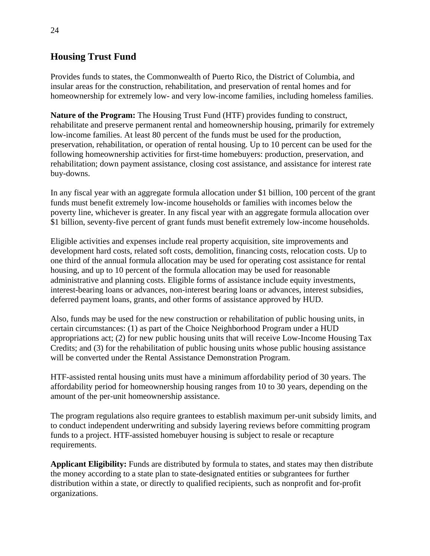# <span id="page-24-0"></span>**Housing Trust Fund**

Provides funds to states, the Commonwealth of Puerto Rico, the District of Columbia, and insular areas for the construction, rehabilitation, and preservation of rental homes and for homeownership for extremely low- and very low-income families, including homeless families.

**Nature of the Program:** The Housing Trust Fund (HTF) provides funding to construct, rehabilitate and preserve permanent rental and homeownership housing, primarily for extremely low-income families. At least 80 percent of the funds must be used for the production, preservation, rehabilitation, or operation of rental housing. Up to 10 percent can be used for the following homeownership activities for first-time homebuyers: production, preservation, and rehabilitation; down payment assistance, closing cost assistance, and assistance for interest rate buy-downs.

In any fiscal year with an aggregate formula allocation under \$1 billion, 100 percent of the grant funds must benefit extremely low-income households or families with incomes below the poverty line, whichever is greater. In any fiscal year with an aggregate formula allocation over \$1 billion, seventy-five percent of grant funds must benefit extremely low-income households.

Eligible activities and expenses include real property acquisition, site improvements and development hard costs, related soft costs, demolition, financing costs, relocation costs. Up to one third of the annual formula allocation may be used for operating cost assistance for rental housing, and up to 10 percent of the formula allocation may be used for reasonable administrative and planning costs. Eligible forms of assistance include equity investments, interest-bearing loans or advances, non-interest bearing loans or advances, interest subsidies, deferred payment loans, grants, and other forms of assistance approved by HUD.

Also, funds may be used for the new construction or rehabilitation of public housing units, in certain circumstances: (1) as part of the Choice Neighborhood Program under a HUD appropriations act; (2) for new public housing units that will receive Low-Income Housing Tax Credits; and (3) for the rehabilitation of public housing units whose public housing assistance will be converted under the Rental Assistance Demonstration Program.

HTF-assisted rental housing units must have a minimum affordability period of 30 years. The affordability period for homeownership housing ranges from 10 to 30 years, depending on the amount of the per-unit homeownership assistance.

The program regulations also require grantees to establish maximum per-unit subsidy limits, and to conduct independent underwriting and subsidy layering reviews before committing program funds to a project. HTF-assisted homebuyer housing is subject to resale or recapture requirements.

**Applicant Eligibility:** Funds are distributed by formula to states, and states may then distribute the money according to a state plan to state-designated entities or subgrantees for further distribution within a state, or directly to qualified recipients, such as nonprofit and for-profit organizations.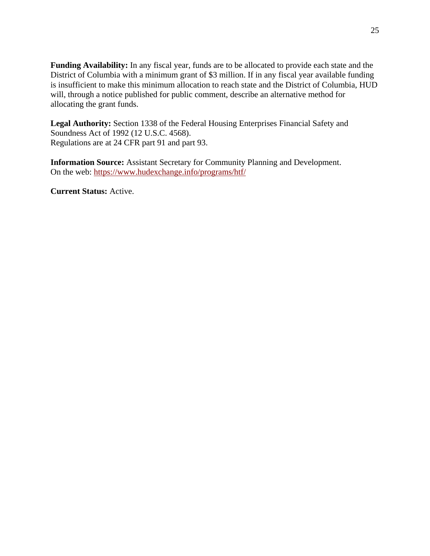**Funding Availability:** In any fiscal year, funds are to be allocated to provide each state and the District of Columbia with a minimum grant of \$3 million. If in any fiscal year available funding is insufficient to make this minimum allocation to reach state and the District of Columbia, HUD will, through a notice published for public comment, describe an alternative method for allocating the grant funds.

**Legal Authority:** Section 1338 of the Federal Housing Enterprises Financial Safety and Soundness Act of 1992 (12 U.S.C. 4568). Regulations are at 24 CFR part 91 and part 93.

**Information Source:** Assistant Secretary for Community Planning and Development. On the web: https://www.hudexchange.info/programs/htf/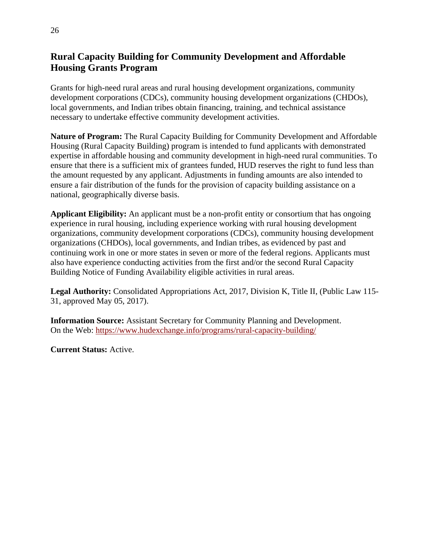# <span id="page-26-0"></span>**Rural Capacity Building for Community Development and Affordable Housing Grants Program**

Grants for high-need rural areas and rural housing development organizations, community development corporations (CDCs), community housing development organizations (CHDOs), local governments, and Indian tribes obtain financing, training, and technical assistance necessary to undertake effective community development activities.

**Nature of Program:** The Rural Capacity Building for Community Development and Affordable Housing (Rural Capacity Building) program is intended to fund applicants with demonstrated expertise in affordable housing and community development in high-need rural communities. To ensure that there is a sufficient mix of grantees funded, HUD reserves the right to fund less than the amount requested by any applicant. Adjustments in funding amounts are also intended to ensure a fair distribution of the funds for the provision of capacity building assistance on a national, geographically diverse basis.

**Applicant Eligibility:** An applicant must be a non-profit entity or consortium that has ongoing experience in rural housing, including experience working with rural housing development organizations, community development corporations (CDCs), community housing development organizations (CHDOs), local governments, and Indian tribes, as evidenced by past and continuing work in one or more states in seven or more of the federal regions. Applicants must also have experience conducting activities from the first and/or the second Rural Capacity Building Notice of Funding Availability eligible activities in rural areas.

**Legal Authority:** Consolidated Appropriations Act, 2017, Division K, Title II, (Public Law 115- 31, approved May 05, 2017).

**Information Source:** Assistant Secretary for Community Planning and Development. On the Web: <https://www.hudexchange.info/programs/rural-capacity-building/>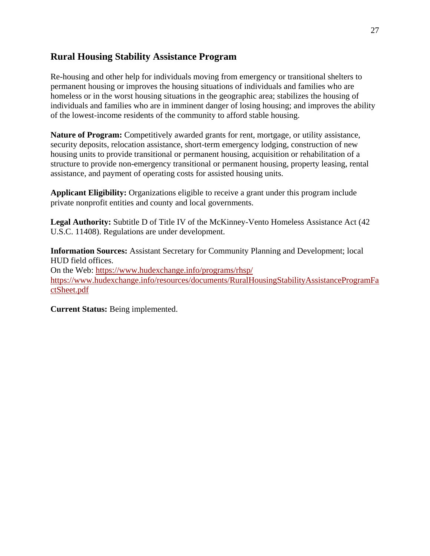## <span id="page-27-0"></span>**Rural Housing Stability Assistance Program**

Re-housing and other help for individuals moving from emergency or transitional shelters to permanent housing or improves the housing situations of individuals and families who are homeless or in the worst housing situations in the geographic area; stabilizes the housing of individuals and families who are in imminent danger of losing housing; and improves the ability of the lowest-income residents of the community to afford stable housing.

**Nature of Program:** Competitively awarded grants for rent, mortgage, or utility assistance, security deposits, relocation assistance, short-term emergency lodging, construction of new housing units to provide transitional or permanent housing, acquisition or rehabilitation of a structure to provide non-emergency transitional or permanent housing, property leasing, rental assistance, and payment of operating costs for assisted housing units.

**Applicant Eligibility:** Organizations eligible to receive a grant under this program include private nonprofit entities and county and local governments.

**Legal Authority:** Subtitle D of Title IV of the McKinney-Vento Homeless Assistance Act (42 U.S.C. 11408). Regulations are under development.

**Information Sources:** Assistant Secretary for Community Planning and Development; local HUD field offices. On the Web: https://www.hudexchange.info/programs/rhsp/ [https://www.hudexchange.info/resources/documents/RuralHousingStabilityAssistanceProgramFa](https://www.hudexchange.info/resources/documents/RuralHousingStabilityAssistanceProgramFactSheet.pdf) [ctSheet.pdf](https://www.hudexchange.info/resources/documents/RuralHousingStabilityAssistanceProgramFactSheet.pdf)

**Current Status:** Being implemented.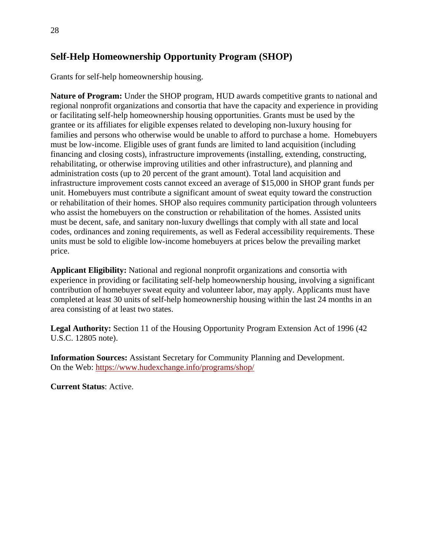# <span id="page-28-0"></span>**Self-Help Homeownership Opportunity Program (SHOP)**

Grants for self-help homeownership housing.

**Nature of Program:** Under the SHOP program, HUD awards competitive grants to national and regional nonprofit organizations and consortia that have the capacity and experience in providing or facilitating self-help homeownership housing opportunities. Grants must be used by the grantee or its affiliates for eligible expenses related to developing non-luxury housing for families and persons who otherwise would be unable to afford to purchase a home. Homebuyers must be low-income. Eligible uses of grant funds are limited to land acquisition (including financing and closing costs), infrastructure improvements (installing, extending, constructing, rehabilitating, or otherwise improving utilities and other infrastructure), and planning and administration costs (up to 20 percent of the grant amount). Total land acquisition and infrastructure improvement costs cannot exceed an average of \$15,000 in SHOP grant funds per unit. Homebuyers must contribute a significant amount of sweat equity toward the construction or rehabilitation of their homes. SHOP also requires community participation through volunteers who assist the homebuyers on the construction or rehabilitation of the homes. Assisted units must be decent, safe, and sanitary non-luxury dwellings that comply with all state and local codes, ordinances and zoning requirements, as well as Federal accessibility requirements. These units must be sold to eligible low-income homebuyers at prices below the prevailing market price.

**Applicant Eligibility:** National and regional nonprofit organizations and consortia with experience in providing or facilitating self-help homeownership housing, involving a significant contribution of homebuyer sweat equity and volunteer labor, may apply. Applicants must have completed at least 30 units of self-help homeownership housing within the last 24 months in an area consisting of at least two states.

**Legal Authority:** Section 11 of the Housing Opportunity Program Extension Act of 1996 (42 U.S.C. 12805 note).

**Information Sources:** Assistant Secretary for Community Planning and Development. On the Web:<https://www.hudexchange.info/programs/shop/>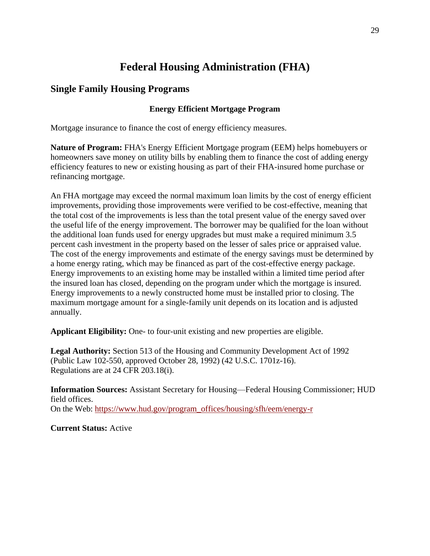# **Federal Housing Administration (FHA)**

## <span id="page-29-2"></span><span id="page-29-1"></span><span id="page-29-0"></span>**Single Family Housing Programs**

#### **Energy Efficient Mortgage Program**

Mortgage insurance to finance the cost of energy efficiency measures.

**Nature of Program:** FHA's Energy Efficient Mortgage program (EEM) helps homebuyers or homeowners save money on utility bills by enabling them to finance the cost of adding energy efficiency features to new or existing housing as part of their FHA-insured home purchase or refinancing mortgage.

An FHA mortgage may exceed the normal maximum loan limits by the cost of energy efficient improvements, providing those improvements were verified to be cost-effective, meaning that the total cost of the improvements is less than the total present value of the energy saved over the useful life of the energy improvement. The borrower may be qualified for the loan without the additional loan funds used for energy upgrades but must make a required minimum 3.5 percent cash investment in the property based on the lesser of sales price or appraised value. The cost of the energy improvements and estimate of the energy savings must be determined by a home energy rating, which may be financed as part of the cost-effective energy package. Energy improvements to an existing home may be installed within a limited time period after the insured loan has closed, depending on the program under which the mortgage is insured. Energy improvements to a newly constructed home must be installed prior to closing. The maximum mortgage amount for a single-family unit depends on its location and is adjusted annually.

**Applicant Eligibility:** One- to four-unit existing and new properties are eligible.

**Legal Authority:** Section 513 of the Housing and Community Development Act of 1992 (Public Law 102-550, approved October 28, 1992) (42 U.S.C. 1701z-16). Regulations are at 24 CFR 203.18(i).

**Information Sources:** Assistant Secretary for Housing—Federal Housing Commissioner; HUD field offices. On the Web: [https://www.hud.gov/program\\_offices/housing/sfh/eem/energy-r](https://www.hud.gov/program_offices/housing/sfh/eem/energy-r)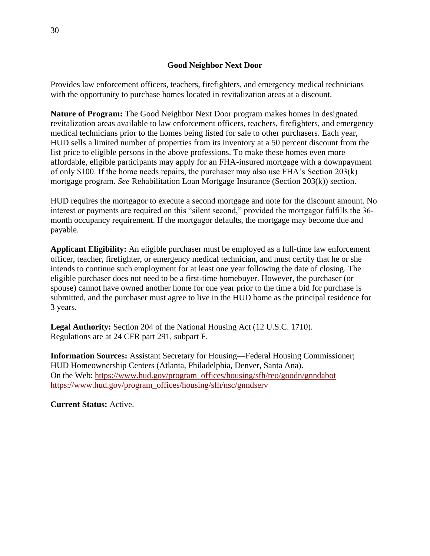#### **Good Neighbor Next Door**

<span id="page-30-0"></span>Provides law enforcement officers, teachers, firefighters, and emergency medical technicians with the opportunity to purchase homes located in revitalization areas at a discount.

**Nature of Program:** The Good Neighbor Next Door program makes homes in designated revitalization areas available to law enforcement officers, teachers, firefighters, and emergency medical technicians prior to the homes being listed for sale to other purchasers. Each year, HUD sells a limited number of properties from its inventory at a 50 percent discount from the list price to eligible persons in the above professions. To make these homes even more affordable, eligible participants may apply for an FHA-insured mortgage with a downpayment of only \$100. If the home needs repairs, the purchaser may also use FHA's Section 203(k) mortgage program. *See* Rehabilitation Loan Mortgage Insurance (Section 203(k)) section.

HUD requires the mortgagor to execute a second mortgage and note for the discount amount. No interest or payments are required on this "silent second," provided the mortgagor fulfills the 36 month occupancy requirement. If the mortgagor defaults, the mortgage may become due and payable.

**Applicant Eligibility:** An eligible purchaser must be employed as a full-time law enforcement officer, teacher, firefighter, or emergency medical technician, and must certify that he or she intends to continue such employment for at least one year following the date of closing. The eligible purchaser does not need to be a first-time homebuyer. However, the purchaser (or spouse) cannot have owned another home for one year prior to the time a bid for purchase is submitted, and the purchaser must agree to live in the HUD home as the principal residence for 3 years.

**Legal Authority:** Section 204 of the National Housing Act (12 U.S.C. 1710). Regulations are at 24 CFR part 291, subpart F.

**Information Sources:** Assistant Secretary for Housing—Federal Housing Commissioner; HUD Homeownership Centers (Atlanta, Philadelphia, Denver, Santa Ana). On the Web: [https://www.hud.gov/program\\_offices/housing/sfh/reo/goodn/gnndabot](https://www.hud.gov/program_offices/housing/sfh/reo/goodn/gnndabot) [https://www.hud.gov/program\\_offices/housing/sfh/nsc/gnndserv](https://www.hud.gov/program_offices/housing/sfh/nsc/gnndserv)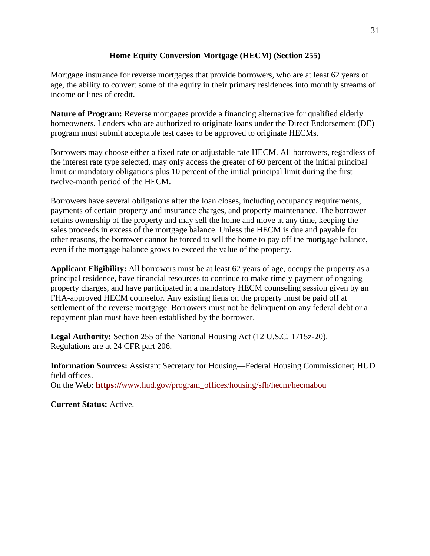#### **Home Equity Conversion Mortgage (HECM) (Section 255)**

<span id="page-31-0"></span>Mortgage insurance for reverse mortgages that provide borrowers, who are at least 62 years of age, the ability to convert some of the equity in their primary residences into monthly streams of income or lines of credit.

**Nature of Program:** Reverse mortgages provide a financing alternative for qualified elderly homeowners. Lenders who are authorized to originate loans under the Direct Endorsement (DE) program must submit acceptable test cases to be approved to originate HECMs.

Borrowers may choose either a fixed rate or adjustable rate HECM. All borrowers, regardless of the interest rate type selected, may only access the greater of 60 percent of the initial principal limit or mandatory obligations plus 10 percent of the initial principal limit during the first twelve-month period of the HECM.

Borrowers have several obligations after the loan closes, including occupancy requirements, payments of certain property and insurance charges, and property maintenance. The borrower retains ownership of the property and may sell the home and move at any time, keeping the sales proceeds in excess of the mortgage balance. Unless the HECM is due and payable for other reasons, the borrower cannot be forced to sell the home to pay off the mortgage balance, even if the mortgage balance grows to exceed the value of the property.

**Applicant Eligibility:** All borrowers must be at least 62 years of age, occupy the property as a principal residence, have financial resources to continue to make timely payment of ongoing property charges, and have participated in a mandatory HECM counseling session given by an FHA-approved HECM counselor. Any existing liens on the property must be paid off at settlement of the reverse mortgage. Borrowers must not be delinquent on any federal debt or a repayment plan must have been established by the borrower.

**Legal Authority:** Section 255 of the National Housing Act (12 U.S.C. 1715z-20). Regulations are at 24 CFR part 206.

**Information Sources:** Assistant Secretary for Housing—Federal Housing Commissioner; HUD field offices. On the Web: **https://**[www.hud.gov/program\\_offices/housing/sfh/hecm/hecmabou](https://www.hud.gov/program_offices/housing/sfh/hecm/hecmabou)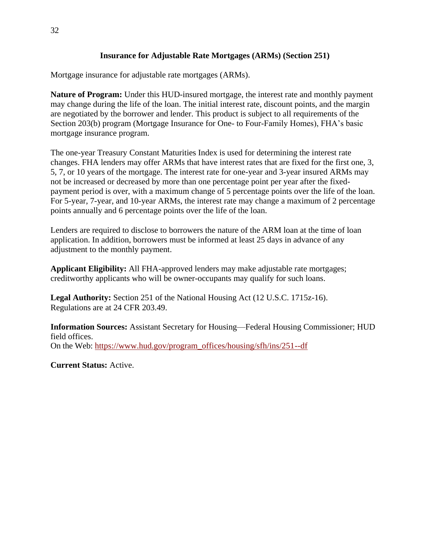#### **Insurance for Adjustable Rate Mortgages (ARMs) (Section 251)**

<span id="page-32-0"></span>Mortgage insurance for adjustable rate mortgages (ARMs).

**Nature of Program:** Under this HUD-insured mortgage, the interest rate and monthly payment may change during the life of the loan. The initial interest rate, discount points, and the margin are negotiated by the borrower and lender. This product is subject to all requirements of the Section 203(b) program (Mortgage Insurance for One- to Four-Family Homes), FHA's basic mortgage insurance program.

The one-year Treasury Constant Maturities Index is used for determining the interest rate changes. FHA lenders may offer ARMs that have interest rates that are fixed for the first one, 3, 5, 7, or 10 years of the mortgage. The interest rate for one-year and 3-year insured ARMs may not be increased or decreased by more than one percentage point per year after the fixedpayment period is over, with a maximum change of 5 percentage points over the life of the loan. For 5-year, 7-year, and 10-year ARMs, the interest rate may change a maximum of 2 percentage points annually and 6 percentage points over the life of the loan.

Lenders are required to disclose to borrowers the nature of the ARM loan at the time of loan application. In addition, borrowers must be informed at least 25 days in advance of any adjustment to the monthly payment.

**Applicant Eligibility:** All FHA-approved lenders may make adjustable rate mortgages; creditworthy applicants who will be owner-occupants may qualify for such loans.

**Legal Authority:** Section 251 of the National Housing Act (12 U.S.C. 1715z-16). Regulations are at 24 CFR 203.49.

**Information Sources:** Assistant Secretary for Housing—Federal Housing Commissioner; HUD field offices. On the Web: [https://www.hud.gov/program\\_offices/housing/sfh/ins/251--df](https://www.hud.gov/program_offices/housing/sfh/ins/251--df)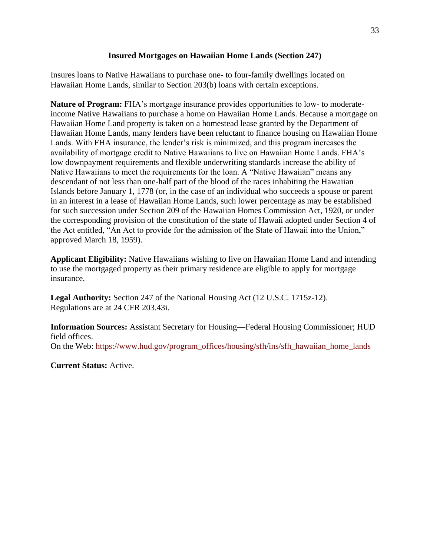#### **Insured Mortgages on Hawaiian Home Lands (Section 247)**

<span id="page-33-0"></span>Insures loans to Native Hawaiians to purchase one- to four-family dwellings located on Hawaiian Home Lands, similar to Section 203(b) loans with certain exceptions.

**Nature of Program:** FHA's mortgage insurance provides opportunities to low- to moderateincome Native Hawaiians to purchase a home on Hawaiian Home Lands. Because a mortgage on Hawaiian Home Land property is taken on a homestead lease granted by the Department of Hawaiian Home Lands, many lenders have been reluctant to finance housing on Hawaiian Home Lands. With FHA insurance, the lender's risk is minimized, and this program increases the availability of mortgage credit to Native Hawaiians to live on Hawaiian Home Lands. FHA's low downpayment requirements and flexible underwriting standards increase the ability of Native Hawaiians to meet the requirements for the loan. A "Native Hawaiian" means any descendant of not less than one-half part of the blood of the races inhabiting the Hawaiian Islands before January 1, 1778 (or, in the case of an individual who succeeds a spouse or parent in an interest in a lease of Hawaiian Home Lands, such lower percentage as may be established for such succession under Section 209 of the Hawaiian Homes Commission Act, 1920, or under the corresponding provision of the constitution of the state of Hawaii adopted under Section 4 of the Act entitled, "An Act to provide for the admission of the State of Hawaii into the Union," approved March 18, 1959).

**Applicant Eligibility:** Native Hawaiians wishing to live on Hawaiian Home Land and intending to use the mortgaged property as their primary residence are eligible to apply for mortgage insurance.

**Legal Authority:** Section 247 of the National Housing Act (12 U.S.C. 1715z-12). Regulations are at 24 CFR 203.43i.

**Information Sources:** Assistant Secretary for Housing—Federal Housing Commissioner; HUD field offices. On the Web: [https://www.hud.gov/program\\_offices/housing/sfh/ins/sfh\\_hawaiian\\_home\\_lands](https://www.hud.gov/program_offices/housing/sfh/ins/sfh_hawaiian_home_lands)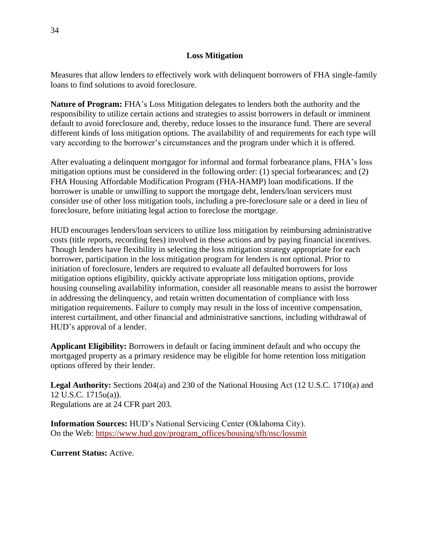#### **Loss Mitigation**

<span id="page-34-0"></span>Measures that allow lenders to effectively work with delinquent borrowers of FHA single-family loans to find solutions to avoid foreclosure.

**Nature of Program:** FHA's Loss Mitigation delegates to lenders both the authority and the responsibility to utilize certain actions and strategies to assist borrowers in default or imminent default to avoid foreclosure and, thereby, reduce losses to the insurance fund. There are several different kinds of loss mitigation options. The availability of and requirements for each type will vary according to the borrower's circumstances and the program under which it is offered.

After evaluating a delinquent mortgagor for informal and formal forbearance plans, FHA's loss mitigation options must be considered in the following order: (1) special forbearances; and (2) FHA Housing Affordable Modification Program (FHA-HAMP) loan modifications. If the borrower is unable or unwilling to support the mortgage debt, lenders/loan servicers must consider use of other loss mitigation tools, including a pre-foreclosure sale or a deed in lieu of foreclosure, before initiating legal action to foreclose the mortgage.

HUD encourages lenders/loan servicers to utilize loss mitigation by reimbursing administrative costs (title reports, recording fees) involved in these actions and by paying financial incentives. Though lenders have flexibility in selecting the loss mitigation strategy appropriate for each borrower, participation in the loss mitigation program for lenders is not optional. Prior to initiation of foreclosure, lenders are required to evaluate all defaulted borrowers for loss mitigation options eligibility, quickly activate appropriate loss mitigation options, provide housing counseling availability information, consider all reasonable means to assist the borrower in addressing the delinquency, and retain written documentation of compliance with loss mitigation requirements. Failure to comply may result in the loss of incentive compensation, interest curtailment, and other financial and administrative sanctions, including withdrawal of HUD's approval of a lender.

**Applicant Eligibility:** Borrowers in default or facing imminent default and who occupy the mortgaged property as a primary residence may be eligible for home retention loss mitigation options offered by their lender.

**Legal Authority:** Sections 204(a) and 230 of the National Housing Act (12 U.S.C. 1710(a) and 12 U.S.C. 1715u(a)). Regulations are at 24 CFR part 203.

**Information Sources:** HUD's National Servicing Center (Oklahoma City). On the Web: [https://www.hud.gov/program\\_offices/housing/sfh/nsc/lossmit](https://www.hud.gov/program_offices/housing/sfh/nsc/lossmit)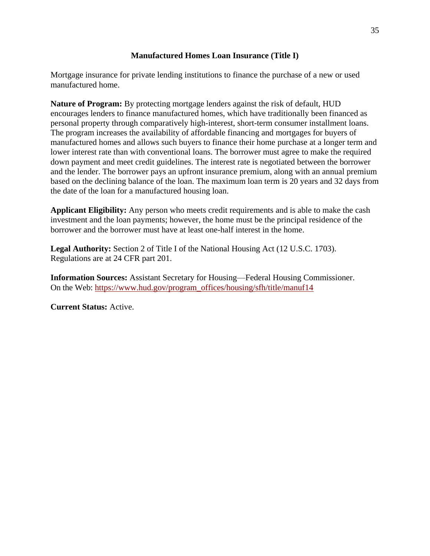#### **Manufactured Homes Loan Insurance (Title I)**

<span id="page-35-0"></span>Mortgage insurance for private lending institutions to finance the purchase of a new or used manufactured home.

**Nature of Program:** By protecting mortgage lenders against the risk of default, HUD encourages lenders to finance manufactured homes, which have traditionally been financed as personal property through comparatively high-interest, short-term consumer installment loans. The program increases the availability of affordable financing and mortgages for buyers of manufactured homes and allows such buyers to finance their home purchase at a longer term and lower interest rate than with conventional loans. The borrower must agree to make the required down payment and meet credit guidelines. The interest rate is negotiated between the borrower and the lender. The borrower pays an upfront insurance premium, along with an annual premium based on the declining balance of the loan. The maximum loan term is 20 years and 32 days from the date of the loan for a manufactured housing loan.

**Applicant Eligibility:** Any person who meets credit requirements and is able to make the cash investment and the loan payments; however, the home must be the principal residence of the borrower and the borrower must have at least one-half interest in the home.

**Legal Authority:** Section 2 of Title I of the National Housing Act (12 U.S.C. 1703). Regulations are at 24 CFR part 201.

**Information Sources:** Assistant Secretary for Housing—Federal Housing Commissioner. On the Web: [https://www.hud.gov/program\\_offices/housing/sfh/title/manuf14](https://www.hud.gov/program_offices/housing/sfh/title/manuf14)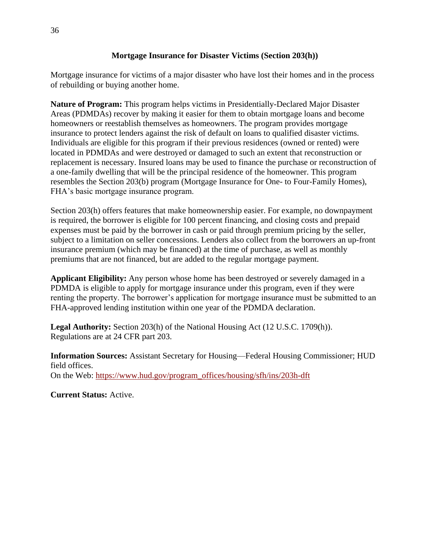#### **Mortgage Insurance for Disaster Victims (Section 203(h))**

Mortgage insurance for victims of a major disaster who have lost their homes and in the process of rebuilding or buying another home.

**Nature of Program:** This program helps victims in Presidentially-Declared Major Disaster Areas (PDMDAs) recover by making it easier for them to obtain mortgage loans and become homeowners or reestablish themselves as homeowners. The program provides mortgage insurance to protect lenders against the risk of default on loans to qualified disaster victims. Individuals are eligible for this program if their previous residences (owned or rented) were located in PDMDAs and were destroyed or damaged to such an extent that reconstruction or replacement is necessary. Insured loans may be used to finance the purchase or reconstruction of a one-family dwelling that will be the principal residence of the homeowner. This program resembles the Section 203(b) program (Mortgage Insurance for One- to Four-Family Homes), FHA's basic mortgage insurance program.

Section 203(h) offers features that make homeownership easier. For example, no downpayment is required, the borrower is eligible for 100 percent financing, and closing costs and prepaid expenses must be paid by the borrower in cash or paid through premium pricing by the seller, subject to a limitation on seller concessions. Lenders also collect from the borrowers an up-front insurance premium (which may be financed) at the time of purchase, as well as monthly premiums that are not financed, but are added to the regular mortgage payment.

**Applicant Eligibility:** Any person whose home has been destroyed or severely damaged in a PDMDA is eligible to apply for mortgage insurance under this program, even if they were renting the property. The borrower's application for mortgage insurance must be submitted to an FHA-approved lending institution within one year of the PDMDA declaration.

**Legal Authority:** Section 203(h) of the National Housing Act (12 U.S.C. 1709(h)). Regulations are at 24 CFR part 203.

**Information Sources:** Assistant Secretary for Housing—Federal Housing Commissioner; HUD field offices. On the Web: [https://www.hud.gov/program\\_offices/housing/sfh/ins/203h-dft](https://www.hud.gov/program_offices/housing/sfh/ins/203h-dft)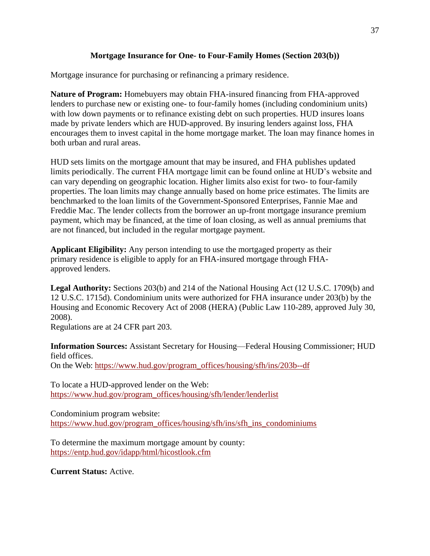#### **Mortgage Insurance for One- to Four-Family Homes (Section 203(b))**

Mortgage insurance for purchasing or refinancing a primary residence.

**Nature of Program:** Homebuyers may obtain FHA-insured financing from FHA-approved lenders to purchase new or existing one- to four-family homes (including condominium units) with low down payments or to refinance existing debt on such properties. HUD insures loans made by private lenders which are HUD-approved. By insuring lenders against loss, FHA encourages them to invest capital in the home mortgage market. The loan may finance homes in both urban and rural areas.

HUD sets limits on the mortgage amount that may be insured, and FHA publishes updated limits periodically. The current FHA mortgage limit can be found online at HUD's website and can vary depending on geographic location. Higher limits also exist for two- to four-family properties. The loan limits may change annually based on home price estimates. The limits are benchmarked to the loan limits of the Government-Sponsored Enterprises, Fannie Mae and Freddie Mac. The lender collects from the borrower an up-front mortgage insurance premium payment, which may be financed, at the time of loan closing, as well as annual premiums that are not financed, but included in the regular mortgage payment.

**Applicant Eligibility:** Any person intending to use the mortgaged property as their primary residence is eligible to apply for an FHA-insured mortgage through FHAapproved lenders.

**Legal Authority:** Sections 203(b) and 214 of the National Housing Act (12 U.S.C. 1709(b) and 12 U.S.C. 1715d). Condominium units were authorized for FHA insurance under 203(b) by the Housing and Economic Recovery Act of 2008 (HERA) (Public Law 110-289, approved July 30, 2008).

Regulations are at 24 CFR part 203.

**Information Sources:** Assistant Secretary for Housing—Federal Housing Commissioner; HUD field offices.

On the Web: [https://www.hud.gov/program\\_offices/housing/sfh/ins/203b--df](https://www.hud.gov/program_offices/housing/sfh/ins/203b--df)

To locate a HUD-approved lender on the Web: [https://www.hud.gov/program\\_offices/housing/sfh/lender/lenderlist](https://www.hud.gov/program_offices/housing/sfh/lender/lenderlist)

Condominium program website: [https://www.hud.gov/program\\_offices/housing/sfh/ins/sfh\\_ins\\_condominiums](https://www.hud.gov/program_offices/housing/sfh/ins/sfh_ins_condominiums)

To determine the maximum mortgage amount by county: <https://entp.hud.gov/idapp/html/hicostlook.cfm>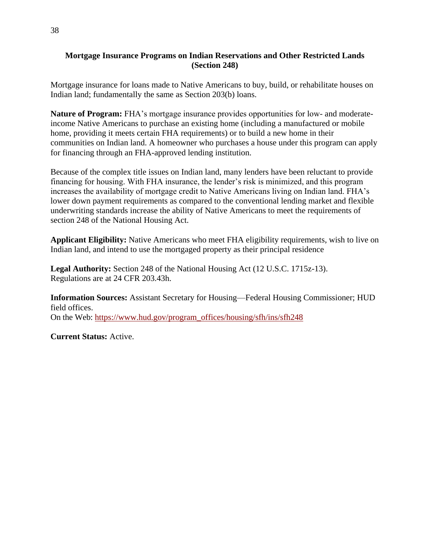#### **Mortgage Insurance Programs on Indian Reservations and Other Restricted Lands (Section 248)**

Mortgage insurance for loans made to Native Americans to buy, build, or rehabilitate houses on Indian land; fundamentally the same as Section 203(b) loans.

**Nature of Program:** FHA's mortgage insurance provides opportunities for low- and moderateincome Native Americans to purchase an existing home (including a manufactured or mobile home, providing it meets certain FHA requirements) or to build a new home in their communities on Indian land. A homeowner who purchases a house under this program can apply for financing through an FHA-approved lending institution.

Because of the complex title issues on Indian land, many lenders have been reluctant to provide financing for housing. With FHA insurance, the lender's risk is minimized, and this program increases the availability of mortgage credit to Native Americans living on Indian land. FHA's lower down payment requirements as compared to the conventional lending market and flexible underwriting standards increase the ability of Native Americans to meet the requirements of section 248 of the National Housing Act.

**Applicant Eligibility:** Native Americans who meet FHA eligibility requirements, wish to live on Indian land, and intend to use the mortgaged property as their principal residence

**Legal Authority:** Section 248 of the National Housing Act (12 U.S.C. 1715z-13). Regulations are at 24 CFR 203.43h.

**Information Sources:** Assistant Secretary for Housing—Federal Housing Commissioner; HUD field offices. On the Web: [https://www.hud.gov/program\\_offices/housing/sfh/ins/sfh248](https://www.hud.gov/program_offices/housing/sfh/ins/sfh248)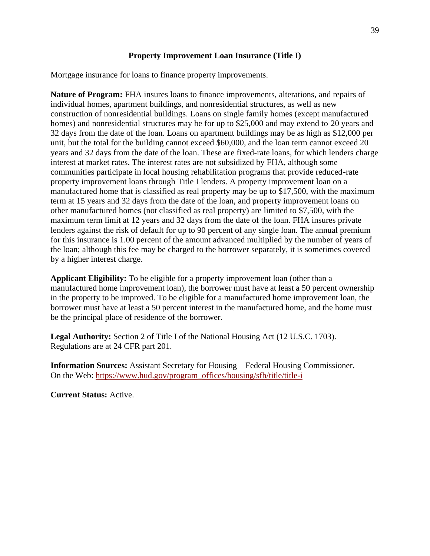#### **Property Improvement Loan Insurance (Title I)**

Mortgage insurance for loans to finance property improvements.

**Nature of Program:** FHA insures loans to finance improvements, alterations, and repairs of individual homes, apartment buildings, and nonresidential structures, as well as new construction of nonresidential buildings. Loans on single family homes (except manufactured homes) and nonresidential structures may be for up to \$25,000 and may extend to 20 years and 32 days from the date of the loan. Loans on apartment buildings may be as high as \$12,000 per unit, but the total for the building cannot exceed \$60,000, and the loan term cannot exceed 20 years and 32 days from the date of the loan. These are fixed-rate loans, for which lenders charge interest at market rates. The interest rates are not subsidized by FHA, although some communities participate in local housing rehabilitation programs that provide reduced-rate property improvement loans through Title I lenders. A property improvement loan on a manufactured home that is classified as real property may be up to \$17,500, with the maximum term at 15 years and 32 days from the date of the loan, and property improvement loans on other manufactured homes (not classified as real property) are limited to \$7,500, with the maximum term limit at 12 years and 32 days from the date of the loan. FHA insures private lenders against the risk of default for up to 90 percent of any single loan. The annual premium for this insurance is 1.00 percent of the amount advanced multiplied by the number of years of the loan; although this fee may be charged to the borrower separately, it is sometimes covered by a higher interest charge.

**Applicant Eligibility:** To be eligible for a property improvement loan (other than a manufactured home improvement loan), the borrower must have at least a 50 percent ownership in the property to be improved. To be eligible for a manufactured home improvement loan, the borrower must have at least a 50 percent interest in the manufactured home, and the home must be the principal place of residence of the borrower.

**Legal Authority:** Section 2 of Title I of the National Housing Act (12 U.S.C. 1703). Regulations are at 24 CFR part 201.

**Information Sources:** Assistant Secretary for Housing—Federal Housing Commissioner. On the Web: [https://www.hud.gov/program\\_offices/housing/sfh/title/title-i](https://www.hud.gov/program_offices/housing/sfh/title/title-i)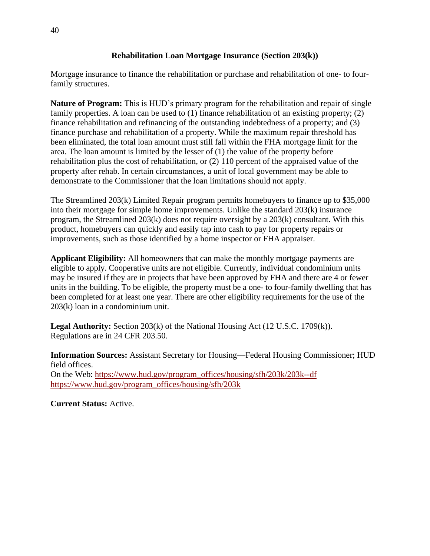#### **Rehabilitation Loan Mortgage Insurance (Section 203(k))**

Mortgage insurance to finance the rehabilitation or purchase and rehabilitation of one- to fourfamily structures.

**Nature of Program:** This is HUD's primary program for the rehabilitation and repair of single family properties. A loan can be used to (1) finance rehabilitation of an existing property; (2) finance rehabilitation and refinancing of the outstanding indebtedness of a property; and (3) finance purchase and rehabilitation of a property. While the maximum repair threshold has been eliminated, the total loan amount must still fall within the FHA mortgage limit for the area. The loan amount is limited by the lesser of (1) the value of the property before rehabilitation plus the cost of rehabilitation, or (2) 110 percent of the appraised value of the property after rehab. In certain circumstances, a unit of local government may be able to demonstrate to the Commissioner that the loan limitations should not apply.

The Streamlined 203(k) Limited Repair program permits homebuyers to finance up to \$35,000 into their mortgage for simple home improvements. Unlike the standard 203(k) insurance program, the Streamlined 203(k) does not require oversight by a 203(k) consultant. With this product, homebuyers can quickly and easily tap into cash to pay for property repairs or improvements, such as those identified by a home inspector or FHA appraiser.

**Applicant Eligibility:** All homeowners that can make the monthly mortgage payments are eligible to apply. Cooperative units are not eligible. Currently, individual condominium units may be insured if they are in projects that have been approved by FHA and there are 4 or fewer units in the building. To be eligible, the property must be a one- to four-family dwelling that has been completed for at least one year. There are other eligibility requirements for the use of the 203(k) loan in a condominium unit.

**Legal Authority:** Section 203(k) of the National Housing Act (12 U.S.C. 1709(k)). Regulations are in 24 CFR 203.50.

**Information Sources:** Assistant Secretary for Housing—Federal Housing Commissioner; HUD field offices. On the Web: [https://www.hud.gov/program\\_offices/housing/sfh/203k/203k--df](https://www.hud.gov/program_offices/housing/sfh/203k/203k--df) [https://www.hud.gov/program\\_offices/housing/sfh/203k](https://www.hud.gov/program_offices/housing/sfh/203k)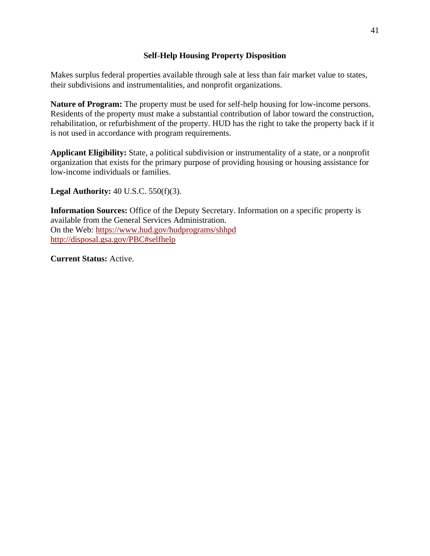#### **Self-Help Housing Property Disposition**

Makes surplus federal properties available through sale at less than fair market value to states, their subdivisions and instrumentalities, and nonprofit organizations.

**Nature of Program:** The property must be used for self-help housing for low-income persons. Residents of the property must make a substantial contribution of labor toward the construction, rehabilitation, or refurbishment of the property. HUD has the right to take the property back if it is not used in accordance with program requirements.

**Applicant Eligibility:** State, a political subdivision or instrumentality of a state, or a nonprofit organization that exists for the primary purpose of providing housing or housing assistance for low-income individuals or families.

**Legal Authority:** 40 U.S.C. 550(f)(3).

**Information Sources:** Office of the Deputy Secretary. Information on a specific property is available from the General Services Administration. On the Web:<https://www.hud.gov/hudprograms/shhpd> <http://disposal.gsa.gov/PBC#selfhelp>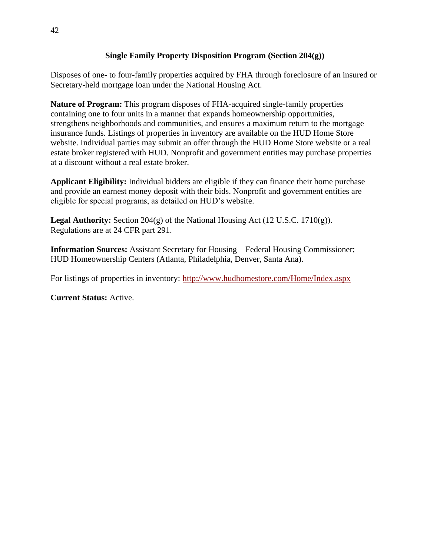#### **Single Family Property Disposition Program (Section 204(g))**

Disposes of one- to four-family properties acquired by FHA through foreclosure of an insured or Secretary-held mortgage loan under the National Housing Act.

**Nature of Program:** This program disposes of FHA-acquired single-family properties containing one to four units in a manner that expands homeownership opportunities, strengthens neighborhoods and communities, and ensures a maximum return to the mortgage insurance funds. Listings of properties in inventory are available on the HUD Home Store website. Individual parties may submit an offer through the HUD Home Store website or a real estate broker registered with HUD. Nonprofit and government entities may purchase properties at a discount without a real estate broker.

**Applicant Eligibility:** Individual bidders are eligible if they can finance their home purchase and provide an earnest money deposit with their bids. Nonprofit and government entities are eligible for special programs, as detailed on HUD's website.

**Legal Authority:** Section 204 $(g)$  of the National Housing Act (12 U.S.C. 1710 $(g)$ ). Regulations are at 24 CFR part 291.

**Information Sources:** Assistant Secretary for Housing—Federal Housing Commissioner; HUD Homeownership Centers (Atlanta, Philadelphia, Denver, Santa Ana).

For listings of properties in inventory: <http://www.hudhomestore.com/Home/Index.aspx>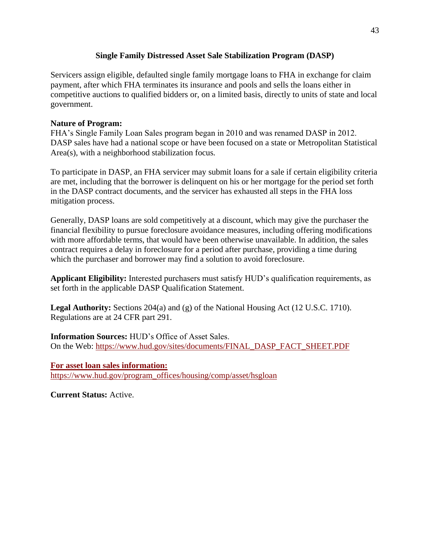#### **Single Family Distressed Asset Sale Stabilization Program (DASP)**

Servicers assign eligible, defaulted single family mortgage loans to FHA in exchange for claim payment, after which FHA terminates its insurance and pools and sells the loans either in competitive auctions to qualified bidders or, on a limited basis, directly to units of state and local government.

#### **Nature of Program:**

FHA's Single Family Loan Sales program began in 2010 and was renamed DASP in 2012. DASP sales have had a national scope or have been focused on a state or Metropolitan Statistical Area(s), with a neighborhood stabilization focus*.*

To participate in DASP, an FHA servicer may submit loans for a sale if certain eligibility criteria are met, including that the borrower is delinquent on his or her mortgage for the period set forth in the DASP contract documents, and the servicer has exhausted all steps in the FHA loss mitigation process.

Generally, DASP loans are sold competitively at a discount, which may give the purchaser the financial flexibility to pursue foreclosure avoidance measures, including offering modifications with more affordable terms, that would have been otherwise unavailable. In addition, the sales contract requires a delay in foreclosure for a period after purchase, providing a time during which the purchaser and borrower may find a solution to avoid foreclosure.

**Applicant Eligibility:** Interested purchasers must satisfy HUD's qualification requirements, as set forth in the applicable DASP Qualification Statement.

**Legal Authority:** Sections 204(a) and (g) of the National Housing Act (12 U.S.C. 1710). Regulations are at 24 CFR part 291.

**Information Sources:** HUD's Office of Asset Sales. On the Web: [https://www.hud.gov/sites/documents/FINAL\\_DASP\\_FACT\\_SHEET.PDF](https://www.hud.gov/sites/documents/FINAL_DASP_FACT_SHEET.PDF)

**For asset loan sales information:** [https://www.hud.gov/program\\_offices/housing/comp/asset/hsgloan](https://www.hud.gov/program_offices/housing/comp/asset/hsgloan)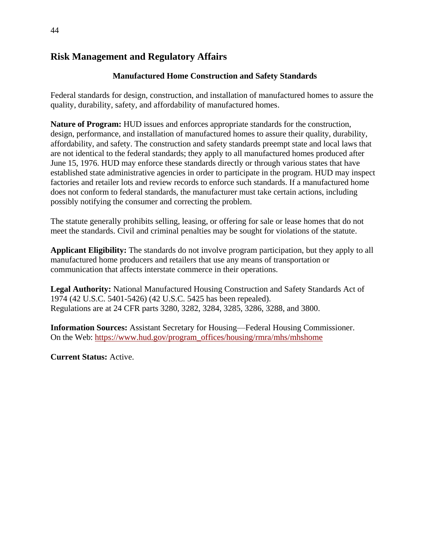# **Risk Management and Regulatory Affairs**

## **Manufactured Home Construction and Safety Standards**

Federal standards for design, construction, and installation of manufactured homes to assure the quality, durability, safety, and affordability of manufactured homes.

**Nature of Program:** HUD issues and enforces appropriate standards for the construction, design, performance, and installation of manufactured homes to assure their quality, durability, affordability, and safety. The construction and safety standards preempt state and local laws that are not identical to the federal standards; they apply to all manufactured homes produced after June 15, 1976. HUD may enforce these standards directly or through various states that have established state administrative agencies in order to participate in the program. HUD may inspect factories and retailer lots and review records to enforce such standards. If a manufactured home does not conform to federal standards, the manufacturer must take certain actions, including possibly notifying the consumer and correcting the problem.

The statute generally prohibits selling, leasing, or offering for sale or lease homes that do not meet the standards. Civil and criminal penalties may be sought for violations of the statute.

**Applicant Eligibility:** The standards do not involve program participation, but they apply to all manufactured home producers and retailers that use any means of transportation or communication that affects interstate commerce in their operations.

**Legal Authority:** National Manufactured Housing Construction and Safety Standards Act of 1974 (42 U.S.C. 5401-5426) (42 U.S.C. 5425 has been repealed). Regulations are at 24 CFR parts 3280, 3282, 3284, 3285, 3286, 3288, and 3800.

**Information Sources:** Assistant Secretary for Housing—Federal Housing Commissioner. On the Web: [https://www.hud.gov/program\\_offices/housing/rmra/mhs/mhshome](https://www.hud.gov/program_offices/housing/rmra/mhs/mhshome)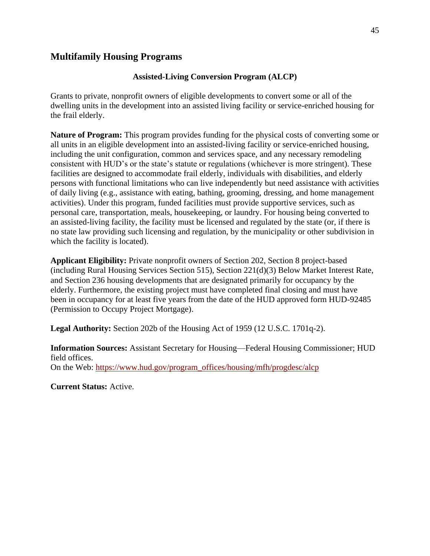# **Multifamily Housing Programs**

#### **Assisted-Living Conversion Program (ALCP)**

Grants to private, nonprofit owners of eligible developments to convert some or all of the dwelling units in the development into an assisted living facility or service-enriched housing for the frail elderly.

**Nature of Program:** This program provides funding for the physical costs of converting some or all units in an eligible development into an assisted-living facility or service-enriched housing, including the unit configuration, common and services space, and any necessary remodeling consistent with HUD's or the state's statute or regulations (whichever is more stringent). These facilities are designed to accommodate frail elderly, individuals with disabilities, and elderly persons with functional limitations who can live independently but need assistance with activities of daily living (e.g., assistance with eating, bathing, grooming, dressing, and home management activities). Under this program, funded facilities must provide supportive services, such as personal care, transportation, meals, housekeeping, or laundry. For housing being converted to an assisted-living facility, the facility must be licensed and regulated by the state (or, if there is no state law providing such licensing and regulation, by the municipality or other subdivision in which the facility is located).

**Applicant Eligibility:** Private nonprofit owners of Section 202, Section 8 project-based (including Rural Housing Services Section 515), Section 221(d)(3) Below Market Interest Rate, and Section 236 housing developments that are designated primarily for occupancy by the elderly. Furthermore, the existing project must have completed final closing and must have been in occupancy for at least five years from the date of the HUD approved form HUD-92485 (Permission to Occupy Project Mortgage).

**Legal Authority:** Section 202b of the Housing Act of 1959 (12 U.S.C. 1701q-2).

**Information Sources:** Assistant Secretary for Housing—Federal Housing Commissioner; HUD field offices. On the Web: [https://www.hud.gov/program\\_offices/housing/mfh/progdesc/alcp](https://www.hud.gov/program_offices/housing/mfh/progdesc/alcp)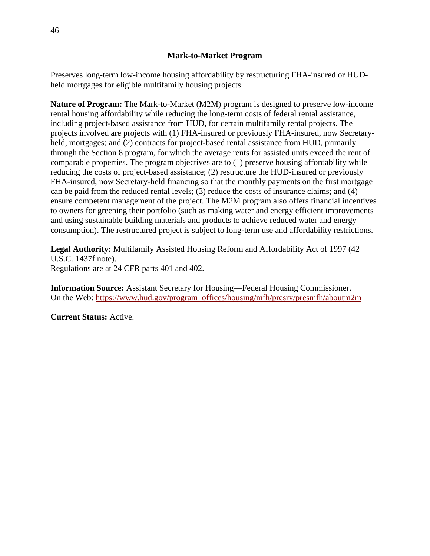Preserves long-term low-income housing affordability by restructuring FHA-insured or HUDheld mortgages for eligible multifamily housing projects.

**Nature of Program:** The Mark-to-Market (M2M) program is designed to preserve low-income rental housing affordability while reducing the long-term costs of federal rental assistance, including project-based assistance from HUD, for certain multifamily rental projects. The projects involved are projects with (1) FHA-insured or previously FHA-insured, now Secretaryheld, mortgages; and (2) contracts for project-based rental assistance from HUD, primarily through the Section 8 program, for which the average rents for assisted units exceed the rent of comparable properties. The program objectives are to (1) preserve housing affordability while reducing the costs of project-based assistance; (2) restructure the HUD-insured or previously FHA-insured, now Secretary-held financing so that the monthly payments on the first mortgage can be paid from the reduced rental levels; (3) reduce the costs of insurance claims; and (4) ensure competent management of the project. The M2M program also offers financial incentives to owners for greening their portfolio (such as making water and energy efficient improvements and using sustainable building materials and products to achieve reduced water and energy consumption). The restructured project is subject to long-term use and affordability restrictions.

**Legal Authority:** Multifamily Assisted Housing Reform and Affordability Act of 1997 (42 U.S.C. 1437f note). Regulations are at 24 CFR parts 401 and 402.

**Information Source:** Assistant Secretary for Housing—Federal Housing Commissioner. On the Web: [https://www.hud.gov/program\\_offices/housing/mfh/presrv/presmfh/aboutm2m](https://www.hud.gov/program_offices/housing/mfh/presrv/presmfh/aboutm2m)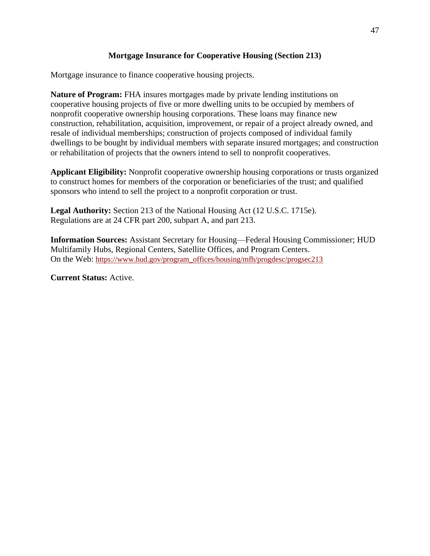### **Mortgage Insurance for Cooperative Housing (Section 213)**

Mortgage insurance to finance cooperative housing projects.

**Nature of Program:** FHA insures mortgages made by private lending institutions on cooperative housing projects of five or more dwelling units to be occupied by members of nonprofit cooperative ownership housing corporations. These loans may finance new construction, rehabilitation, acquisition, improvement, or repair of a project already owned, and resale of individual memberships; construction of projects composed of individual family dwellings to be bought by individual members with separate insured mortgages; and construction or rehabilitation of projects that the owners intend to sell to nonprofit cooperatives.

**Applicant Eligibility:** Nonprofit cooperative ownership housing corporations or trusts organized to construct homes for members of the corporation or beneficiaries of the trust; and qualified sponsors who intend to sell the project to a nonprofit corporation or trust.

**Legal Authority:** Section 213 of the National Housing Act (12 U.S.C. 1715e). Regulations are at 24 CFR part 200, subpart A, and part 213.

**Information Sources:** Assistant Secretary for Housing—Federal Housing Commissioner; HUD Multifamily Hubs, Regional Centers, Satellite Offices, and Program Centers. On the Web: [https://www.hud.gov/program\\_offices/housing/mfh/progdesc/progsec213](https://www.hud.gov/program_offices/housing/mfh/progdesc/progsec213)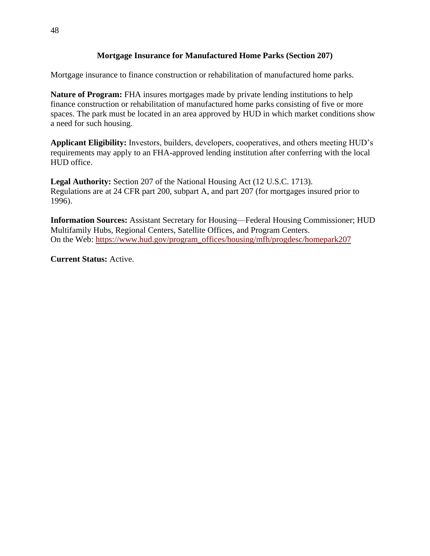#### **Mortgage Insurance for Manufactured Home Parks (Section 207)**

Mortgage insurance to finance construction or rehabilitation of manufactured home parks.

**Nature of Program:** FHA insures mortgages made by private lending institutions to help finance construction or rehabilitation of manufactured home parks consisting of five or more spaces. The park must be located in an area approved by HUD in which market conditions show a need for such housing.

**Applicant Eligibility:** Investors, builders, developers, cooperatives, and others meeting HUD's requirements may apply to an FHA-approved lending institution after conferring with the local HUD office.

**Legal Authority:** Section 207 of the National Housing Act (12 U.S.C. 1713). Regulations are at 24 CFR part 200, subpart A, and part 207 (for mortgages insured prior to 1996).

**Information Sources:** Assistant Secretary for Housing—Federal Housing Commissioner; HUD Multifamily Hubs, Regional Centers, Satellite Offices, and Program Centers. On the Web: [https://www.hud.gov/program\\_offices/housing/mfh/progdesc/homepark207](https://www.hud.gov/program_offices/housing/mfh/progdesc/homepark207)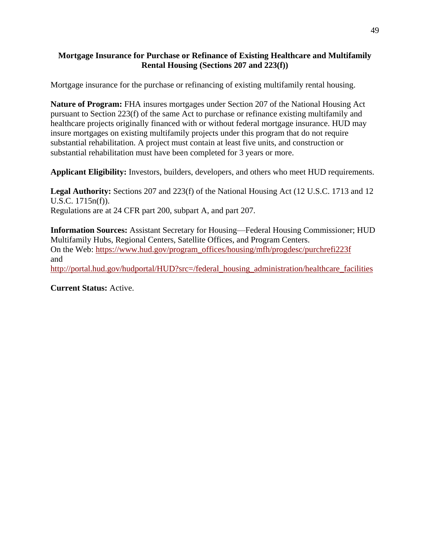#### **Mortgage Insurance for Purchase or Refinance of Existing Healthcare and Multifamily Rental Housing (Sections 207 and 223(f))**

Mortgage insurance for the purchase or refinancing of existing multifamily rental housing.

**Nature of Program:** FHA insures mortgages under Section 207 of the National Housing Act pursuant to Section 223(f) of the same Act to purchase or refinance existing multifamily and healthcare projects originally financed with or without federal mortgage insurance. HUD may insure mortgages on existing multifamily projects under this program that do not require substantial rehabilitation. A project must contain at least five units, and construction or substantial rehabilitation must have been completed for 3 years or more.

**Applicant Eligibility:** Investors, builders, developers, and others who meet HUD requirements.

**Legal Authority:** Sections 207 and 223(f) of the National Housing Act (12 U.S.C. 1713 and 12 U.S.C. 1715n(f)). Regulations are at 24 CFR part 200, subpart A, and part 207.

**Information Sources:** Assistant Secretary for Housing—Federal Housing Commissioner; HUD Multifamily Hubs, Regional Centers, Satellite Offices, and Program Centers. On the Web: [https://www.hud.gov/program\\_offices/housing/mfh/progdesc/purchrefi223f](https://www.hud.gov/program_offices/housing/mfh/progdesc/purchrefi223f) and [http://portal.hud.gov/hudportal/HUD?src=/federal\\_housing\\_administration/healthcare\\_facilities](http://portal.hud.gov/hudportal/HUD?src=/federal_housing_administration/healthcare_facilities)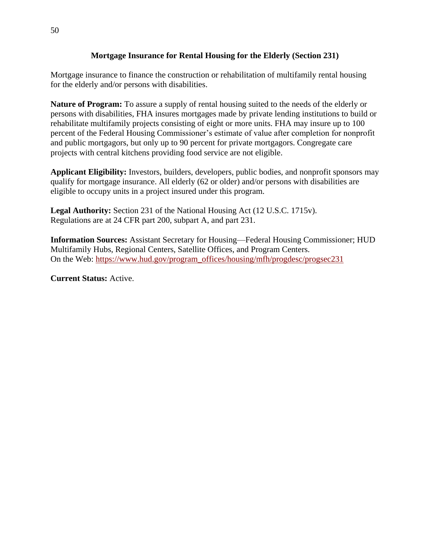#### **Mortgage Insurance for Rental Housing for the Elderly (Section 231)**

Mortgage insurance to finance the construction or rehabilitation of multifamily rental housing for the elderly and/or persons with disabilities.

**Nature of Program:** To assure a supply of rental housing suited to the needs of the elderly or persons with disabilities, FHA insures mortgages made by private lending institutions to build or rehabilitate multifamily projects consisting of eight or more units. FHA may insure up to 100 percent of the Federal Housing Commissioner's estimate of value after completion for nonprofit and public mortgagors, but only up to 90 percent for private mortgagors. Congregate care projects with central kitchens providing food service are not eligible.

**Applicant Eligibility:** Investors, builders, developers, public bodies, and nonprofit sponsors may qualify for mortgage insurance. All elderly (62 or older) and/or persons with disabilities are eligible to occupy units in a project insured under this program.

**Legal Authority:** Section 231 of the National Housing Act (12 U.S.C. 1715v). Regulations are at 24 CFR part 200, subpart A, and part 231.

**Information Sources:** Assistant Secretary for Housing—Federal Housing Commissioner; HUD Multifamily Hubs, Regional Centers, Satellite Offices, and Program Centers. On the Web: [https://www.hud.gov/program\\_offices/housing/mfh/progdesc/progsec231](https://www.hud.gov/program_offices/housing/mfh/progdesc/progsec231)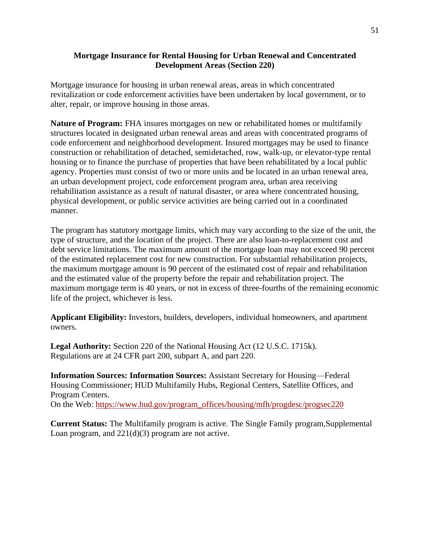#### **Mortgage Insurance for Rental Housing for Urban Renewal and Concentrated Development Areas (Section 220)**

Mortgage insurance for housing in urban renewal areas, areas in which concentrated revitalization or code enforcement activities have been undertaken by local government, or to alter, repair, or improve housing in those areas.

**Nature of Program:** FHA insures mortgages on new or rehabilitated homes or multifamily structures located in designated urban renewal areas and areas with concentrated programs of code enforcement and neighborhood development. Insured mortgages may be used to finance construction or rehabilitation of detached, semidetached, row, walk-up, or elevator-type rental housing or to finance the purchase of properties that have been rehabilitated by a local public agency. Properties must consist of two or more units and be located in an urban renewal area, an urban development project, code enforcement program area, urban area receiving rehabilitation assistance as a result of natural disaster, or area where concentrated housing, physical development, or public service activities are being carried out in a coordinated manner.

The program has statutory mortgage limits, which may vary according to the size of the unit, the type of structure, and the location of the project. There are also loan-to-replacement cost and debt service limitations. The maximum amount of the mortgage loan may not exceed 90 percent of the estimated replacement cost for new construction. For substantial rehabilitation projects, the maximum mortgage amount is 90 percent of the estimated cost of repair and rehabilitation and the estimated value of the property before the repair and rehabilitation project. The maximum mortgage term is 40 years, or not in excess of three-fourths of the remaining economic life of the project, whichever is less.

**Applicant Eligibility:** Investors, builders, developers, individual homeowners, and apartment owners.

**Legal Authority:** Section 220 of the National Housing Act (12 U.S.C. 1715k). Regulations are at 24 CFR part 200, subpart A, and part 220.

**Information Sources: Information Sources:** Assistant Secretary for Housing—Federal Housing Commissioner; HUD Multifamily Hubs, Regional Centers, Satellite Offices, and Program Centers. On the Web: [https://www.hud.gov/program\\_offices/housing/mfh/progdesc/progsec220](https://www.hud.gov/program_offices/housing/mfh/progdesc/progsec220)

**Current Status:** The Multifamily program is active. The Single Family program,Supplemental Loan program, and 221(d)(3) program are not active.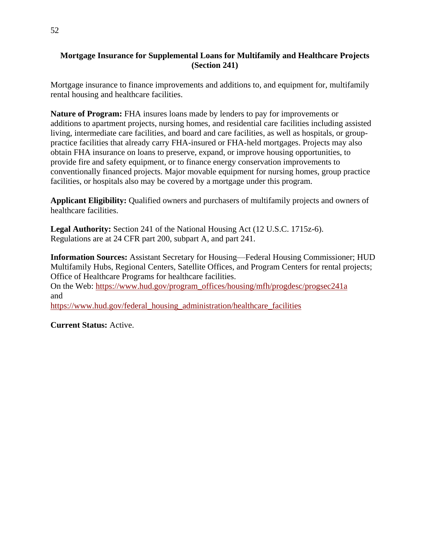#### **Mortgage Insurance for Supplemental Loans for Multifamily and Healthcare Projects (Section 241)**

Mortgage insurance to finance improvements and additions to, and equipment for, multifamily rental housing and healthcare facilities.

**Nature of Program:** FHA insures loans made by lenders to pay for improvements or additions to apartment projects, nursing homes, and residential care facilities including assisted living, intermediate care facilities, and board and care facilities, as well as hospitals, or grouppractice facilities that already carry FHA-insured or FHA-held mortgages. Projects may also obtain FHA insurance on loans to preserve, expand, or improve housing opportunities, to provide fire and safety equipment, or to finance energy conservation improvements to conventionally financed projects. Major movable equipment for nursing homes, group practice facilities, or hospitals also may be covered by a mortgage under this program.

**Applicant Eligibility:** Qualified owners and purchasers of multifamily projects and owners of healthcare facilities.

**Legal Authority:** Section 241 of the National Housing Act (12 U.S.C. 1715z-6). Regulations are at 24 CFR part 200, subpart A, and part 241.

**Information Sources:** Assistant Secretary for Housing—Federal Housing Commissioner; HUD Multifamily Hubs, Regional Centers, Satellite Offices, and Program Centers for rental projects; Office of Healthcare Programs for healthcare facilities.

On the Web: [https://www.hud.gov/program\\_offices/housing/mfh/progdesc/progsec241a](https://www.hud.gov/program_offices/housing/mfh/progdesc/progsec241a) and

[https://www.hud.gov/federal\\_housing\\_administration/healthcare\\_facilities](https://www.hud.gov/federal_housing_administration/healthcare_facilities)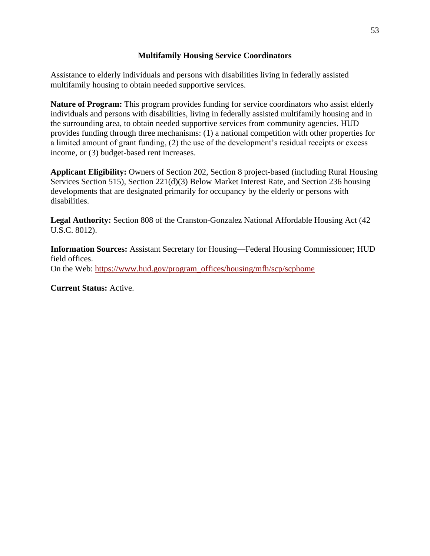#### **Multifamily Housing Service Coordinators**

Assistance to elderly individuals and persons with disabilities living in federally assisted multifamily housing to obtain needed supportive services.

**Nature of Program:** This program provides funding for service coordinators who assist elderly individuals and persons with disabilities, living in federally assisted multifamily housing and in the surrounding area, to obtain needed supportive services from community agencies. HUD provides funding through three mechanisms: (1) a national competition with other properties for a limited amount of grant funding, (2) the use of the development's residual receipts or excess income, or (3) budget-based rent increases.

**Applicant Eligibility:** Owners of Section 202, Section 8 project-based (including Rural Housing Services Section 515), Section 221(d)(3) Below Market Interest Rate, and Section 236 housing developments that are designated primarily for occupancy by the elderly or persons with disabilities.

**Legal Authority:** Section 808 of the Cranston-Gonzalez National Affordable Housing Act (42 U.S.C. 8012).

**Information Sources:** Assistant Secretary for Housing—Federal Housing Commissioner; HUD field offices. On the Web: [https://www.hud.gov/program\\_offices/housing/mfh/scp/scphome](https://www.hud.gov/program_offices/housing/mfh/scp/scphome)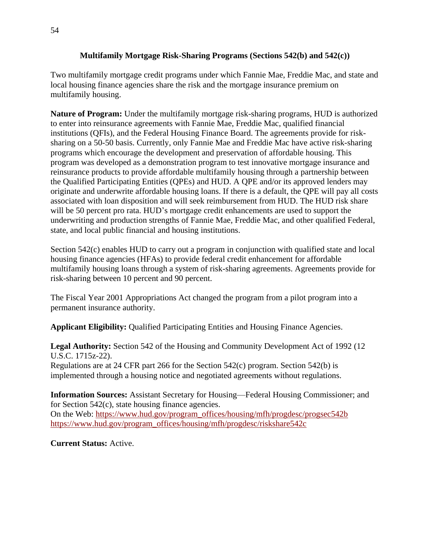#### **Multifamily Mortgage Risk-Sharing Programs (Sections 542(b) and 542(c))**

Two multifamily mortgage credit programs under which Fannie Mae, Freddie Mac, and state and local housing finance agencies share the risk and the mortgage insurance premium on multifamily housing.

**Nature of Program:** Under the multifamily mortgage risk-sharing programs, HUD is authorized to enter into reinsurance agreements with Fannie Mae, Freddie Mac, qualified financial institutions (QFIs), and the Federal Housing Finance Board. The agreements provide for risksharing on a 50-50 basis. Currently, only Fannie Mae and Freddie Mac have active risk-sharing programs which encourage the development and preservation of affordable housing. This program was developed as a demonstration program to test innovative mortgage insurance and reinsurance products to provide affordable multifamily housing through a partnership between the Qualified Participating Entities (QPEs) and HUD. A QPE and/or its approved lenders may originate and underwrite affordable housing loans. If there is a default, the QPE will pay all costs associated with loan disposition and will seek reimbursement from HUD. The HUD risk share will be 50 percent pro rata. HUD's mortgage credit enhancements are used to support the underwriting and production strengths of Fannie Mae, Freddie Mac, and other qualified Federal, state, and local public financial and housing institutions.

Section 542(c) enables HUD to carry out a program in conjunction with qualified state and local housing finance agencies (HFAs) to provide federal credit enhancement for affordable multifamily housing loans through a system of risk-sharing agreements. Agreements provide for risk-sharing between 10 percent and 90 percent.

The Fiscal Year 2001 Appropriations Act changed the program from a pilot program into a permanent insurance authority.

**Applicant Eligibility:** Qualified Participating Entities and Housing Finance Agencies.

**Legal Authority:** Section 542 of the Housing and Community Development Act of 1992 (12 U.S.C. 1715z-22).

Regulations are at 24 CFR part 266 for the Section 542(c) program. Section 542(b) is implemented through a housing notice and negotiated agreements without regulations.

**Information Sources:** Assistant Secretary for Housing—Federal Housing Commissioner; and for Section 542(c), state housing finance agencies. On the Web: [https://www.hud.gov/program\\_offices/housing/mfh/progdesc/progsec542b](https://www.hud.gov/program_offices/housing/mfh/progdesc/progsec542b) [https://www.hud.gov/program\\_offices/housing/mfh/progdesc/riskshare542c](https://www.hud.gov/program_offices/housing/mfh/progdesc/riskshare542c)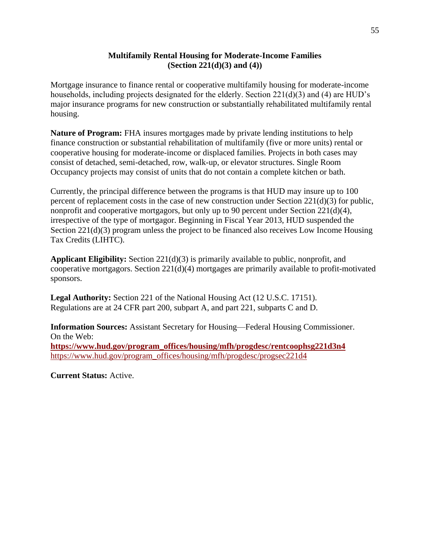#### **Multifamily Rental Housing for Moderate-Income Families (Section 221(d)(3) and (4))**

Mortgage insurance to finance rental or cooperative multifamily housing for moderate-income households, including projects designated for the elderly. Section 221(d)(3) and (4) are HUD's major insurance programs for new construction or substantially rehabilitated multifamily rental housing.

**Nature of Program:** FHA insures mortgages made by private lending institutions to help finance construction or substantial rehabilitation of multifamily (five or more units) rental or cooperative housing for moderate-income or displaced families. Projects in both cases may consist of detached, semi-detached, row, walk-up, or elevator structures. Single Room Occupancy projects may consist of units that do not contain a complete kitchen or bath.

Currently, the principal difference between the programs is that HUD may insure up to 100 percent of replacement costs in the case of new construction under Section 221(d)(3) for public, nonprofit and cooperative mortgagors, but only up to 90 percent under Section 221(d)(4), irrespective of the type of mortgagor. Beginning in Fiscal Year 2013, HUD suspended the Section 221(d)(3) program unless the project to be financed also receives Low Income Housing Tax Credits (LIHTC).

**Applicant Eligibility:** Section 221(d)(3) is primarily available to public, nonprofit, and cooperative mortgagors. Section 221(d)(4) mortgages are primarily available to profit-motivated sponsors.

**Legal Authority:** Section 221 of the National Housing Act (12 U.S.C. 17151). Regulations are at 24 CFR part 200, subpart A, and part 221, subparts C and D.

**Information Sources:** Assistant Secretary for Housing—Federal Housing Commissioner. On the Web: **[https://www.hud.gov/program\\_offices/housing/mfh/progdesc/rentcoophsg221d3n4](https://www.hud.gov/program_offices/housing/mfh/progdesc/rentcoophsg221d3n4)** [https://www.hud.gov/program\\_offices/housing/mfh/progdesc/progsec221d4](https://www.hud.gov/program_offices/housing/mfh/progdesc/progsec221d4)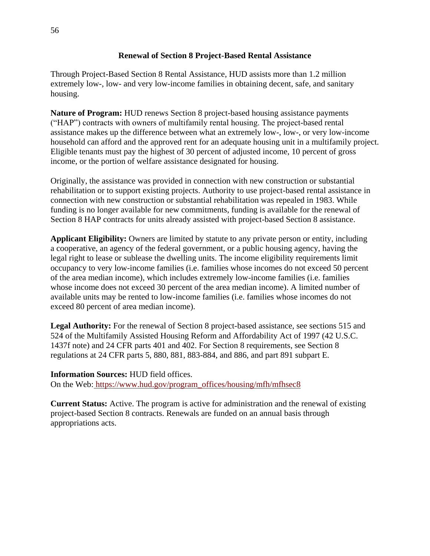#### **Renewal of Section 8 Project-Based Rental Assistance**

Through Project-Based Section 8 Rental Assistance, HUD assists more than 1.2 million extremely low-, low- and very low-income families in obtaining decent, safe, and sanitary housing.

**Nature of Program:** HUD renews Section 8 project-based housing assistance payments ("HAP") contracts with owners of multifamily rental housing. The project-based rental assistance makes up the difference between what an extremely low-, low-, or very low-income household can afford and the approved rent for an adequate housing unit in a multifamily project. Eligible tenants must pay the highest of 30 percent of adjusted income, 10 percent of gross income, or the portion of welfare assistance designated for housing.

Originally, the assistance was provided in connection with new construction or substantial rehabilitation or to support existing projects. Authority to use project-based rental assistance in connection with new construction or substantial rehabilitation was repealed in 1983. While funding is no longer available for new commitments, funding is available for the renewal of Section 8 HAP contracts for units already assisted with project-based Section 8 assistance.

**Applicant Eligibility:** Owners are limited by statute to any private person or entity, including a cooperative, an agency of the federal government, or a public housing agency, having the legal right to lease or sublease the dwelling units. The income eligibility requirements limit occupancy to very low-income families (i.e. families whose incomes do not exceed 50 percent of the area median income), which includes extremely low-income families (i.e. families whose income does not exceed 30 percent of the area median income). A limited number of available units may be rented to low-income families (i.e. families whose incomes do not exceed 80 percent of area median income).

**Legal Authority:** For the renewal of Section 8 project-based assistance, see sections 515 and 524 of the Multifamily Assisted Housing Reform and Affordability Act of 1997 (42 U.S.C. 1437f note) and 24 CFR parts 401 and 402. For Section 8 requirements, see Section 8 regulations at 24 CFR parts 5, 880, 881, 883-884, and 886, and part 891 subpart E.

#### **Information Sources:** HUD field offices.

On the Web: [https://www.hud.gov/program\\_offices/housing/mfh/mfhsec8](https://www.hud.gov/program_offices/housing/mfh/mfhsec8)

**Current Status:** Active. The program is active for administration and the renewal of existing project-based Section 8 contracts. Renewals are funded on an annual basis through appropriations acts.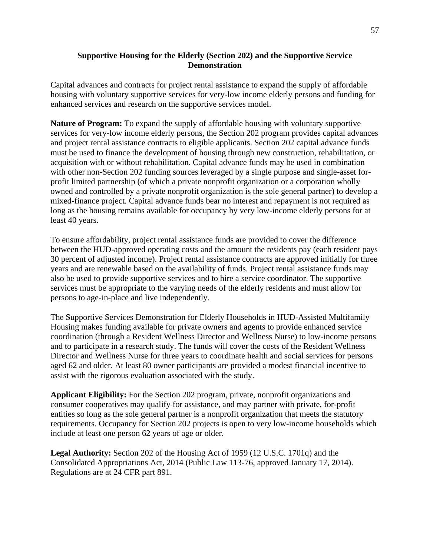#### **Supportive Housing for the Elderly (Section 202) and the Supportive Service Demonstration**

Capital advances and contracts for project rental assistance to expand the supply of affordable housing with voluntary supportive services for very-low income elderly persons and funding for enhanced services and research on the supportive services model.

**Nature of Program:** To expand the supply of affordable housing with voluntary supportive services for very-low income elderly persons, the Section 202 program provides capital advances and project rental assistance contracts to eligible applicants. Section 202 capital advance funds must be used to finance the development of housing through new construction, rehabilitation, or acquisition with or without rehabilitation. Capital advance funds may be used in combination with other non-Section 202 funding sources leveraged by a single purpose and single-asset forprofit limited partnership (of which a private nonprofit organization or a corporation wholly owned and controlled by a private nonprofit organization is the sole general partner) to develop a mixed-finance project. Capital advance funds bear no interest and repayment is not required as long as the housing remains available for occupancy by very low-income elderly persons for at least 40 years.

To ensure affordability, project rental assistance funds are provided to cover the difference between the HUD-approved operating costs and the amount the residents pay (each resident pays 30 percent of adjusted income). Project rental assistance contracts are approved initially for three years and are renewable based on the availability of funds. Project rental assistance funds may also be used to provide supportive services and to hire a service coordinator. The supportive services must be appropriate to the varying needs of the elderly residents and must allow for persons to age-in-place and live independently.

The Supportive Services Demonstration for Elderly Households in HUD-Assisted Multifamily Housing makes funding available for private owners and agents to provide enhanced service coordination (through a Resident Wellness Director and Wellness Nurse) to low-income persons and to participate in a research study. The funds will cover the costs of the Resident Wellness Director and Wellness Nurse for three years to coordinate health and social services for persons aged 62 and older. At least 80 owner participants are provided a modest financial incentive to assist with the rigorous evaluation associated with the study.

**Applicant Eligibility:** For the Section 202 program, private, nonprofit organizations and consumer cooperatives may qualify for assistance, and may partner with private, for-profit entities so long as the sole general partner is a nonprofit organization that meets the statutory requirements. Occupancy for Section 202 projects is open to very low-income households which include at least one person 62 years of age or older.

**Legal Authority:** Section 202 of the Housing Act of 1959 (12 U.S.C. 1701q) and the Consolidated Appropriations Act, 2014 (Public Law 113-76, approved January 17, 2014). Regulations are at 24 CFR part 891.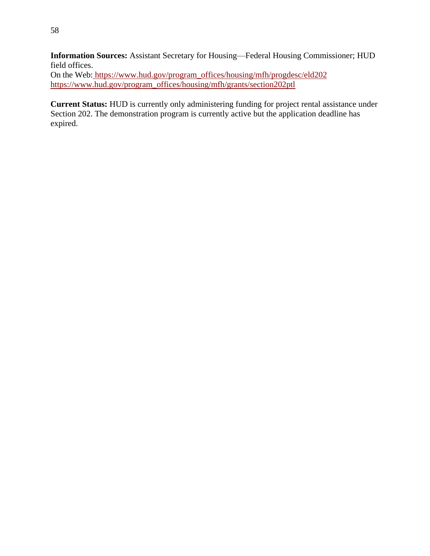**Information Sources:** Assistant Secretary for Housing—Federal Housing Commissioner; HUD field offices.

On the Web: [https://www.hud.gov/program\\_offices/housing/mfh/progdesc/eld202](https://www.hud.gov/program_offices/housing/mfh/progdesc/eld202) [https://www.hud.gov/program\\_offices/housing/mfh/grants/section202ptl](https://www.hud.gov/program_offices/housing/mfh/grants/section202ptl)

**Current Status:** HUD is currently only administering funding for project rental assistance under Section 202. The demonstration program is currently active but the application deadline has expired.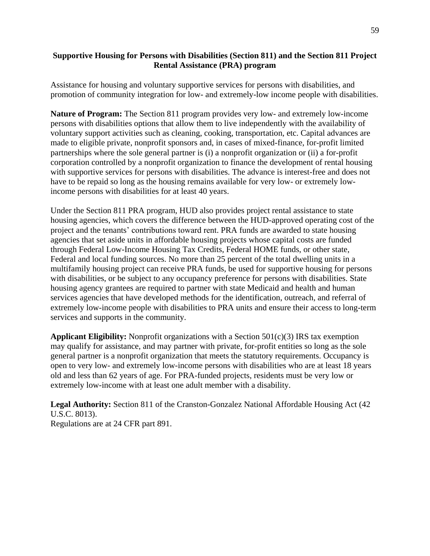#### **Supportive Housing for Persons with Disabilities (Section 811) and the Section 811 Project Rental Assistance (PRA) program**

Assistance for housing and voluntary supportive services for persons with disabilities, and promotion of community integration for low- and extremely-low income people with disabilities.

**Nature of Program:** The Section 811 program provides very low- and extremely low-income persons with disabilities options that allow them to live independently with the availability of voluntary support activities such as cleaning, cooking, transportation, etc. Capital advances are made to eligible private, nonprofit sponsors and, in cases of mixed-finance, for-profit limited partnerships where the sole general partner is (i) a nonprofit organization or (ii) a for-profit corporation controlled by a nonprofit organization to finance the development of rental housing with supportive services for persons with disabilities. The advance is interest-free and does not have to be repaid so long as the housing remains available for very low- or extremely lowincome persons with disabilities for at least 40 years.

Under the Section 811 PRA program, HUD also provides project rental assistance to state housing agencies, which covers the difference between the HUD-approved operating cost of the project and the tenants' contributions toward rent. PRA funds are awarded to state housing agencies that set aside units in affordable housing projects whose capital costs are funded through Federal Low-Income Housing Tax Credits, Federal HOME funds, or other state, Federal and local funding sources. No more than 25 percent of the total dwelling units in a multifamily housing project can receive PRA funds, be used for supportive housing for persons with disabilities, or be subject to any occupancy preference for persons with disabilities. State housing agency grantees are required to partner with state Medicaid and health and human services agencies that have developed methods for the identification, outreach, and referral of extremely low-income people with disabilities to PRA units and ensure their access to long-term services and supports in the community.

**Applicant Eligibility:** Nonprofit organizations with a Section 501(c)(3) IRS tax exemption may qualify for assistance, and may partner with private, for-profit entities so long as the sole general partner is a nonprofit organization that meets the statutory requirements. Occupancy is open to very low- and extremely low-income persons with disabilities who are at least 18 years old and less than 62 years of age. For PRA-funded projects, residents must be very low or extremely low-income with at least one adult member with a disability.

**Legal Authority:** Section 811 of the Cranston-Gonzalez National Affordable Housing Act (42 U.S.C. 8013). Regulations are at 24 CFR part 891.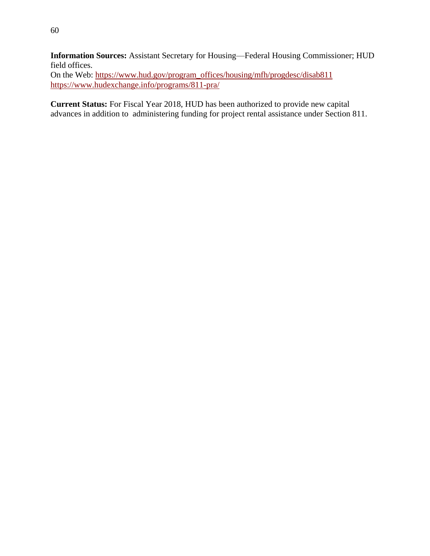60

**Information Sources:** Assistant Secretary for Housing—Federal Housing Commissioner; HUD field offices.

On the Web: [https://www.hud.gov/program\\_offices/housing/mfh/progdesc/disab811](https://www.hud.gov/program_offices/housing/mfh/progdesc/disab811) <https://www.hudexchange.info/programs/811-pra/>

**Current Status:** For Fiscal Year 2018, HUD has been authorized to provide new capital advances in addition to administering funding for project rental assistance under Section 811.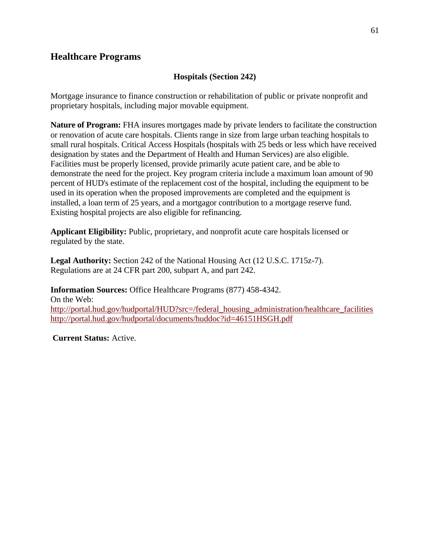# **Healthcare Programs**

## **Hospitals (Section 242)**

Mortgage insurance to finance construction or rehabilitation of public or private nonprofit and proprietary hospitals, including major movable equipment.

**Nature of Program:** FHA insures mortgages made by private lenders to facilitate the construction or renovation of acute care hospitals. Clients range in size from large urban teaching hospitals to small rural hospitals. Critical Access Hospitals (hospitals with 25 beds or less which have received designation by states and the Department of Health and Human Services) are also eligible. Facilities must be properly licensed, provide primarily acute patient care, and be able to demonstrate the need for the project. Key program criteria include a maximum loan amount of 90 percent of HUD's estimate of the replacement cost of the [hospital,](https://www.law.cornell.edu/definitions/index.php?width=840&height=800&iframe=true&def_id=c8003dd30582ae1f9ad3b24855d801be&term_occur=1&term_src=Title:24:Subtitle:B:Chapter:II:Subchapter:B:Part:242:Subpart:A:242.7) including the [equipment](https://www.law.cornell.edu/definitions/index.php?width=840&height=800&iframe=true&def_id=2121ec5527d1e2ca8c4f981b168b3c60&term_occur=1&term_src=Title:24:Subtitle:B:Chapter:II:Subchapter:B:Part:242:Subpart:A:242.7) to be used in its operation when the proposed improvements are completed and the [equipment](https://www.law.cornell.edu/definitions/index.php?width=840&height=800&iframe=true&def_id=2121ec5527d1e2ca8c4f981b168b3c60&term_occur=2&term_src=Title:24:Subtitle:B:Chapter:II:Subchapter:B:Part:242:Subpart:A:242.7) is installed, a loan term of 25 years, and a mortgagor contribution to a mortgage reserve fund. Existing hospital projects are also eligible for refinancing.

**Applicant Eligibility:** Public, proprietary, and nonprofit acute care hospitals licensed or regulated by the state.

**Legal Authority:** Section 242 of the National Housing Act (12 U.S.C. 1715z-7). Regulations are at 24 CFR part 200, subpart A, and part 242.

**Information Sources:** Office Healthcare Programs (877) 458-4342. On the Web: [http://portal.hud.gov/hudportal/HUD?src=/federal\\_housing\\_administration/healthcare\\_facilities](http://portal.hud.gov/hudportal/HUD?src=/federal_housing_administration/healthcare_facilities) <http://portal.hud.gov/hudportal/documents/huddoc?id=46151HSGH.pdf>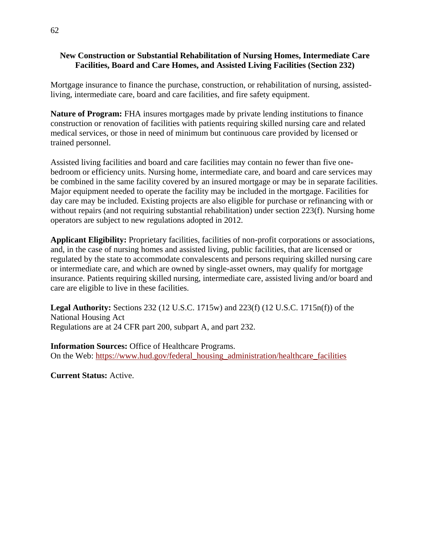#### **New Construction or Substantial Rehabilitation of Nursing Homes, Intermediate Care Facilities, Board and Care Homes, and Assisted Living Facilities (Section 232)**

Mortgage insurance to finance the purchase, construction, or rehabilitation of nursing, assistedliving, intermediate care, board and care facilities, and fire safety equipment.

**Nature of Program:** FHA insures mortgages made by private lending institutions to finance construction or renovation of facilities with patients requiring skilled nursing care and related medical services, or those in need of minimum but continuous care provided by licensed or trained personnel.

Assisted living facilities and board and care facilities may contain no fewer than five onebedroom or efficiency units. Nursing home, intermediate care, and board and care services may be combined in the same facility covered by an insured mortgage or may be in separate facilities. Major equipment needed to operate the facility may be included in the mortgage. Facilities for day care may be included. Existing projects are also eligible for purchase or refinancing with or without repairs (and not requiring substantial rehabilitation) under section 223(f). Nursing home operators are subject to new regulations adopted in 2012.

**Applicant Eligibility:** Proprietary facilities, facilities of non-profit corporations or associations, and, in the case of nursing homes and assisted living, public facilities, that are licensed or regulated by the state to accommodate convalescents and persons requiring skilled nursing care or intermediate care, and which are owned by single-asset owners, may qualify for mortgage insurance. Patients requiring skilled nursing, intermediate care, assisted living and/or board and care are eligible to live in these facilities.

**Legal Authority:** Sections 232 (12 U.S.C. 1715w) and 223(f) (12 U.S.C. 1715n(f)) of the National Housing Act Regulations are at 24 CFR part 200, subpart A, and part 232.

**Information Sources:** Office of Healthcare Programs. On the Web: [https://www.hud.gov/federal\\_housing\\_administration/healthcare\\_facilities](https://www.hud.gov/federal_housing_administration/healthcare_facilities)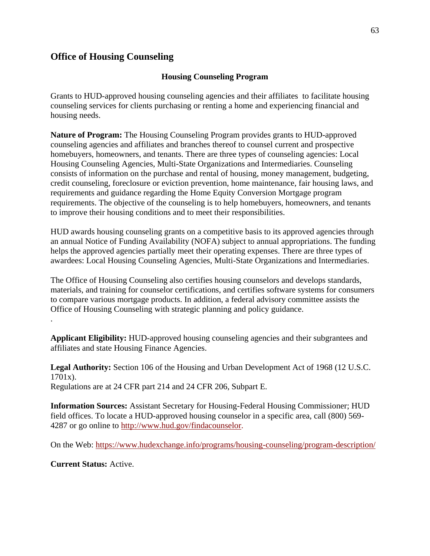# **Office of Housing Counseling**

#### **Housing Counseling Program**

Grants to HUD-approved housing counseling agencies and their affiliates to facilitate housing counseling services for clients purchasing or renting a home and experiencing financial and housing needs.

**Nature of Program:** The Housing Counseling Program provides grants to HUD-approved counseling agencies and affiliates and branches thereof to counsel current and prospective homebuyers, homeowners, and tenants. There are three types of counseling agencies: Local Housing Counseling Agencies, Multi-State Organizations and Intermediaries. Counseling consists of information on the purchase and rental of housing, money management, budgeting, credit counseling, foreclosure or eviction prevention, home maintenance, fair housing laws, and requirements and guidance regarding the Home Equity Conversion Mortgage program requirements. The objective of the counseling is to help homebuyers, homeowners, and tenants to improve their housing conditions and to meet their responsibilities.

HUD awards housing counseling grants on a competitive basis to its approved agencies through an annual Notice of Funding Availability (NOFA) subject to annual appropriations. The funding helps the approved agencies partially meet their operating expenses. There are three types of awardees: Local Housing Counseling Agencies, Multi-State Organizations and Intermediaries.

The Office of Housing Counseling also certifies housing counselors and develops standards, materials, and training for counselor certifications, and certifies software systems for consumers to compare various mortgage products. In addition, a federal advisory committee assists the Office of Housing Counseling with strategic planning and policy guidance. .

**Applicant Eligibility:** HUD-approved housing counseling agencies and their subgrantees and affiliates and state Housing Finance Agencies.

**Legal Authority:** Section 106 of the Housing and Urban Development Act of 1968 (12 U.S.C. 1701x).

Regulations are at 24 CFR part 214 and 24 CFR 206, Subpart E.

**Information Sources:** Assistant Secretary for Housing-Federal Housing Commissioner; HUD field offices. To locate a HUD-approved housing counselor in a specific area, call (800) 569- 4287 or go online to [http://www.hud.gov/findacounselor.](http://www.hud.gov/findacounselor)

On the Web: <https://www.hudexchange.info/programs/housing-counseling/program-description/>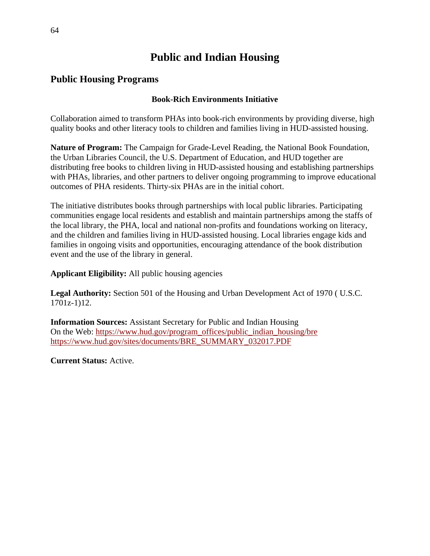# **Public and Indian Housing**

# **Public Housing Programs**

## **Book-Rich Environments Initiative**

Collaboration aimed to transform PHAs into book-rich environments by providing diverse, high quality books and other literacy tools to children and families living in HUD-assisted housing.

**Nature of Program:** The Campaign for Grade-Level Reading, the National Book Foundation, the Urban Libraries Council, the U.S. Department of Education, and HUD together are distributing free books to children living in HUD-assisted housing and establishing partnerships with PHAs, libraries, and other partners to deliver ongoing programming to improve educational outcomes of PHA residents. Thirty-six PHAs are in the initial cohort.

The initiative distributes books through partnerships with local public libraries. Participating communities engage local residents and establish and maintain partnerships among the staffs of the local library, the PHA, local and national non-profits and foundations working on literacy, and the children and families living in HUD-assisted housing. Local libraries engage kids and families in ongoing visits and opportunities, encouraging attendance of the book distribution event and the use of the library in general.

**Applicant Eligibility:** All public housing agencies

**Legal Authority:** Section 501 of the Housing and Urban Development Act of 1970 ( U.S.C. 1701z-1)12.

**Information Sources:** Assistant Secretary for Public and Indian Housing On the Web: [https://www.hud.gov/program\\_offices/public\\_indian\\_housing/bre](https://www.hud.gov/program_offices/public_indian_housing/bre) [https://www.hud.gov/sites/documents/BRE\\_SUMMARY\\_032017.PDF](https://www.hud.gov/sites/documents/BRE_SUMMARY_032017.PDF)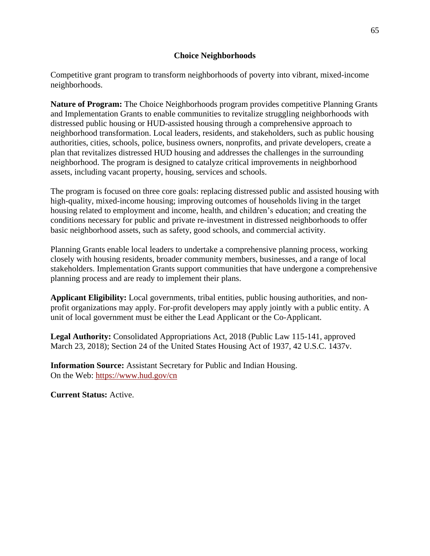#### **Choice Neighborhoods**

Competitive grant program to transform neighborhoods of poverty into vibrant, mixed-income neighborhoods.

**Nature of Program:** The Choice Neighborhoods program provides competitive Planning Grants and Implementation Grants to enable communities to revitalize struggling neighborhoods with distressed public housing or HUD-assisted housing through a comprehensive approach to neighborhood transformation. Local leaders, residents, and stakeholders, such as public housing authorities, cities, schools, police, business owners, nonprofits, and private developers, create a plan that revitalizes distressed HUD housing and addresses the challenges in the surrounding neighborhood. The program is designed to catalyze critical improvements in neighborhood assets, including vacant property, housing, services and schools.

The program is focused on three core goals: replacing distressed public and assisted housing with high-quality, mixed-income housing; improving outcomes of households living in the target housing related to employment and income, health, and children's education; and creating the conditions necessary for public and private re-investment in distressed neighborhoods to offer basic neighborhood assets, such as safety, good schools, and commercial activity.

Planning Grants enable local leaders to undertake a comprehensive planning process, working closely with housing residents, broader community members, businesses, and a range of local stakeholders. Implementation Grants support communities that have undergone a comprehensive planning process and are ready to implement their plans.

**Applicant Eligibility:** Local governments, tribal entities, public housing authorities, and nonprofit organizations may apply. For-profit developers may apply jointly with a public entity. A unit of local government must be either the Lead Applicant or the Co-Applicant.

**Legal Authority:** Consolidated Appropriations Act, 2018 (Public Law 115-141, approved March 23, 2018); Section 24 of the United States Housing Act of 1937, 42 U.S.C. 1437v.

**Information Source:** Assistant Secretary for Public and Indian Housing. On the Web: https://www.hud.gov/cn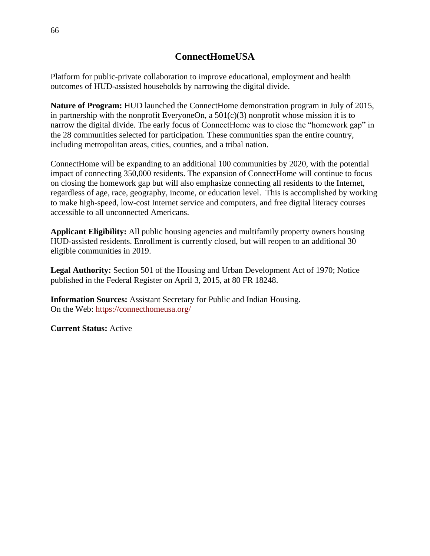# **ConnectHomeUSA**

Platform for public-private collaboration to improve educational, employment and health outcomes of HUD-assisted households by narrowing the digital divide.

**Nature of Program:** HUD launched the ConnectHome demonstration program in July of 2015, in partnership with the nonprofit EveryoneOn, a  $501(c)(3)$  nonprofit whose mission it is to narrow the digital divide. The early focus of ConnectHome was to close the "homework gap" in the 28 communities selected for participation. These communities span the entire country, including metropolitan areas, cities, counties, and a tribal nation.

ConnectHome will be expanding to an additional 100 communities by 2020, with the potential impact of connecting 350,000 residents. The expansion of ConnectHome will continue to focus on closing the homework gap but will also emphasize connecting all residents to the Internet, regardless of age, race, geography, income, or education level. This is accomplished by working to make high-speed, low-cost Internet service and computers, and free digital literacy courses accessible to all unconnected Americans.

**Applicant Eligibility:** All public housing agencies and multifamily property owners housing HUD-assisted residents. Enrollment is currently closed, but will reopen to an additional 30 eligible communities in 2019.

**Legal Authority:** Section 501 of the Housing and Urban Development Act of 1970; Notice published in the Federal Register on April 3, 2015, at 80 FR 18248.

**Information Sources:** Assistant Secretary for Public and Indian Housing. On the Web: <https://connecthomeusa.org/>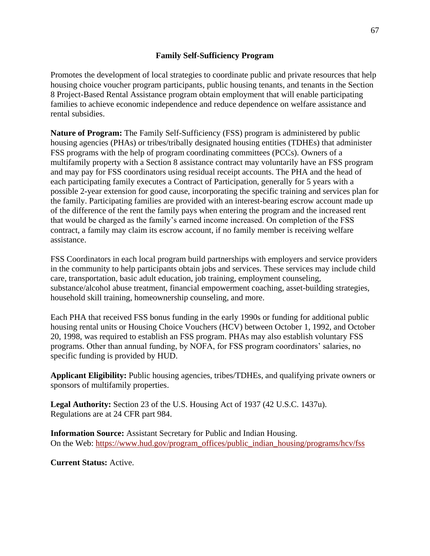#### **Family Self-Sufficiency Program**

Promotes the development of local strategies to coordinate public and private resources that help housing choice voucher program participants, public housing tenants, and tenants in the Section 8 Project-Based Rental Assistance program obtain employment that will enable participating families to achieve economic independence and reduce dependence on welfare assistance and rental subsidies.

**Nature of Program:** The Family Self-Sufficiency (FSS) program is administered by public housing agencies (PHAs) or tribes/tribally designated housing entities (TDHEs) that administer FSS programs with the help of program coordinating committees (PCCs). Owners of a multifamily property with a Section 8 assistance contract may voluntarily have an FSS program and may pay for FSS coordinators using residual receipt accounts. The PHA and the head of each participating family executes a Contract of Participation, generally for 5 years with a possible 2-year extension for good cause, incorporating the specific training and services plan for the family. Participating families are provided with an interest-bearing escrow account made up of the difference of the rent the family pays when entering the program and the increased rent that would be charged as the family's earned income increased. On completion of the FSS contract, a family may claim its escrow account, if no family member is receiving welfare assistance.

FSS Coordinators in each local program build partnerships with employers and service providers in the community to help participants obtain jobs and services. These services may include child care, transportation, basic adult education, job training, employment counseling, substance/alcohol abuse treatment, financial empowerment coaching, asset-building strategies, household skill training, homeownership counseling, and more.

Each PHA that received FSS bonus funding in the early 1990s or funding for additional public housing rental units or Housing Choice Vouchers (HCV) between October 1, 1992, and October 20, 1998, was required to establish an FSS program. PHAs may also establish voluntary FSS programs. Other than annual funding, by NOFA, for FSS program coordinators' salaries, no specific funding is provided by HUD.

**Applicant Eligibility:** Public housing agencies, tribes/TDHEs, and qualifying private owners or sponsors of multifamily properties.

**Legal Authority:** Section 23 of the U.S. Housing Act of 1937 (42 U.S.C. 1437u). Regulations are at 24 CFR part 984.

**Information Source:** Assistant Secretary for Public and Indian Housing. On the Web: https://www.hud.gov/program\_offices/public\_indian\_housing/programs/hcv/fss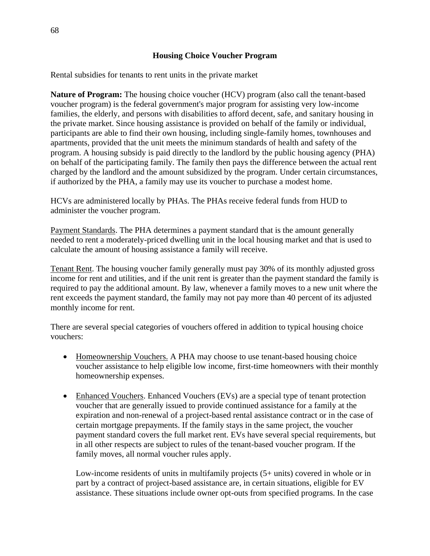Rental subsidies for tenants to rent units in the private market

**Nature of Program:** The housing choice voucher (HCV) program (also call the tenant-based voucher program) is the federal government's major program for assisting very low-income families, the elderly, and persons with disabilities to afford decent, safe, and sanitary housing in the private market. Since housing assistance is provided on behalf of the family or individual, participants are able to find their own housing, including single-family homes, townhouses and apartments, provided that the unit meets the minimum standards of health and safety of the program. A housing subsidy is paid directly to the landlord by the public housing agency (PHA) on behalf of the participating family. The family then pays the difference between the actual rent charged by the landlord and the amount subsidized by the program. Under certain circumstances, if authorized by the PHA, a family may use its voucher to purchase a modest home.

HCVs are administered locally by PHAs. The PHAs receive federal funds from HUD to administer the voucher program.

Payment Standards. The PHA determines a payment standard that is the amount generally needed to rent a moderately-priced dwelling unit in the local housing market and that is used to calculate the amount of housing assistance a family will receive.

Tenant Rent. The housing voucher family generally must pay 30% of its monthly adjusted gross income for rent and utilities, and if the unit rent is greater than the payment standard the family is required to pay the additional amount. By law, whenever a family moves to a new unit where the rent exceeds the payment standard, the family may not pay more than 40 percent of its adjusted monthly income for rent.

There are several special categories of vouchers offered in addition to typical housing choice vouchers:

- Homeownership Vouchers. A PHA may choose to use tenant-based housing choice voucher assistance to help eligible low income, first-time homeowners with their monthly homeownership expenses.
- Enhanced Vouchers. Enhanced Vouchers (EVs) are a special type of tenant protection voucher that are generally issued to provide continued assistance for a family at the expiration and non-renewal of a project-based rental assistance contract or in the case of certain mortgage prepayments. If the family stays in the same project, the voucher payment standard covers the full market rent. EVs have several special requirements, but in all other respects are subject to rules of the tenant-based voucher program. If the family moves, all normal voucher rules apply.

Low-income residents of units in multifamily projects (5+ units) covered in whole or in part by a contract of project-based assistance are, in certain situations, eligible for EV assistance. These situations include owner opt-outs from specified programs. In the case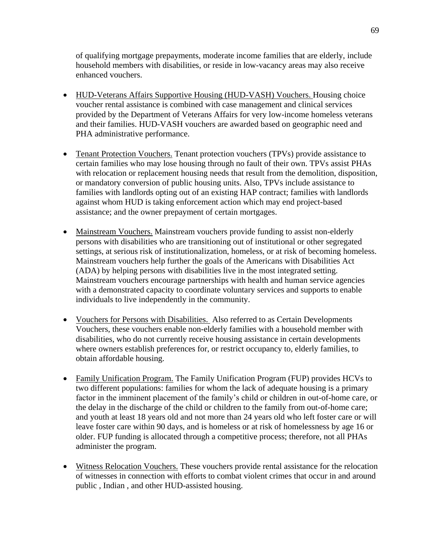of qualifying mortgage prepayments, moderate income families that are elderly, include household members with disabilities, or reside in low-vacancy areas may also receive enhanced vouchers.

- HUD-Veterans Affairs Supportive Housing (HUD-VASH) Vouchers. Housing choice voucher rental assistance is combined with case management and clinical services provided by the Department of Veterans Affairs for very low-income homeless veterans and their families. HUD-VASH vouchers are awarded based on geographic need and PHA administrative performance.
- Tenant Protection Vouchers. Tenant protection vouchers (TPVs) provide assistance to certain families who may lose housing through no fault of their own. TPVs assist PHAs with relocation or replacement housing needs that result from the demolition, disposition, or mandatory conversion of public housing units. Also, TPVs include assistance to families with landlords opting out of an existing HAP contract; families with landlords against whom HUD is taking enforcement action which may end project-based assistance; and the owner prepayment of certain mortgages.
- Mainstream Vouchers. Mainstream vouchers provide funding to assist non-elderly persons with disabilities who are transitioning out of institutional or other segregated settings, at serious risk of institutionalization, homeless, or at risk of becoming homeless. Mainstream vouchers help further the goals of the Americans with Disabilities Act (ADA) by helping persons with disabilities live in the most integrated setting. Mainstream vouchers encourage partnerships with health and human service agencies with a demonstrated capacity to coordinate voluntary services and supports to enable individuals to live independently in the community.
- Vouchers for Persons with Disabilities. Also referred to as Certain Developments Vouchers, these vouchers enable non-elderly families with a household member with disabilities, who do not currently receive housing assistance in certain developments where owners establish preferences for, or restrict occupancy to, elderly families, to obtain affordable housing.
- Family Unification Program. The Family Unification Program (FUP) provides HCVs to two different populations: families for whom the lack of adequate housing is a primary factor in the imminent placement of the family's child or children in out-of-home care, or the delay in the discharge of the child or children to the family from out-of-home care; and youth at least 18 years old and not more than 24 years old who left foster care or will leave foster care within 90 days, and is homeless or at risk of homelessness by age 16 or older. FUP funding is allocated through a competitive process; therefore, not all PHAs administer the program.
- Witness Relocation Vouchers. These vouchers provide rental assistance for the relocation of witnesses in connection with efforts to combat violent crimes that occur in and around public , Indian , and other HUD-assisted housing.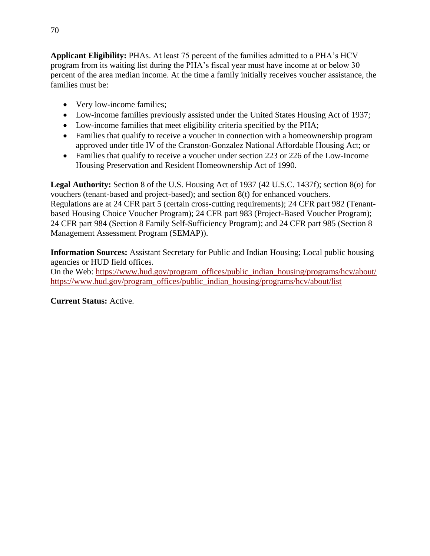**Applicant Eligibility:** PHAs. At least 75 percent of the families admitted to a PHA's HCV program from its waiting list during the PHA's fiscal year must have income at or below 30 percent of the area median income. At the time a family initially receives voucher assistance, the families must be:

- Very low-income families;
- Low-income families previously assisted under the United States Housing Act of 1937;
- Low-income families that meet eligibility criteria specified by the PHA;
- Families that qualify to receive a voucher in connection with a homeownership program approved under title IV of the Cranston-Gonzalez National Affordable Housing Act; or
- Families that qualify to receive a voucher under section 223 or 226 of the Low-Income Housing Preservation and Resident Homeownership Act of 1990.

**Legal Authority:** Section 8 of the U.S. Housing Act of 1937 (42 U.S.C. 1437f); section 8(o) for vouchers (tenant-based and project-based); and section 8(t) for enhanced vouchers. Regulations are at 24 CFR part 5 (certain cross-cutting requirements); 24 CFR part 982 (Tenantbased Housing Choice Voucher Program); 24 CFR part 983 (Project-Based Voucher Program); 24 CFR part 984 (Section 8 Family Self-Sufficiency Program); and 24 CFR part 985 (Section 8 Management Assessment Program (SEMAP)).

**Information Sources:** Assistant Secretary for Public and Indian Housing; Local public housing agencies or HUD field offices.

On the Web: [https://www.hud.gov/program\\_offices/public\\_indian\\_housing/programs/hcv/about/](https://www.hud.gov/program_offices/public_indian_housing/programs/hcv/about/) [https://www.hud.gov/program\\_offices/public\\_indian\\_housing/programs/hcv/about/list](https://www.hud.gov/program_offices/public_indian_housing/programs/hcv/about/list)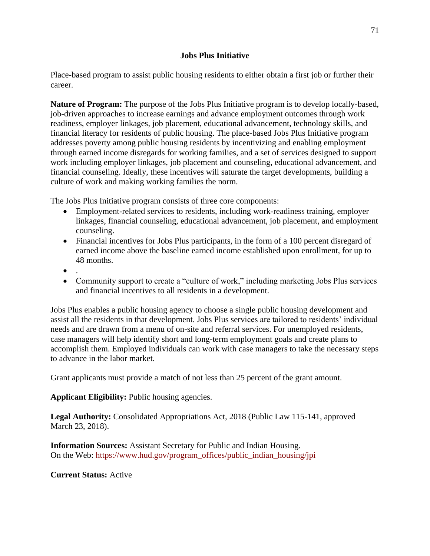#### **Jobs Plus Initiative**

Place-based program to assist public housing residents to either obtain a first job or further their career.

**Nature of Program:** The purpose of the Jobs Plus Initiative program is to develop locally-based, job-driven approaches to increase earnings and advance employment outcomes through work readiness, employer linkages, job placement, educational advancement, technology skills, and financial literacy for residents of public housing. The place-based Jobs Plus Initiative program addresses poverty among public housing residents by incentivizing and enabling employment through earned income disregards for working families, and a set of services designed to support work including employer linkages, job placement and counseling, educational advancement, and financial counseling. Ideally, these incentives will saturate the target developments, building a culture of work and making working families the norm.

The Jobs Plus Initiative program consists of three core components:

- Employment-related services to residents, including work-readiness training, employer linkages, financial counseling, educational advancement, job placement, and employment counseling.
- Financial incentives for Jobs Plus participants, in the form of a 100 percent disregard of earned income above the baseline earned income established upon enrollment, for up to 48 months.
- $\bullet$
- Community support to create a "culture of work," including marketing Jobs Plus services and financial incentives to all residents in a development.

Jobs Plus enables a public housing agency to choose a single public housing development and assist all the residents in that development. Jobs Plus services are tailored to residents' individual needs and are drawn from a menu of on-site and referral services. For unemployed residents, case managers will help identify short and long-term employment goals and create plans to accomplish them. Employed individuals can work with case managers to take the necessary steps to advance in the labor market.

Grant applicants must provide a match of not less than 25 percent of the grant amount.

**Applicant Eligibility:** Public housing agencies.

**Legal Authority:** Consolidated Appropriations Act, 2018 (Public Law 115-141, approved March 23, 2018).

**Information Sources:** Assistant Secretary for Public and Indian Housing. On the Web: [https://www.hud.gov/program\\_offices/public\\_indian\\_housing/jpi](https://www.hud.gov/program_offices/public_indian_housing/jpi)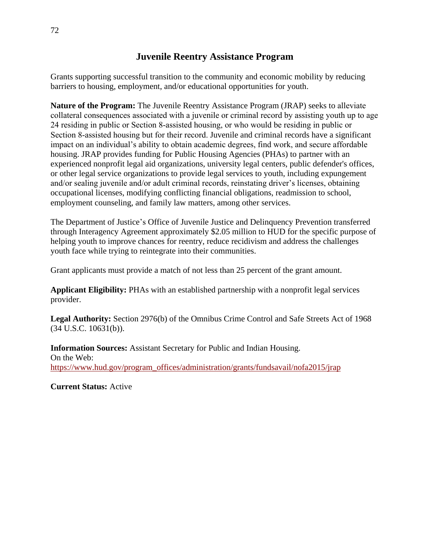## **Juvenile Reentry Assistance Program**

Grants supporting successful transition to the community and economic mobility by reducing barriers to housing, employment, and/or educational opportunities for youth.

**Nature of the Program:** The Juvenile Reentry Assistance Program (JRAP) seeks to alleviate collateral consequences associated with a juvenile or criminal record by assisting youth up to age 24 residing in public or Section 8-assisted housing, or who would be residing in public or Section 8-assisted housing but for their record. Juvenile and criminal records have a significant impact on an individual's ability to obtain academic degrees, find work, and secure affordable housing. JRAP provides funding for Public Housing Agencies (PHAs) to partner with an experienced nonprofit legal aid organizations, university legal centers, public defender's offices, or other legal service organizations to provide legal services to youth, including expungement and/or sealing juvenile and/or adult criminal records, reinstating driver's licenses, obtaining occupational licenses, modifying conflicting financial obligations, readmission to school, employment counseling, and family law matters, among other services.

The Department of Justice's Office of Juvenile Justice and Delinquency Prevention transferred through Interagency Agreement approximately \$2.05 million to HUD for the specific purpose of helping youth to improve chances for reentry, reduce recidivism and address the challenges youth face while trying to reintegrate into their communities.

Grant applicants must provide a match of not less than 25 percent of the grant amount.

**Applicant Eligibility:** PHAs with an established partnership with a nonprofit legal services provider.

**Legal Authority:** Section 2976(b) of the Omnibus Crime Control and Safe Streets Act of 1968 (34 U.S.C. 10631(b)).

**Information Sources:** Assistant Secretary for Public and Indian Housing. On the Web: [https://www.hud.gov/program\\_offices/administration/grants/fundsavail/nofa2015/jrap](https://www.hud.gov/program_offices/administration/grants/fundsavail/nofa2015/jrap)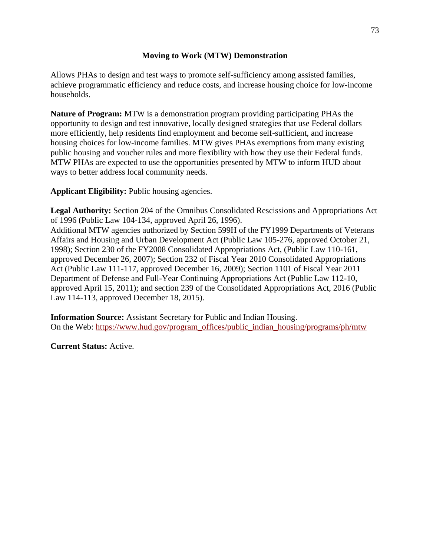#### **Moving to Work (MTW) Demonstration**

Allows PHAs to design and test ways to promote self-sufficiency among assisted families, achieve programmatic efficiency and reduce costs, and increase housing choice for low-income households.

**Nature of Program:** MTW is a demonstration program providing participating PHAs the opportunity to design and test innovative, locally designed strategies that use Federal dollars more efficiently, help residents find employment and become self-sufficient, and increase housing choices for low-income families. MTW gives PHAs exemptions from many existing public housing and voucher rules and more flexibility with how they use their Federal funds. MTW PHAs are expected to use the opportunities presented by MTW to inform HUD about ways to better address local community needs.

**Applicant Eligibility:** Public housing agencies.

**Legal Authority:** Section 204 of the Omnibus Consolidated Rescissions and Appropriations Act of 1996 (Public Law 104-134, approved April 26, 1996).

Additional MTW agencies authorized by Section 599H of the FY1999 Departments of Veterans Affairs and Housing and Urban Development Act (Public Law 105-276, approved October 21, 1998); Section 230 of the FY2008 Consolidated Appropriations Act, (Public Law 110-161, approved December 26, 2007); Section 232 of Fiscal Year 2010 Consolidated Appropriations Act (Public Law 111-117, approved December 16, 2009); Section 1101 of Fiscal Year 2011 Department of Defense and Full-Year Continuing Appropriations Act (Public Law 112-10, approved April 15, 2011); and section 239 of the Consolidated Appropriations Act, 2016 (Public Law 114-113, approved December 18, 2015).

**Information Source:** Assistant Secretary for Public and Indian Housing. On the Web: https://www.hud.gov/program\_offices/public\_indian\_housing/programs/ph/mtw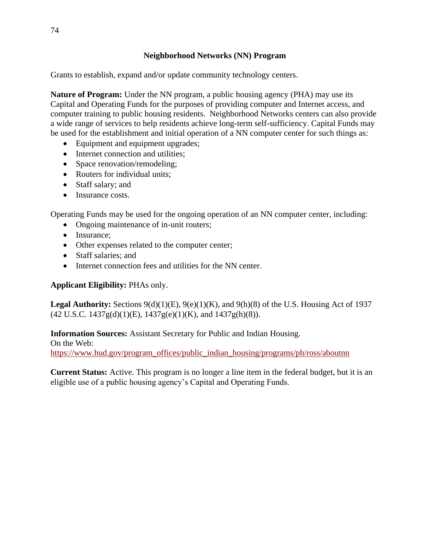Grants to establish, expand and/or update community technology centers.

**Nature of Program:** Under the NN program, a public housing agency (PHA) may use its Capital and Operating Funds for the purposes of providing computer and Internet access, and computer training to public housing residents. Neighborhood Networks centers can also provide a wide range of services to help residents achieve long-term self-sufficiency. Capital Funds may be used for the establishment and initial operation of a NN computer center for such things as:

- Equipment and equipment upgrades;
- Internet connection and utilities;
- Space renovation/remodeling;
- Routers for individual units;
- Staff salary; and
- Insurance costs.

Operating Funds may be used for the ongoing operation of an NN computer center, including:

- Ongoing maintenance of in-unit routers;
- Insurance;
- Other expenses related to the computer center;
- Staff salaries; and
- Internet connection fees and utilities for the NN center.

#### **Applicant Eligibility:** PHAs only.

**Legal Authority:** Sections 9(d)(1)(E), 9(e)(1)(K), and 9(h)(8) of the U.S. Housing Act of 1937 (42 U.S.C. 1437g(d)(1)(E), 1437g(e)(1)(K), and 1437g(h)(8)).

**Information Sources:** Assistant Secretary for Public and Indian Housing. On the Web: https://www.hud.gov/program\_offices/public\_indian\_housing/programs/ph/ross/aboutnn

**Current Status:** Active. This program is no longer a line item in the federal budget, but it is an eligible use of a public housing agency's Capital and Operating Funds.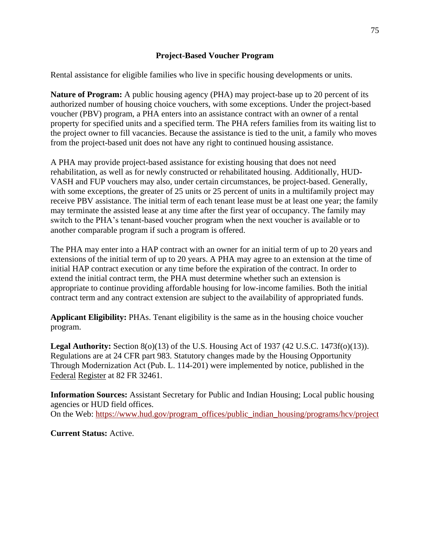#### **Project-Based Voucher Program**

Rental assistance for eligible families who live in specific housing developments or units.

**Nature of Program:** A public housing agency (PHA) may project-base up to 20 percent of its authorized number of housing choice vouchers, with some exceptions. Under the project-based voucher (PBV) program, a PHA enters into an assistance contract with an owner of a rental property for specified units and a specified term. The PHA refers families from its waiting list to the project owner to fill vacancies. Because the assistance is tied to the unit, a family who moves from the project-based unit does not have any right to continued housing assistance.

A PHA may provide project-based assistance for existing housing that does not need rehabilitation, as well as for newly constructed or rehabilitated housing. Additionally, HUD-VASH and FUP vouchers may also, under certain circumstances, be project-based. Generally, with some exceptions, the greater of 25 units or 25 percent of units in a multifamily project may receive PBV assistance. The initial term of each tenant lease must be at least one year; the family may terminate the assisted lease at any time after the first year of occupancy. The family may switch to the PHA's tenant-based voucher program when the next voucher is available or to another comparable program if such a program is offered.

The PHA may enter into a HAP contract with an owner for an initial term of up to 20 years and extensions of the initial term of up to 20 years. A PHA may agree to an extension at the time of initial HAP contract execution or any time before the expiration of the contract. In order to extend the initial contract term, the PHA must determine whether such an extension is appropriate to continue providing affordable housing for low-income families. Both the initial contract term and any contract extension are subject to the availability of appropriated funds.

**Applicant Eligibility:** PHAs. Tenant eligibility is the same as in the housing choice voucher program.

**Legal Authority:** Section 8(o)(13) of the U.S. Housing Act of 1937 (42 U.S.C. 1473f(o)(13)). Regulations are at 24 CFR part 983. Statutory changes made by the Housing Opportunity Through Modernization Act (Pub. L. 114-201) were implemented by notice, published in the Federal Register at 82 FR 32461.

**Information Sources:** Assistant Secretary for Public and Indian Housing; Local public housing agencies or HUD field offices.

On the Web: https://www.hud.gov/program\_offices/public\_indian\_housing/programs/hcv/project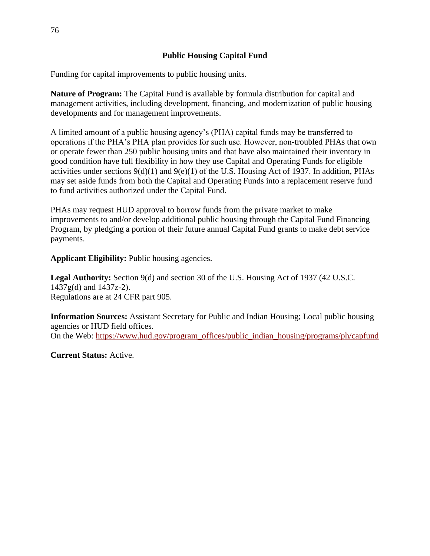#### **Public Housing Capital Fund**

Funding for capital improvements to public housing units.

**Nature of Program:** The Capital Fund is available by formula distribution for capital and management activities, including development, financing, and modernization of public housing developments and for management improvements.

A limited amount of a public housing agency's (PHA) capital funds may be transferred to operations if the PHA's PHA plan provides for such use. However, non-troubled PHAs that own or operate fewer than 250 public housing units and that have also maintained their inventory in good condition have full flexibility in how they use Capital and Operating Funds for eligible activities under sections  $9(d)(1)$  and  $9(e)(1)$  of the U.S. Housing Act of 1937. In addition, PHAs may set aside funds from both the Capital and Operating Funds into a replacement reserve fund to fund activities authorized under the Capital Fund.

PHAs may request HUD approval to borrow funds from the private market to make improvements to and/or develop additional public housing through the Capital Fund Financing Program, by pledging a portion of their future annual Capital Fund grants to make debt service payments.

**Applicant Eligibility:** Public housing agencies.

**Legal Authority:** Section 9(d) and section 30 of the U.S. Housing Act of 1937 (42 U.S.C. 1437g(d) and 1437z-2). Regulations are at 24 CFR part 905.

**Information Sources:** Assistant Secretary for Public and Indian Housing; Local public housing agencies or HUD field offices. On the Web: https://www.hud.gov/program\_offices/public\_indian\_housing/programs/ph/capfund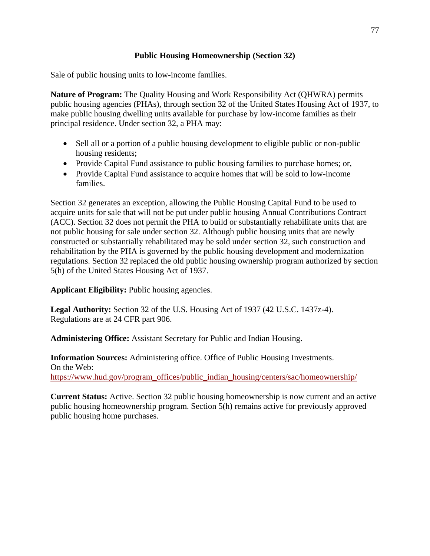### **Public Housing Homeownership (Section 32)**

Sale of public housing units to low-income families.

**Nature of Program:** The Quality Housing and Work Responsibility Act (QHWRA) permits public housing agencies (PHAs), through section 32 of the United States Housing Act of 1937, to make public housing dwelling units available for purchase by low-income families as their principal residence. Under section 32, a PHA may:

- Sell all or a portion of a public housing development to eligible public or non-public housing residents;
- Provide Capital Fund assistance to public housing families to purchase homes; or,
- Provide Capital Fund assistance to acquire homes that will be sold to low-income families.

Section 32 generates an exception, allowing the Public Housing Capital Fund to be used to acquire units for sale that will not be put under public housing Annual Contributions Contract (ACC). Section 32 does not permit the PHA to build or substantially rehabilitate units that are not public housing for sale under section 32. Although public housing units that are newly constructed or substantially rehabilitated may be sold under section 32, such construction and rehabilitation by the PHA is governed by the public housing development and modernization regulations. Section 32 replaced the old public housing ownership program authorized by section 5(h) of the United States Housing Act of 1937.

**Applicant Eligibility:** Public housing agencies.

**Legal Authority:** Section 32 of the U.S. Housing Act of 1937 (42 U.S.C. 1437z-4). Regulations are at 24 CFR part 906.

**Administering Office:** Assistant Secretary for Public and Indian Housing.

**Information Sources:** Administering office. Office of Public Housing Investments. On the Web: https://www.hud.gov/program\_offices/public\_indian\_housing/centers/sac/homeownership/

**Current Status:** Active. Section 32 public housing homeownership is now current and an active public housing homeownership program. Section 5(h) remains active for previously approved public housing home purchases.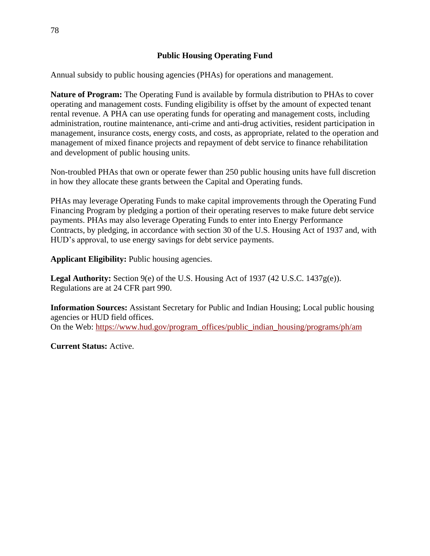Annual subsidy to public housing agencies (PHAs) for operations and management.

**Nature of Program:** The Operating Fund is available by formula distribution to PHAs to cover operating and management costs. Funding eligibility is offset by the amount of expected tenant rental revenue. A PHA can use operating funds for operating and management costs, including administration, routine maintenance, anti-crime and anti-drug activities, resident participation in management, insurance costs, energy costs, and costs, as appropriate, related to the operation and management of mixed finance projects and repayment of debt service to finance rehabilitation and development of public housing units.

Non-troubled PHAs that own or operate fewer than 250 public housing units have full discretion in how they allocate these grants between the Capital and Operating funds.

PHAs may leverage Operating Funds to make capital improvements through the Operating Fund Financing Program by pledging a portion of their operating reserves to make future debt service payments. PHAs may also leverage Operating Funds to enter into Energy Performance Contracts, by pledging, in accordance with section 30 of the U.S. Housing Act of 1937 and, with HUD's approval, to use energy savings for debt service payments.

**Applicant Eligibility:** Public housing agencies.

**Legal Authority:** Section 9(e) of the U.S. Housing Act of 1937 (42 U.S.C. 1437g(e)). Regulations are at 24 CFR part 990.

**Information Sources:** Assistant Secretary for Public and Indian Housing; Local public housing agencies or HUD field offices. On the Web: [https://www.hud.gov/program\\_offices/public\\_indian\\_housing/programs/ph/am](https://www.hud.gov/program_offices/public_indian_housing/programs/ph/am)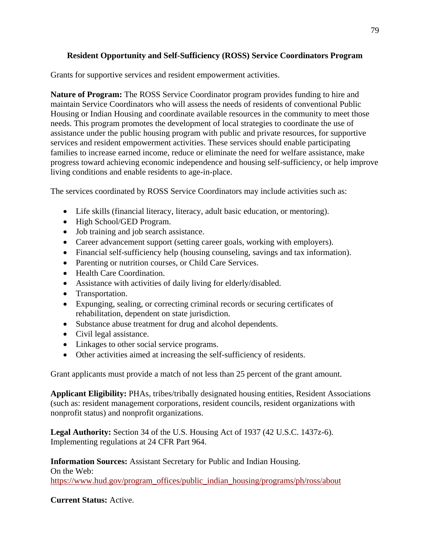## **Resident Opportunity and Self-Sufficiency (ROSS) Service Coordinators Program**

Grants for supportive services and resident empowerment activities.

**Nature of Program:** The ROSS Service Coordinator program provides funding to hire and maintain Service Coordinators who will assess the needs of residents of conventional Public Housing or Indian Housing and coordinate available resources in the community to meet those needs. This program promotes the development of local strategies to coordinate the use of assistance under the public housing program with public and private resources, for supportive services and resident empowerment activities. These services should enable participating families to increase earned income, reduce or eliminate the need for welfare assistance, make progress toward achieving economic independence and housing self-sufficiency, or help improve living conditions and enable residents to age-in-place.

The services coordinated by ROSS Service Coordinators may include activities such as:

- Life skills (financial literacy, literacy, adult basic education, or mentoring).
- High School/GED Program.
- Job training and job search assistance.
- Career advancement support (setting career goals, working with employers).
- Financial self-sufficiency help (housing counseling, savings and tax information).
- Parenting or nutrition courses, or Child Care Services.
- Health Care Coordination.
- Assistance with activities of daily living for elderly/disabled.
- Transportation.
- Expunging, sealing, or correcting criminal records or securing certificates of rehabilitation, dependent on state jurisdiction.
- Substance abuse treatment for drug and alcohol dependents.
- Civil legal assistance.
- Linkages to other social service programs.
- Other activities aimed at increasing the self-sufficiency of residents.

Grant applicants must provide a match of not less than 25 percent of the grant amount.

**Applicant Eligibility:** PHAs, tribes/tribally designated housing entities, Resident Associations (such as: resident management corporations, resident councils, resident organizations with nonprofit status) and nonprofit organizations.

**Legal Authority:** Section 34 of the U.S. Housing Act of 1937 (42 U.S.C. 1437z-6). Implementing regulations at 24 CFR Part 964.

**Information Sources:** Assistant Secretary for Public and Indian Housing. On the Web: [https://www.hud.gov/program\\_offices/public\\_indian\\_housing/programs/ph/ross/about](https://www.hud.gov/program_offices/public_indian_housing/programs/ph/ross/about)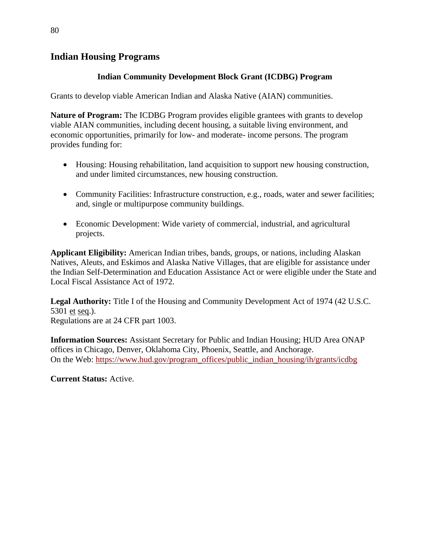## **Indian Housing Programs**

### **Indian Community Development Block Grant (ICDBG) Program**

Grants to develop viable American Indian and Alaska Native (AIAN) communities.

**Nature of Program:** The ICDBG Program provides eligible grantees with grants to develop viable AIAN communities, including decent housing, a suitable living environment, and economic opportunities, primarily for low- and moderate- income persons. The program provides funding for:

- Housing: Housing rehabilitation, land acquisition to support new housing construction, and under limited circumstances, new housing construction.
- Community Facilities: Infrastructure construction, e.g., roads, water and sewer facilities; and, single or multipurpose community buildings.
- Economic Development: Wide variety of commercial, industrial, and agricultural projects.

**Applicant Eligibility:** American Indian tribes, bands, groups, or nations, including Alaskan Natives, Aleuts, and Eskimos and Alaska Native Villages, that are eligible for assistance under the Indian Self-Determination and Education Assistance Act or were eligible under the State and Local Fiscal Assistance Act of 1972.

**Legal Authority:** Title I of the Housing and Community Development Act of 1974 (42 U.S.C. 5301 et seq.). Regulations are at 24 CFR part 1003.

**Information Sources:** Assistant Secretary for Public and Indian Housing; HUD Area ONAP offices in Chicago, Denver, Oklahoma City, Phoenix, Seattle, and Anchorage. On the Web: https://www.hud.gov/program\_offices/public\_indian\_housing/ih/grants/icdbg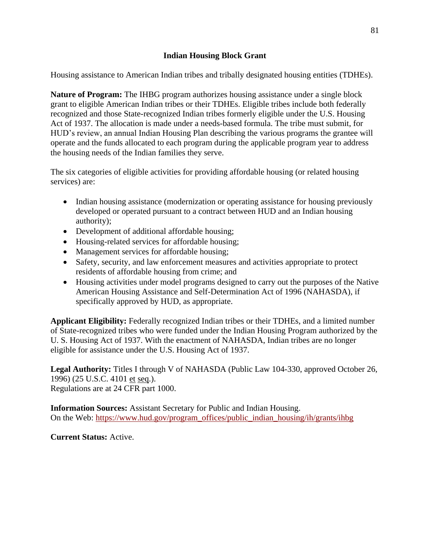#### **Indian Housing Block Grant**

Housing assistance to American Indian tribes and tribally designated housing entities (TDHEs).

**Nature of Program:** The IHBG program authorizes housing assistance under a single block grant to eligible American Indian tribes or their TDHEs. Eligible tribes include both federally recognized and those State-recognized Indian tribes formerly eligible under the U.S. Housing Act of 1937. The allocation is made under a needs-based formula. The tribe must submit, for HUD's review, an annual Indian Housing Plan describing the various programs the grantee will operate and the funds allocated to each program during the applicable program year to address the housing needs of the Indian families they serve.

The six categories of eligible activities for providing affordable housing (or related housing services) are:

- Indian housing assistance (modernization or operating assistance for housing previously developed or operated pursuant to a contract between HUD and an Indian housing authority);
- Development of additional affordable housing;
- Housing-related services for affordable housing;
- Management services for affordable housing;
- Safety, security, and law enforcement measures and activities appropriate to protect residents of affordable housing from crime; and
- Housing activities under model programs designed to carry out the purposes of the Native American Housing Assistance and Self-Determination Act of 1996 (NAHASDA), if specifically approved by HUD, as appropriate.

**Applicant Eligibility:** Federally recognized Indian tribes or their TDHEs, and a limited number of State-recognized tribes who were funded under the Indian Housing Program authorized by the U. S. Housing Act of 1937. With the enactment of NAHASDA, Indian tribes are no longer eligible for assistance under the U.S. Housing Act of 1937.

**Legal Authority:** Titles I through V of NAHASDA (Public Law 104-330, approved October 26, 1996) (25 U.S.C. 4101 et seq.). Regulations are at 24 CFR part 1000.

**Information Sources:** Assistant Secretary for Public and Indian Housing. On the Web: [https://www.hud.gov/program\\_offices/public\\_indian\\_housing/ih/grants/ihbg](https://www.hud.gov/program_offices/public_indian_housing/ih/grants/ihbg)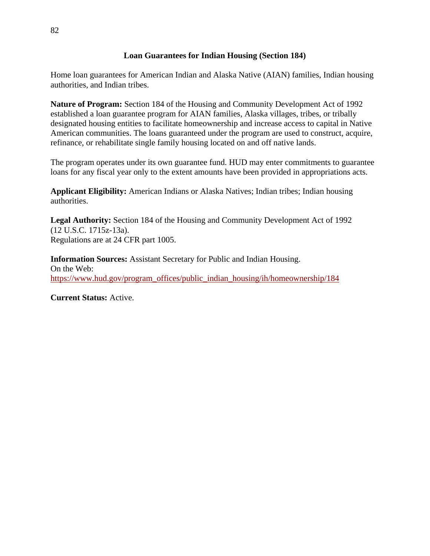#### **Loan Guarantees for Indian Housing (Section 184)**

Home loan guarantees for American Indian and Alaska Native (AIAN) families, Indian housing authorities, and Indian tribes.

**Nature of Program:** Section 184 of the Housing and Community Development Act of 1992 established a loan guarantee program for AIAN families, Alaska villages, tribes, or tribally designated housing entities to facilitate homeownership and increase access to capital in Native American communities. The loans guaranteed under the program are used to construct, acquire, refinance, or rehabilitate single family housing located on and off native lands.

The program operates under its own guarantee fund. HUD may enter commitments to guarantee loans for any fiscal year only to the extent amounts have been provided in appropriations acts.

**Applicant Eligibility:** American Indians or Alaska Natives; Indian tribes; Indian housing authorities.

**Legal Authority:** Section 184 of the Housing and Community Development Act of 1992 (12 U.S.C. 1715z-13a). Regulations are at 24 CFR part 1005.

**Information Sources:** Assistant Secretary for Public and Indian Housing. On the Web: [https://www.hud.gov/program\\_offices/public\\_indian\\_housing/ih/homeownership/184](https://www.hud.gov/program_offices/public_indian_housing/ih/homeownership/184)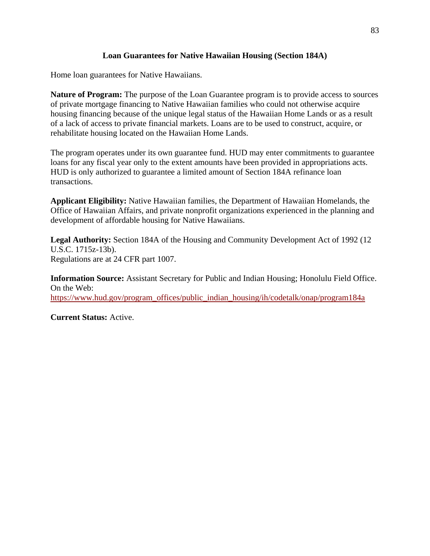### **Loan Guarantees for Native Hawaiian Housing (Section 184A)**

Home loan guarantees for Native Hawaiians.

**Nature of Program:** The purpose of the Loan Guarantee program is to provide access to sources of private mortgage financing to Native Hawaiian families who could not otherwise acquire housing financing because of the unique legal status of the Hawaiian Home Lands or as a result of a lack of access to private financial markets. Loans are to be used to construct, acquire, or rehabilitate housing located on the Hawaiian Home Lands.

The program operates under its own guarantee fund. HUD may enter commitments to guarantee loans for any fiscal year only to the extent amounts have been provided in appropriations acts. HUD is only authorized to guarantee a limited amount of Section 184A refinance loan transactions.

**Applicant Eligibility:** Native Hawaiian families, the Department of Hawaiian Homelands, the Office of Hawaiian Affairs, and private nonprofit organizations experienced in the planning and development of affordable housing for Native Hawaiians.

**Legal Authority:** Section 184A of the Housing and Community Development Act of 1992 (12 U.S.C. 1715z-13b). Regulations are at 24 CFR part 1007.

**Information Source:** Assistant Secretary for Public and Indian Housing; Honolulu Field Office. On the Web: https://www.hud.gov/program\_offices/public\_indian\_housing/ih/codetalk/onap/program184a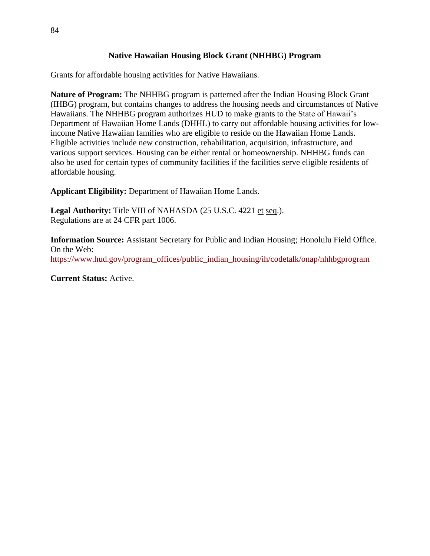### **Native Hawaiian Housing Block Grant (NHHBG) Program**

Grants for affordable housing activities for Native Hawaiians.

**Nature of Program:** The NHHBG program is patterned after the Indian Housing Block Grant (IHBG) program, but contains changes to address the housing needs and circumstances of Native Hawaiians. The NHHBG program authorizes HUD to make grants to the State of Hawaii's Department of Hawaiian Home Lands (DHHL) to carry out affordable housing activities for lowincome Native Hawaiian families who are eligible to reside on the Hawaiian Home Lands. Eligible activities include new construction, rehabilitation, acquisition, infrastructure, and various support services. Housing can be either rental or homeownership. NHHBG funds can also be used for certain types of community facilities if the facilities serve eligible residents of affordable housing.

**Applicant Eligibility:** Department of Hawaiian Home Lands.

**Legal Authority:** Title VIII of NAHASDA (25 U.S.C. 4221 et seq.). Regulations are at 24 CFR part 1006.

**Information Source:** Assistant Secretary for Public and Indian Housing; Honolulu Field Office. On the Web: https://www.hud.gov/program\_offices/public\_indian\_housing/ih/codetalk/onap/nhhbgprogram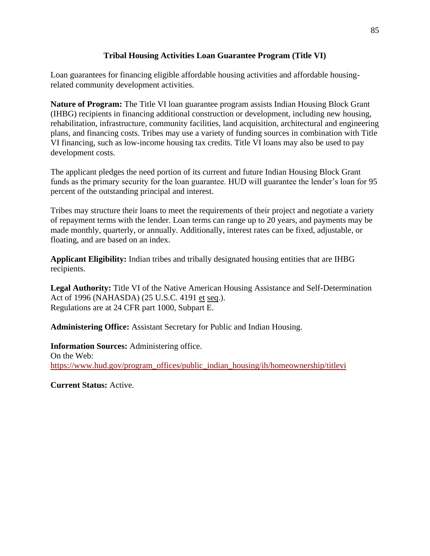### **Tribal Housing Activities Loan Guarantee Program (Title VI)**

Loan guarantees for financing eligible affordable housing activities and affordable housingrelated community development activities.

**Nature of Program:** The Title VI loan guarantee program assists Indian Housing Block Grant (IHBG) recipients in financing additional construction or development, including new housing, rehabilitation, infrastructure, community facilities, land acquisition, architectural and engineering plans, and financing costs. Tribes may use a variety of funding sources in combination with Title VI financing, such as low-income housing tax credits. Title VI loans may also be used to pay development costs.

The applicant pledges the need portion of its current and future Indian Housing Block Grant funds as the primary security for the loan guarantee. HUD will guarantee the lender's loan for 95 percent of the outstanding principal and interest.

Tribes may structure their loans to meet the requirements of their project and negotiate a variety of repayment terms with the lender. Loan terms can range up to 20 years, and payments may be made monthly, quarterly, or annually. Additionally, interest rates can be fixed, adjustable, or floating, and are based on an index.

**Applicant Eligibility:** Indian tribes and tribally designated housing entities that are IHBG recipients.

**Legal Authority:** Title VI of the Native American Housing Assistance and Self-Determination Act of 1996 (NAHASDA) (25 U.S.C. 4191 et seq.). Regulations are at 24 CFR part 1000, Subpart E.

**Administering Office:** Assistant Secretary for Public and Indian Housing.

**Information Sources:** Administering office. On the Web: https://www.hud.gov/program\_offices/public\_indian\_housing/ih/homeownership/titlevi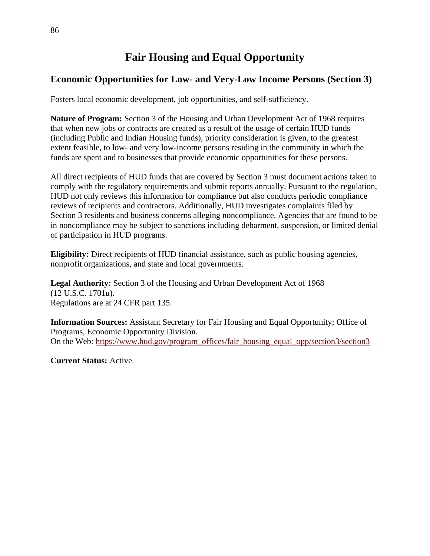# **Fair Housing and Equal Opportunity**

## **Economic Opportunities for Low- and Very-Low Income Persons (Section 3)**

Fosters local economic development, job opportunities, and self-sufficiency.

**Nature of Program:** Section 3 of the Housing and Urban Development Act of 1968 requires that when new jobs or contracts are created as a result of the usage of certain HUD funds (including Public and Indian Housing funds), priority consideration is given, to the greatest extent feasible, to low- and very low-income persons residing in the community in which the funds are spent and to businesses that provide economic opportunities for these persons.

All direct recipients of HUD funds that are covered by Section 3 must document actions taken to comply with the regulatory requirements and submit reports annually. Pursuant to the regulation, HUD not only reviews this information for compliance but also conducts periodic compliance reviews of recipients and contractors. Additionally, HUD investigates complaints filed by Section 3 residents and business concerns alleging noncompliance. Agencies that are found to be in noncompliance may be subject to sanctions including debarment, suspension, or limited denial of participation in HUD programs.

**Eligibility:** Direct recipients of HUD financial assistance, such as public housing agencies, nonprofit organizations, and state and local governments.

**Legal Authority:** Section 3 of the Housing and Urban Development Act of 1968 (12 U.S.C. 1701u). Regulations are at 24 CFR part 135.

**Information Sources:** Assistant Secretary for Fair Housing and Equal Opportunity; Office of Programs, Economic Opportunity Division. On the Web: https://www.hud.gov/program\_offices/fair\_housing\_equal\_opp/section3/section3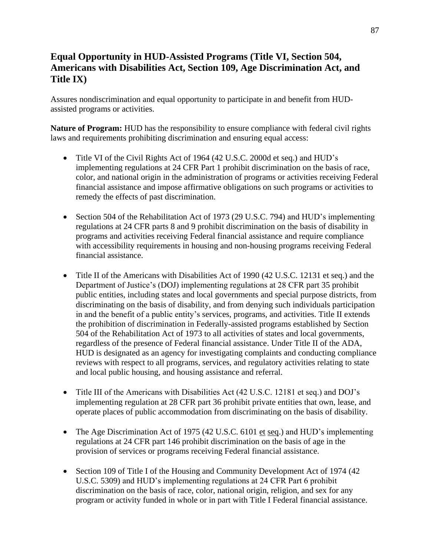## **Equal Opportunity in HUD-Assisted Programs (Title VI, Section 504, Americans with Disabilities Act, Section 109, Age Discrimination Act, and Title IX)**

Assures nondiscrimination and equal opportunity to participate in and benefit from HUDassisted programs or activities.

**Nature of Program:** HUD has the responsibility to ensure compliance with federal civil rights laws and requirements prohibiting discrimination and ensuring equal access:

- Title VI of the Civil Rights Act of 1964 (42 U.S.C. 2000d et seq.) and HUD's implementing regulations at 24 CFR Part 1 prohibit discrimination on the basis of race, color, and national origin in the administration of programs or activities receiving Federal financial assistance and impose affirmative obligations on such programs or activities to remedy the effects of past discrimination.
- Section 504 of the Rehabilitation Act of 1973 (29 U.S.C. 794) and HUD's implementing regulations at 24 CFR parts 8 and 9 prohibit discrimination on the basis of disability in programs and activities receiving Federal financial assistance and require compliance with accessibility requirements in housing and non-housing programs receiving Federal financial assistance.
- Title II of the Americans with Disabilities Act of 1990 (42 U.S.C. 12131 et seq.) and the Department of Justice's (DOJ) implementing regulations at 28 CFR part 35 prohibit public entities, including states and local governments and special purpose districts, from discriminating on the basis of disability, and from denying such individuals participation in and the benefit of a public entity's services, programs, and activities. Title II extends the prohibition of discrimination in Federally-assisted programs established by Section 504 of the Rehabilitation Act of 1973 to all activities of states and local governments, regardless of the presence of Federal financial assistance. Under Title II of the ADA, HUD is designated as an agency for investigating complaints and conducting compliance reviews with respect to all programs, services, and regulatory activities relating to state and local public housing, and housing assistance and referral.
- Title III of the Americans with Disabilities Act (42 U.S.C. 12181 et seq.) and DOJ's implementing regulation at 28 CFR part 36 prohibit private entities that own, lease, and operate places of public accommodation from discriminating on the basis of disability.
- The Age Discrimination Act of 1975 (42 U.S.C. 6101 et seq.) and HUD's implementing regulations at 24 CFR part 146 prohibit discrimination on the basis of age in the provision of services or programs receiving Federal financial assistance.
- Section 109 of Title I of the Housing and Community Development Act of 1974 (42) U.S.C. 5309) and HUD's implementing regulations at 24 CFR Part 6 prohibit discrimination on the basis of race, color, national origin, religion, and sex for any program or activity funded in whole or in part with Title I Federal financial assistance.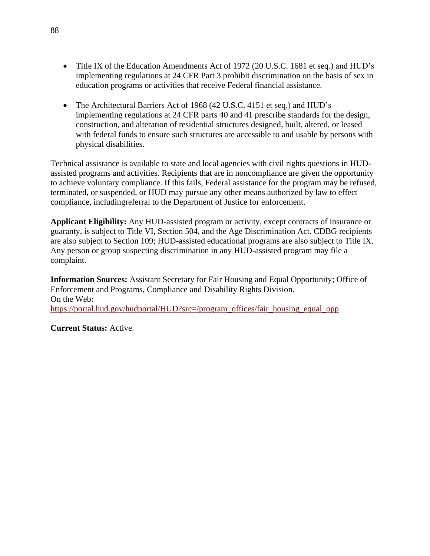- Title IX of the Education Amendments Act of 1972 (20 U.S.C. 1681 et seq.) and HUD's implementing regulations at 24 CFR Part 3 prohibit discrimination on the basis of sex in education programs or activities that receive Federal financial assistance.
- The Architectural Barriers Act of 1968 (42 U.S.C. 4151 et seq.) and HUD's implementing regulations at 24 CFR parts 40 and 41 prescribe standards for the design, construction, and alteration of residential structures designed, built, altered, or leased with federal funds to ensure such structures are accessible to and usable by persons with physical disabilities.

Technical assistance is available to state and local agencies with civil rights questions in HUDassisted programs and activities. Recipients that are in noncompliance are given the opportunity to achieve voluntary compliance. If this fails, Federal assistance for the program may be refused, terminated, or suspended, or HUD may pursue any other means authorized by law to effect compliance, includingreferral to the Department of Justice for enforcement.

**Applicant Eligibility:** Any HUD-assisted program or activity, except contracts of insurance or guaranty, is subject to Title VI, Section 504, and the Age Discrimination Act. CDBG recipients are also subject to Section 109; HUD-assisted educational programs are also subject to Title IX. Any person or group suspecting discrimination in any HUD-assisted program may file a complaint.

**Information Sources:** Assistant Secretary for Fair Housing and Equal Opportunity; Office of Enforcement and Programs, Compliance and Disability Rights Division. On the Web: [https://portal.hud.gov/hudportal/HUD?src=/program\\_offices/fair\\_housing\\_equal\\_opp](https://portal.hud.gov/hudportal/HUD?src=/program_offices/fair_housing_equal_opp)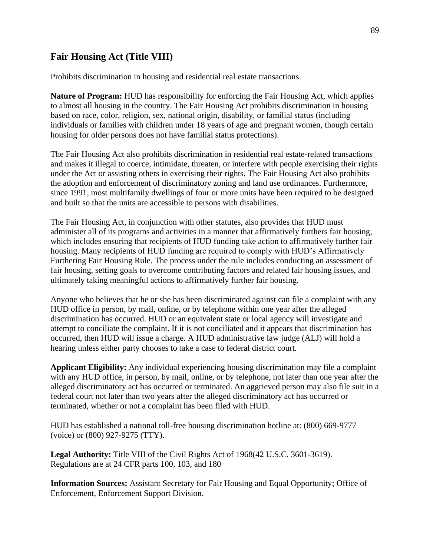## **Fair Housing Act (Title VIII)**

Prohibits discrimination in housing and residential real estate transactions.

**Nature of Program:** HUD has responsibility for enforcing the Fair Housing Act, which applies to almost all housing in the country. The Fair Housing Act prohibits discrimination in housing based on race, color, religion, sex, national origin, disability, or familial status (including individuals or families with children under 18 years of age and pregnant women, though certain housing for older persons does not have familial status protections).

The Fair Housing Act also prohibits discrimination in residential real estate-related transactions and makes it illegal to coerce, intimidate, threaten, or interfere with people exercising their rights under the Act or assisting others in exercising their rights. The Fair Housing Act also prohibits the adoption and enforcement of discriminatory zoning and land use ordinances. Furthermore, since 1991, most multifamily dwellings of four or more units have been required to be designed and built so that the units are accessible to persons with disabilities.

The Fair Housing Act, in conjunction with other statutes, also provides that HUD must administer all of its programs and activities in a manner that affirmatively furthers fair housing, which includes ensuring that recipients of HUD funding take action to affirmatively further fair housing. Many recipients of HUD funding are required to comply with HUD's Affirmatively Furthering Fair Housing Rule. The process under the rule includes conducting an assessment of fair housing, setting goals to overcome contributing factors and related fair housing issues, and ultimately taking meaningful actions to affirmatively further fair housing.

Anyone who believes that he or she has been discriminated against can file a complaint with any HUD office in person, by mail, online, or by telephone within one year after the alleged discrimination has occurred. HUD or an equivalent state or local agency will investigate and attempt to conciliate the complaint. If it is not conciliated and it appears that discrimination has occurred, then HUD will issue a charge. A HUD administrative law judge (ALJ) will hold a hearing unless either party chooses to take a case to federal district court.

**Applicant Eligibility:** Any individual experiencing housing discrimination may file a complaint with any HUD office, in person, by mail, online, or by telephone, not later than one year after the alleged discriminatory act has occurred or terminated. An aggrieved person may also file suit in a federal court not later than two years after the alleged discriminatory act has occurred or terminated, whether or not a complaint has been filed with HUD.

HUD has established a national toll-free housing discrimination hotline at: (800) 669-9777 (voice) or (800) 927-9275 (TTY).

**Legal Authority:** Title VIII of the Civil Rights Act of 1968(42 U.S.C. 3601-3619). Regulations are at 24 CFR parts 100, 103, and 180

**Information Sources:** Assistant Secretary for Fair Housing and Equal Opportunity; Office of Enforcement, Enforcement Support Division.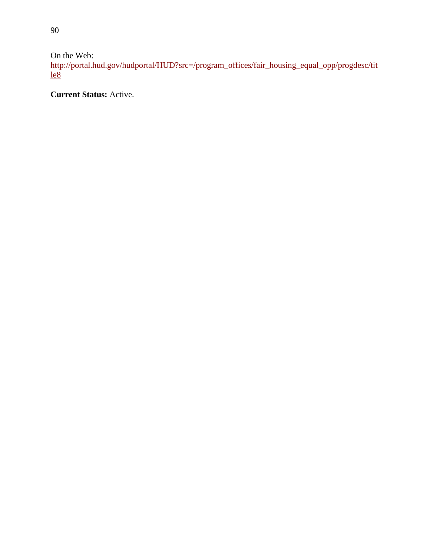On the Web:

[http://portal.hud.gov/hudportal/HUD?src=/program\\_offices/fair\\_housing\\_equal\\_opp/progdesc/tit](http://portal.hud.gov/hudportal/HUD?src=/program_offices/fair_housing_equal_opp/progdesc/title8)  $le8$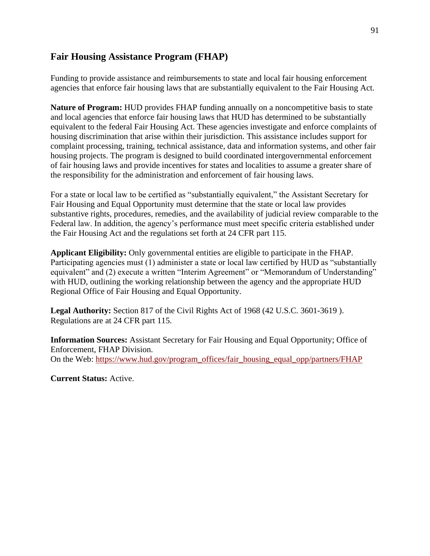## **Fair Housing Assistance Program (FHAP)**

Funding to provide assistance and reimbursements to state and local fair housing enforcement agencies that enforce fair housing laws that are substantially equivalent to the Fair Housing Act.

**Nature of Program:** HUD provides FHAP funding annually on a noncompetitive basis to state and local agencies that enforce fair housing laws that HUD has determined to be substantially equivalent to the federal Fair Housing Act. These agencies investigate and enforce complaints of housing discrimination that arise within their jurisdiction. This assistance includes support for complaint processing, training, technical assistance, data and information systems, and other fair housing projects. The program is designed to build coordinated intergovernmental enforcement of fair housing laws and provide incentives for states and localities to assume a greater share of the responsibility for the administration and enforcement of fair housing laws.

For a state or local law to be certified as "substantially equivalent," the Assistant Secretary for Fair Housing and Equal Opportunity must determine that the state or local law provides substantive rights, procedures, remedies, and the availability of judicial review comparable to the Federal law. In addition, the agency's performance must meet specific criteria established under the Fair Housing Act and the regulations set forth at 24 CFR part 115.

**Applicant Eligibility:** Only governmental entities are eligible to participate in the FHAP. Participating agencies must (1) administer a state or local law certified by HUD as "substantially equivalent" and (2) execute a written "Interim Agreement" or "Memorandum of Understanding" with HUD, outlining the working relationship between the agency and the appropriate HUD Regional Office of Fair Housing and Equal Opportunity.

**Legal Authority:** Section 817 of the Civil Rights Act of 1968 (42 U.S.C. 3601-3619 ). Regulations are at 24 CFR part 115.

**Information Sources:** Assistant Secretary for Fair Housing and Equal Opportunity; Office of Enforcement, FHAP Division. On the Web: https://www.hud.gov/program\_offices/fair\_housing\_equal\_opp/partners/FHAP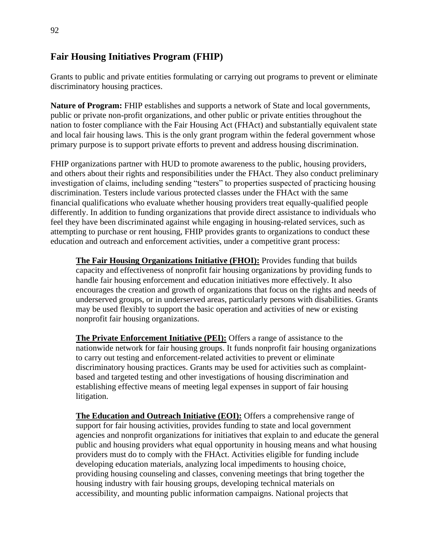## **Fair Housing Initiatives Program (FHIP)**

Grants to public and private entities formulating or carrying out programs to prevent or eliminate discriminatory housing practices.

**Nature of Program:** FHIP establishes and supports a network of State and local governments, public or private non-profit organizations, and other public or private entities throughout the nation to foster compliance with the Fair Housing Act (FHAct) and substantially equivalent state and local fair housing laws. This is the only grant program within the federal government whose primary purpose is to support private efforts to prevent and address housing discrimination.

FHIP organizations partner with HUD to promote awareness to the public, housing providers, and others about their rights and responsibilities under the FHAct. They also conduct preliminary investigation of claims, including sending "testers" to properties suspected of practicing housing discrimination. Testers include various protected classes under the FHAct with the same financial qualifications who evaluate whether housing providers treat equally-qualified people differently. In addition to funding organizations that provide direct assistance to individuals who feel they have been discriminated against while engaging in housing-related services, such as attempting to purchase or rent housing, FHIP provides grants to organizations to conduct these education and outreach and enforcement activities, under a competitive grant process:

**The Fair Housing Organizations Initiative (FHOI):** Provides funding that builds capacity and effectiveness of nonprofit fair housing organizations by providing funds to handle fair housing enforcement and education initiatives more effectively. It also encourages the creation and growth of organizations that focus on the rights and needs of underserved groups, or in underserved areas, particularly persons with disabilities. Grants may be used flexibly to support the basic operation and activities of new or existing nonprofit fair housing organizations.

**The Private Enforcement Initiative (PEI):** Offers a range of assistance to the nationwide network for fair housing groups. It funds nonprofit fair housing organizations to carry out testing and enforcement-related activities to prevent or eliminate discriminatory housing practices. Grants may be used for activities such as complaintbased and targeted testing and other investigations of housing discrimination and establishing effective means of meeting legal expenses in support of fair housing litigation.

**The Education and Outreach Initiative (EOI):** Offers a comprehensive range of support for fair housing activities, provides funding to state and local government agencies and nonprofit organizations for initiatives that explain to and educate the general public and housing providers what equal opportunity in housing means and what housing providers must do to comply with the FHAct. Activities eligible for funding include developing education materials, analyzing local impediments to housing choice, providing housing counseling and classes, convening meetings that bring together the housing industry with fair housing groups, developing technical materials on accessibility, and mounting public information campaigns. National projects that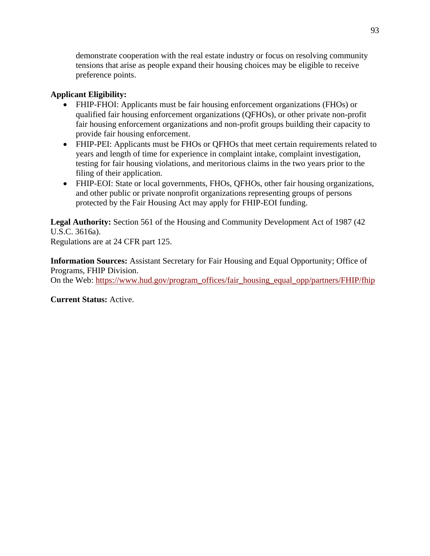demonstrate cooperation with the real estate industry or focus on resolving community tensions that arise as people expand their housing choices may be eligible to receive preference points.

## **Applicant Eligibility:**

- FHIP-FHOI: Applicants must be fair housing enforcement organizations (FHOs) or qualified fair housing enforcement organizations (QFHOs), or other private non-profit fair housing enforcement organizations and non-profit groups building their capacity to provide fair housing enforcement.
- FHIP-PEI: Applicants must be FHOs or QFHOs that meet certain requirements related to years and length of time for experience in complaint intake, complaint investigation, testing for fair housing violations, and meritorious claims in the two years prior to the filing of their application.
- FHIP-EOI: State or local governments, FHOs, QFHOs, other fair housing organizations, and other public or private nonprofit organizations representing groups of persons protected by the Fair Housing Act may apply for FHIP-EOI funding.

**Legal Authority:** Section 561 of the Housing and Community Development Act of 1987 (42 U.S.C. 3616a). Regulations are at 24 CFR part 125.

**Information Sources:** Assistant Secretary for Fair Housing and Equal Opportunity; Office of Programs, FHIP Division. On the Web: https://www.hud.gov/program\_offices/fair\_housing\_equal\_opp/partners/FHIP/fhip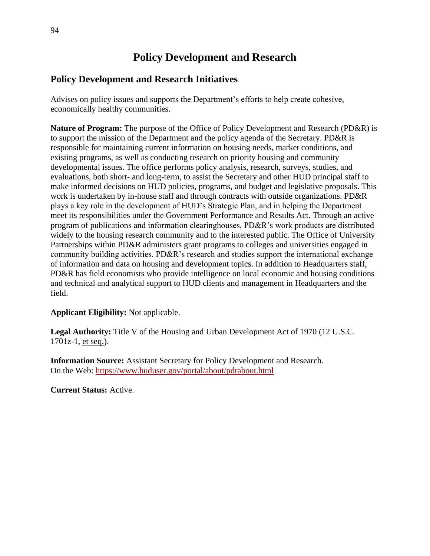# **Policy Development and Research**

## **Policy Development and Research Initiatives**

Advises on policy issues and supports the Department's efforts to help create cohesive, economically healthy communities.

**Nature of Program:** The purpose of the Office of Policy Development and Research (PD&R) is to support the mission of the Department and the policy agenda of the Secretary. PD&R is responsible for maintaining current information on housing needs, market conditions, and existing programs, as well as conducting research on priority housing and community developmental issues. The office performs policy analysis, research, surveys, studies, and evaluations, both short- and long-term, to assist the Secretary and other HUD principal staff to make informed decisions on HUD policies, programs, and budget and legislative proposals. This work is undertaken by in-house staff and through contracts with outside organizations. PD&R plays a key role in the development of HUD's Strategic Plan, and in helping the Department meet its responsibilities under the Government Performance and Results Act. Through an active program of publications and information clearinghouses, PD&R's work products are distributed widely to the housing research community and to the interested public. The Office of University Partnerships within PD&R administers grant programs to colleges and universities engaged in community building activities. PD&R's research and studies support the international exchange of information and data on housing and development topics. In addition to Headquarters staff, PD&R has field economists who provide intelligence on local economic and housing conditions and technical and analytical support to HUD clients and management in Headquarters and the field.

### **Applicant Eligibility:** Not applicable.

**Legal Authority:** Title V of the Housing and Urban Development Act of 1970 (12 U.S.C. 1701z-1, et seq.).

**Information Source:** Assistant Secretary for Policy Development and Research. On the Web:<https://www.huduser.gov/portal/about/pdrabout.html>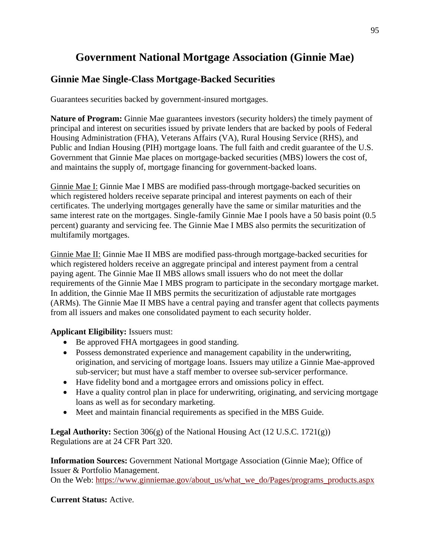# **Government National Mortgage Association (Ginnie Mae)**

## **Ginnie Mae Single-Class Mortgage-Backed Securities**

Guarantees securities backed by government-insured mortgages.

**Nature of Program:** Ginnie Mae guarantees investors (security holders) the timely payment of principal and interest on securities issued by private lenders that are backed by pools of Federal Housing Administration (FHA), Veterans Affairs (VA), Rural Housing Service (RHS), and Public and Indian Housing (PIH) mortgage loans. The full faith and credit guarantee of the U.S. Government that Ginnie Mae places on mortgage-backed securities (MBS) lowers the cost of, and maintains the supply of, mortgage financing for government-backed loans.

Ginnie Mae I: Ginnie Mae I MBS are modified pass-through mortgage-backed securities on which registered holders receive separate principal and interest payments on each of their certificates. The underlying mortgages generally have the same or similar maturities and the same interest rate on the mortgages. Single-family Ginnie Mae I pools have a 50 basis point (0.5 percent) guaranty and servicing fee. The Ginnie Mae I MBS also permits the securitization of multifamily mortgages.

Ginnie Mae II: Ginnie Mae II MBS are modified pass-through mortgage-backed securities for which registered holders receive an aggregate principal and interest payment from a central paying agent. The Ginnie Mae II MBS allows small issuers who do not meet the dollar requirements of the Ginnie Mae I MBS program to participate in the secondary mortgage market. In addition, the Ginnie Mae II MBS permits the securitization of adjustable rate mortgages (ARMs). The Ginnie Mae II MBS have a central paying and transfer agent that collects payments from all issuers and makes one consolidated payment to each security holder.

### **Applicant Eligibility:** Issuers must:

- Be approved FHA mortgagees in good standing.
- Possess demonstrated experience and management capability in the underwriting, origination, and servicing of mortgage loans. Issuers may utilize a Ginnie Mae-approved sub-servicer; but must have a staff member to oversee sub-servicer performance.
- Have fidelity bond and a mortgagee errors and omissions policy in effect.
- Have a quality control plan in place for underwriting, originating, and servicing mortgage loans as well as for secondary marketing.
- Meet and maintain financial requirements as specified in the MBS Guide.

**Legal Authority:** Section 306(g) of the National Housing Act (12 U.S.C. 1721(g)) Regulations are at 24 CFR Part 320.

**Information Sources:** Government National Mortgage Association (Ginnie Mae); Office of Issuer & Portfolio Management.

On the Web: [https://www.ginniemae.gov/about\\_us/what\\_we\\_do/Pages/programs\\_products.aspx](https://www.ginniemae.gov/about_us/what_we_do/Pages/programs_products.aspx)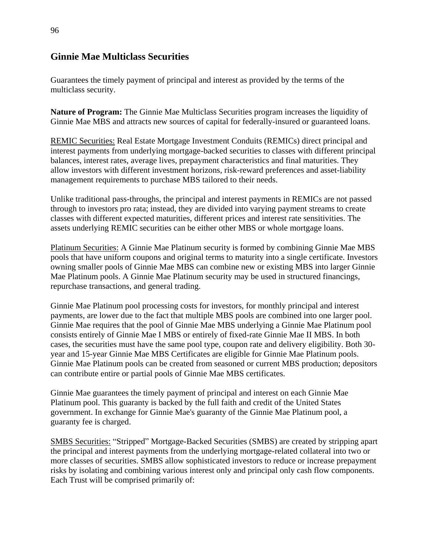## **Ginnie Mae Multiclass Securities**

Guarantees the timely payment of principal and interest as provided by the terms of the multiclass security.

**Nature of Program:** The Ginnie Mae Multiclass Securities program increases the liquidity of Ginnie Mae MBS and attracts new sources of capital for federally-insured or guaranteed loans.

REMIC Securities: Real Estate Mortgage Investment Conduits (REMICs) direct principal and interest payments from underlying mortgage-backed securities to classes with different principal balances, interest rates, average lives, prepayment characteristics and final maturities. They allow investors with different investment horizons, risk-reward preferences and asset-liability management requirements to purchase MBS tailored to their needs.

Unlike traditional pass-throughs, the principal and interest payments in REMICs are not passed through to investors pro rata; instead, they are divided into varying payment streams to create classes with different expected maturities, different prices and interest rate sensitivities. The assets underlying REMIC securities can be either other MBS or whole mortgage loans.

Platinum Securities: A Ginnie Mae Platinum security is formed by combining Ginnie Mae MBS pools that have uniform coupons and original terms to maturity into a single certificate. Investors owning smaller pools of Ginnie Mae MBS can combine new or existing MBS into larger Ginnie Mae Platinum pools. A Ginnie Mae Platinum security may be used in structured financings, repurchase transactions, and general trading.

Ginnie Mae Platinum pool processing costs for investors, for monthly principal and interest payments, are lower due to the fact that multiple MBS pools are combined into one larger pool. Ginnie Mae requires that the pool of Ginnie Mae MBS underlying a Ginnie Mae Platinum pool consists entirely of Ginnie Mae I MBS or entirely of fixed-rate Ginnie Mae II MBS. In both cases, the securities must have the same pool type, coupon rate and delivery eligibility. Both 30 year and 15-year Ginnie Mae MBS Certificates are eligible for Ginnie Mae Platinum pools. Ginnie Mae Platinum pools can be created from seasoned or current MBS production; depositors can contribute entire or partial pools of Ginnie Mae MBS certificates.

Ginnie Mae guarantees the timely payment of principal and interest on each Ginnie Mae Platinum pool. This guaranty is backed by the full faith and credit of the United States government. In exchange for Ginnie Mae's guaranty of the Ginnie Mae Platinum pool, a guaranty fee is charged.

SMBS Securities: "Stripped" Mortgage-Backed Securities (SMBS) are created by stripping apart the principal and interest payments from the underlying mortgage-related collateral into two or more classes of securities. SMBS allow sophisticated investors to reduce or increase prepayment risks by isolating and combining various interest only and principal only cash flow components. Each Trust will be comprised primarily of: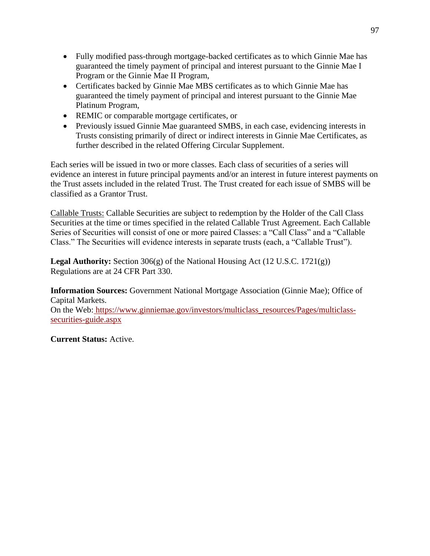- Fully modified pass-through mortgage-backed certificates as to which Ginnie Mae has guaranteed the timely payment of principal and interest pursuant to the Ginnie Mae I Program or the Ginnie Mae II Program,
- Certificates backed by Ginnie Mae MBS certificates as to which Ginnie Mae has guaranteed the timely payment of principal and interest pursuant to the Ginnie Mae Platinum Program,
- REMIC or comparable mortgage certificates, or
- Previously issued Ginnie Mae guaranteed SMBS, in each case, evidencing interests in Trusts consisting primarily of direct or indirect interests in Ginnie Mae Certificates, as further described in the related Offering Circular Supplement.

Each series will be issued in two or more classes. Each class of securities of a series will evidence an interest in future principal payments and/or an interest in future interest payments on the Trust assets included in the related Trust. The Trust created for each issue of SMBS will be classified as a Grantor Trust.

Callable Trusts: Callable Securities are subject to redemption by the Holder of the Call Class Securities at the time or times specified in the related Callable Trust Agreement. Each Callable Series of Securities will consist of one or more paired Classes: a "Call Class" and a "Callable Class." The Securities will evidence interests in separate trusts (each, a "Callable Trust").

**Legal Authority:** Section 306(g) of the National Housing Act (12 U.S.C. 1721(g)) Regulations are at 24 CFR Part 330.

**Information Sources:** Government National Mortgage Association (Ginnie Mae); Office of Capital Markets.

On the Web: [https://www.ginniemae.gov/investors/multiclass\\_resources/Pages/multiclass](https://www.ginniemae.gov/investors/multiclass_resources/Pages/multiclass-securities-guide.aspx)[securities-guide.aspx](https://www.ginniemae.gov/investors/multiclass_resources/Pages/multiclass-securities-guide.aspx)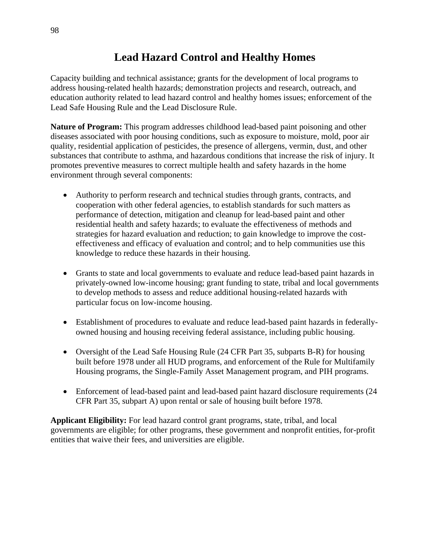# **Lead Hazard Control and Healthy Homes**

Capacity building and technical assistance; grants for the development of local programs to address housing-related health hazards; demonstration projects and research, outreach, and education authority related to lead hazard control and healthy homes issues; enforcement of the Lead Safe Housing Rule and the Lead Disclosure Rule.

**Nature of Program:** This program addresses childhood lead-based paint poisoning and other diseases associated with poor housing conditions, such as exposure to moisture, mold, poor air quality, residential application of pesticides, the presence of allergens, vermin, dust, and other substances that contribute to asthma, and hazardous conditions that increase the risk of injury. It promotes preventive measures to correct multiple health and safety hazards in the home environment through several components:

- Authority to perform research and technical studies through grants, contracts, and cooperation with other federal agencies, to establish standards for such matters as performance of detection, mitigation and cleanup for lead-based paint and other residential health and safety hazards; to evaluate the effectiveness of methods and strategies for hazard evaluation and reduction; to gain knowledge to improve the costeffectiveness and efficacy of evaluation and control; and to help communities use this knowledge to reduce these hazards in their housing.
- Grants to state and local governments to evaluate and reduce lead-based paint hazards in privately-owned low-income housing; grant funding to state, tribal and local governments to develop methods to assess and reduce additional housing-related hazards with particular focus on low-income housing.
- Establishment of procedures to evaluate and reduce lead-based paint hazards in federallyowned housing and housing receiving federal assistance, including public housing.
- Oversight of the Lead Safe Housing Rule (24 CFR Part 35, subparts B-R) for housing built before 1978 under all HUD programs, and enforcement of the Rule for Multifamily Housing programs, the Single-Family Asset Management program, and PIH programs.
- Enforcement of lead-based paint and lead-based paint hazard disclosure requirements (24) CFR Part 35, subpart A) upon rental or sale of housing built before 1978.

**Applicant Eligibility:** For lead hazard control grant programs, state, tribal, and local governments are eligible; for other programs, these government and nonprofit entities, for-profit entities that waive their fees, and universities are eligible.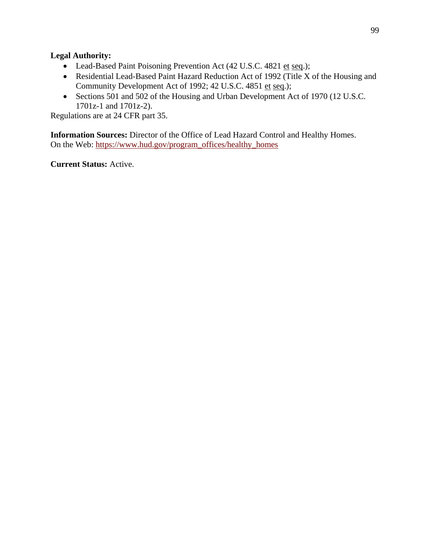### **Legal Authority:**

- Lead-Based Paint Poisoning Prevention Act (42 U.S.C. 4821 et seq.);
- Residential Lead-Based Paint Hazard Reduction Act of 1992 (Title X of the Housing and Community Development Act of 1992; 42 U.S.C. 4851 et seq.);
- Sections 501 and 502 of the Housing and Urban Development Act of 1970 (12 U.S.C. 1701z-1 and 1701z-2).

Regulations are at 24 CFR part 35.

**Information Sources:** Director of the Office of Lead Hazard Control and Healthy Homes. On the Web: https://www.hud.gov/program\_offices/healthy\_homes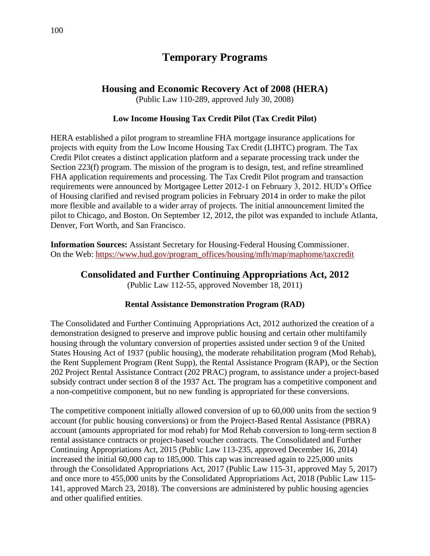## **Temporary Programs**

## **Housing and Economic Recovery Act of 2008 (HERA)**

(Public Law 110-289, approved July 30, 2008)

#### **Low Income Housing Tax Credit Pilot (Tax Credit Pilot)**

HERA established a pilot program to streamline FHA mortgage insurance applications for projects with equity from the Low Income Housing Tax Credit (LIHTC) program. The Tax Credit Pilot creates a distinct application platform and a separate processing track under the Section 223(f) program. The mission of the program is to design, test, and refine streamlined FHA application requirements and processing. The Tax Credit Pilot program and transaction requirements were announced by Mortgagee Letter 2012-1 on February 3, 2012. HUD's Office of Housing clarified and revised program policies in February 2014 in order to make the pilot more flexible and available to a wider array of projects. The initial announcement limited the pilot to Chicago, and Boston. On September 12, 2012, the pilot was expanded to include Atlanta, Denver, Fort Worth, and San Francisco.

**Information Sources:** Assistant Secretary for Housing-Federal Housing Commissioner. On the Web: [https://www.hud.gov/program\\_offices/housing/mfh/map/maphome/taxcredit](https://www.hud.gov/program_offices/housing/mfh/map/maphome/taxcredit)

### **Consolidated and Further Continuing Appropriations Act, 2012**

(Public Law 112-55, approved November 18, 2011)

### **Rental Assistance Demonstration Program (RAD)**

The Consolidated and Further Continuing Appropriations Act, 2012 authorized the creation of a demonstration designed to preserve and improve public housing and certain other multifamily housing through the voluntary conversion of properties assisted under section 9 of the United States Housing Act of 1937 (public housing), the moderate rehabilitation program (Mod Rehab), the Rent Supplement Program (Rent Supp), the Rental Assistance Program (RAP), or the Section 202 Project Rental Assistance Contract (202 PRAC) program, to assistance under a project-based subsidy contract under section 8 of the 1937 Act. The program has a competitive component and a non-competitive component, but no new funding is appropriated for these conversions.

The competitive component initially allowed conversion of up to 60,000 units from the section 9 account (for public housing conversions) or from the Project-Based Rental Assistance (PBRA) account (amounts appropriated for mod rehab) for Mod Rehab conversion to long-term section 8 rental assistance contracts or project-based voucher contracts. The Consolidated and Further Continuing Appropriations Act, 2015 (Public Law 113-235, approved December 16, 2014) increased the initial 60,000 cap to 185,000. This cap was increased again to 225,000 units through the Consolidated Appropriations Act, 2017 (Public Law 115-31, approved May 5, 2017) and once more to 455,000 units by the Consolidated Appropriations Act, 2018 (Public Law 115- 141, approved March 23, 2018). The conversions are administered by public housing agencies and other qualified entities.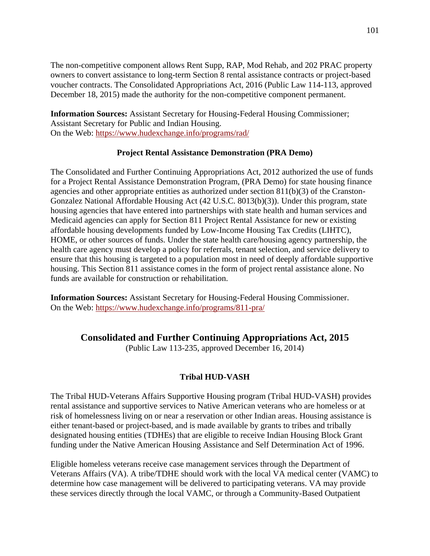The non-competitive component allows Rent Supp, RAP, Mod Rehab, and 202 PRAC property owners to convert assistance to long-term Section 8 rental assistance contracts or project-based voucher contracts. The Consolidated Appropriations Act, 2016 (Public Law 114-113, approved December 18, 2015) made the authority for the non-competitive component permanent.

**Information Sources:** Assistant Secretary for Housing-Federal Housing Commissioner; Assistant Secretary for Public and Indian Housing. On the Web: <https://www.hudexchange.info/programs/rad/>

#### **Project Rental Assistance Demonstration (PRA Demo)**

The Consolidated and Further Continuing Appropriations Act, 2012 authorized the use of funds for a Project Rental Assistance Demonstration Program, (PRA Demo) for state housing finance agencies and other appropriate entities as authorized under section 811(b)(3) of the Cranston-Gonzalez National Affordable Housing Act (42 U.S.C. 8013(b)(3)). Under this program, state housing agencies that have entered into partnerships with state health and human services and Medicaid agencies can apply for Section 811 Project Rental Assistance for new or existing affordable housing developments funded by Low-Income Housing Tax Credits (LIHTC), HOME, or other sources of funds. Under the state health care/housing agency partnership, the health care agency must develop a policy for referrals, tenant selection, and service delivery to ensure that this housing is targeted to a population most in need of deeply affordable supportive housing. This Section 811 assistance comes in the form of project rental assistance alone. No funds are available for construction or rehabilitation.

**Information Sources:** Assistant Secretary for Housing-Federal Housing Commissioner. On the Web:<https://www.hudexchange.info/programs/811-pra/>

## **Consolidated and Further Continuing Appropriations Act, 2015**

(Public Law 113-235, approved December 16, 2014)

### **Tribal HUD-VASH**

The Tribal HUD-Veterans Affairs Supportive Housing program (Tribal HUD-VASH) provides rental assistance and supportive services to Native American veterans who are homeless or at risk of homelessness living on or near a reservation or other Indian areas. Housing assistance is either tenant-based or project-based, and is made available by grants to tribes and tribally designated housing entities (TDHEs) that are eligible to receive Indian Housing Block Grant funding under the Native American Housing Assistance and Self Determination Act of 1996.

Eligible homeless veterans receive case management services through the Department of Veterans Affairs (VA). A tribe/TDHE should work with the local VA medical center (VAMC) to determine how case management will be delivered to participating veterans. VA may provide these services directly through the local VAMC, or through a Community-Based Outpatient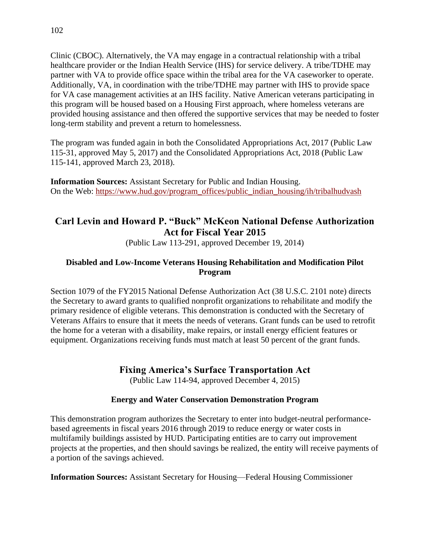Clinic (CBOC). Alternatively, the VA may engage in a contractual relationship with a tribal healthcare provider or the Indian Health Service (IHS) for service delivery. A tribe/TDHE may partner with VA to provide office space within the tribal area for the VA caseworker to operate. Additionally, VA, in coordination with the tribe/TDHE may partner with IHS to provide space for VA case management activities at an IHS facility. Native American veterans participating in this program will be housed based on a Housing First approach, where homeless veterans are provided housing assistance and then offered the supportive services that may be needed to foster long-term stability and prevent a return to homelessness.

The program was funded again in both the Consolidated Appropriations Act, 2017 (Public Law 115-31, approved May 5, 2017) and the Consolidated Appropriations Act, 2018 (Public Law 115-141, approved March 23, 2018).

**Information Sources:** Assistant Secretary for Public and Indian Housing. On the Web: [https://www.hud.gov/program\\_offices/public\\_indian\\_housing/ih/tribalhudvash](https://www.hud.gov/program_offices/public_indian_housing/ih/tribalhudvash)

## **Carl Levin and Howard P. "Buck" McKeon National Defense Authorization Act for Fiscal Year 2015**

(Public Law 113-291, approved December 19, 2014)

## **Disabled and Low-Income Veterans Housing Rehabilitation and Modification Pilot Program**

Section 1079 of the FY2015 National Defense Authorization Act (38 U.S.C. 2101 note) directs the Secretary to award grants to qualified nonprofit organizations to rehabilitate and modify the primary residence of eligible veterans. This demonstration is conducted with the Secretary of Veterans Affairs to ensure that it meets the needs of veterans. Grant funds can be used to retrofit the home for a veteran with a disability, make repairs, or install energy efficient features or equipment. Organizations receiving funds must match at least 50 percent of the grant funds.

## **Fixing America's Surface Transportation Act**

(Public Law 114-94, approved December 4, 2015)

## **Energy and Water Conservation Demonstration Program**

This demonstration program authorizes the Secretary to enter into budget-neutral performancebased agreements in fiscal years 2016 through 2019 to reduce energy or water costs in multifamily buildings assisted by HUD. Participating entities are to carry out improvement projects at the properties, and then should savings be realized, the entity will receive payments of a portion of the savings achieved.

**Information Sources:** Assistant Secretary for Housing—Federal Housing Commissioner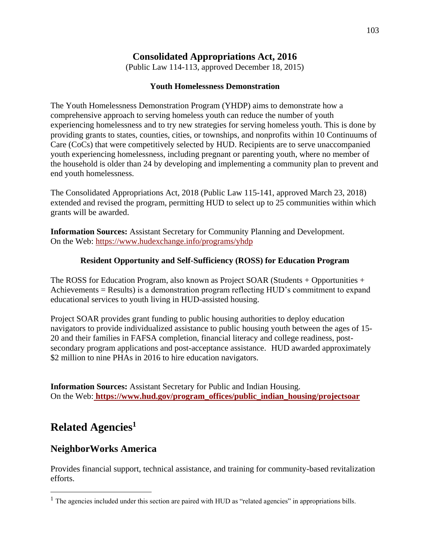## **Consolidated Appropriations Act, 2016**

(Public Law 114-113, approved December 18, 2015)

#### **Youth Homelessness Demonstration**

The Youth Homelessness Demonstration Program (YHDP) aims to demonstrate how a comprehensive approach to serving homeless youth can reduce the number of youth experiencing homelessness and to try new strategies for serving homeless youth. This is done by providing grants to states, counties, cities, or townships, and nonprofits within 10 Continuums of Care (CoCs) that were competitively selected by HUD. Recipients are to serve unaccompanied youth experiencing homelessness, including pregnant or parenting youth, where no member of the household is older than 24 by developing and implementing a community plan to prevent and end youth homelessness.

The Consolidated Appropriations Act, 2018 (Public Law 115-141, approved March 23, 2018) extended and revised the program, permitting HUD to select up to 25 communities within which grants will be awarded.

**Information Sources:** Assistant Secretary for Community Planning and Development. On the Web:<https://www.hudexchange.info/programs/yhdp>

### **Resident Opportunity and Self-Sufficiency (ROSS) for Education Program**

The ROSS for Education Program, also known as Project SOAR (Students + Opportunities + Achievements = Results) is a demonstration program reflecting HUD's commitment to expand educational services to youth living in HUD-assisted housing.

Project SOAR provides grant funding to public housing authorities to deploy education navigators to provide individualized assistance to public housing youth between the ages of 15- 20 and their families in FAFSA completion, financial literacy and college readiness, postsecondary program applications and post-acceptance assistance. HUD awarded approximately \$2 million to nine PHAs in 2016 to hire education navigators.

**Information Sources:** Assistant Secretary for Public and Indian Housing. On the Web: **[https://www.hud.gov/program\\_offices/public\\_indian\\_housing/projectsoar](https://www.hud.gov/program_offices/public_indian_housing/projectsoar)**

# **Related Agencies<sup>1</sup>**

 $\overline{a}$ 

## **NeighborWorks America**

Provides financial support, technical assistance, and training for community-based revitalization efforts.

<sup>&</sup>lt;sup>1</sup> The agencies included under this section are paired with HUD as "related agencies" in appropriations bills.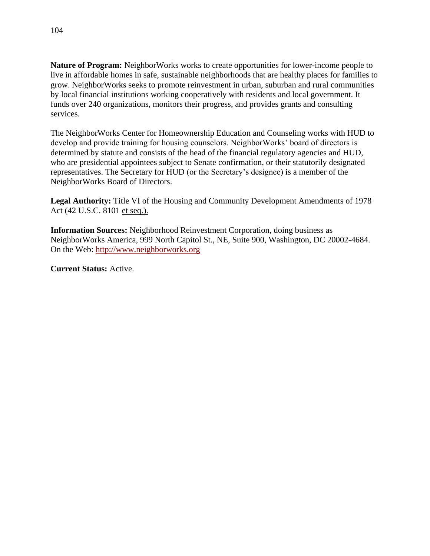**Nature of Program:** NeighborWorks works to create opportunities for lower-income people to live in affordable homes in safe, sustainable neighborhoods that are healthy places for families to grow. NeighborWorks seeks to promote reinvestment in urban, suburban and rural communities by local financial institutions working cooperatively with residents and local government. It funds over 240 organizations, monitors their progress, and provides grants and consulting services.

The NeighborWorks Center for Homeownership Education and Counseling works with HUD to develop and provide training for housing counselors. NeighborWorks' board of directors is determined by statute and consists of the head of the financial regulatory agencies and HUD, who are presidential appointees subject to Senate confirmation, or their statutorily designated representatives. The Secretary for HUD (or the Secretary's designee) is a member of the NeighborWorks Board of Directors.

**Legal Authority:** Title VI of the Housing and Community Development Amendments of 1978 Act (42 U.S.C. 8101 et seq.).

**Information Sources:** Neighborhood Reinvestment Corporation, doing business as NeighborWorks America, 999 North Capitol St., NE, Suite 900, Washington, DC 20002-4684. On the Web: [http://www.neighborworks.org](http://www.neighborworks.org/)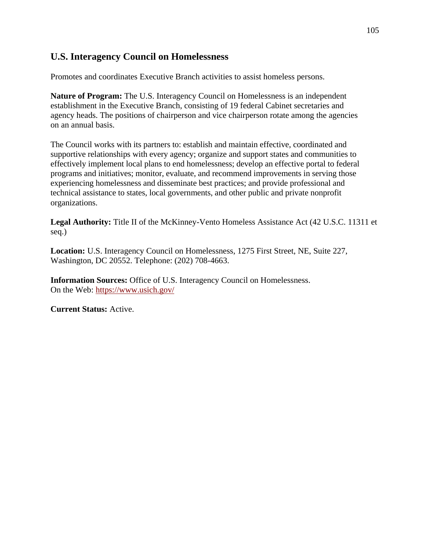## **U.S. Interagency Council on Homelessness**

Promotes and coordinates Executive Branch activities to assist homeless persons.

**Nature of Program:** The U.S. Interagency Council on Homelessness is an independent establishment in the Executive Branch, consisting of 19 federal Cabinet secretaries and agency heads. The positions of chairperson and vice chairperson rotate among the agencies on an annual basis.

The Council works with its partners to: establish and maintain effective, coordinated and supportive relationships with every agency; organize and support states and communities to effectively implement local plans to end homelessness; develop an effective portal to federal programs and initiatives; monitor, evaluate, and recommend improvements in serving those experiencing homelessness and disseminate best practices; and provide professional and technical assistance to states, local governments, and other public and private nonprofit organizations.

**Legal Authority:** Title II of the McKinney-Vento Homeless Assistance Act (42 U.S.C. 11311 et seq.)

**Location:** U.S. Interagency Council on Homelessness, 1275 First Street, NE, Suite 227, Washington, DC 20552. Telephone: (202) 708-4663.

**Information Sources:** Office of U.S. Interagency Council on Homelessness. On the Web:<https://www.usich.gov/>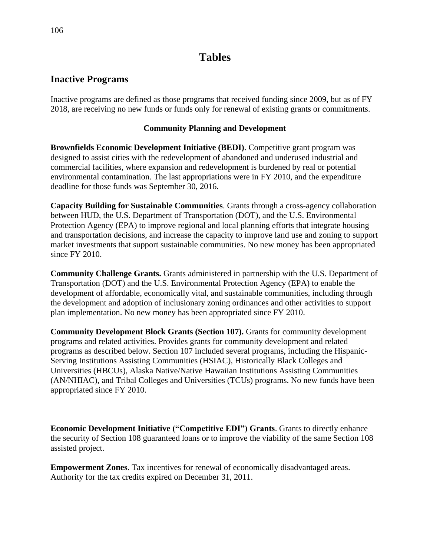# **Tables**

## **Inactive Programs**

Inactive programs are defined as those programs that received funding since 2009, but as of FY 2018, are receiving no new funds or funds only for renewal of existing grants or commitments.

### **Community Planning and Development**

**Brownfields Economic Development Initiative (BEDI)**. Competitive grant program was designed to assist cities with the redevelopment of abandoned and underused industrial and commercial facilities, where expansion and redevelopment is burdened by real or potential environmental contamination. The last appropriations were in FY 2010, and the expenditure deadline for those funds was September 30, 2016.

**Capacity Building for Sustainable Communities**. Grants through a cross-agency collaboration between HUD, the U.S. Department of Transportation (DOT), and the U.S. Environmental Protection Agency (EPA) to improve regional and local planning efforts that integrate housing and transportation decisions, and increase the capacity to improve land use and zoning to support market investments that support sustainable communities. No new money has been appropriated since FY 2010.

**Community Challenge Grants.** Grants administered in partnership with the U.S. Department of Transportation (DOT) and the U.S. Environmental Protection Agency (EPA) to enable the development of affordable, economically vital, and sustainable communities, including through the development and adoption of inclusionary zoning ordinances and other activities to support plan implementation. No new money has been appropriated since FY 2010.

**Community Development Block Grants (Section 107).** Grants for community development programs and related activities. Provides grants for community development and related programs as described below. Section 107 included several programs, including the Hispanic-Serving Institutions Assisting Communities (HSIAC), Historically Black Colleges and Universities (HBCUs), Alaska Native/Native Hawaiian Institutions Assisting Communities (AN/NHIAC), and Tribal Colleges and Universities (TCUs) programs. No new funds have been appropriated since FY 2010.

**Economic Development Initiative ("Competitive EDI") Grants**. Grants to directly enhance the security of Section 108 guaranteed loans or to improve the viability of the same Section 108 assisted project.

**Empowerment Zones**. Tax incentives for renewal of economically disadvantaged areas. Authority for the tax credits expired on December 31, 2011.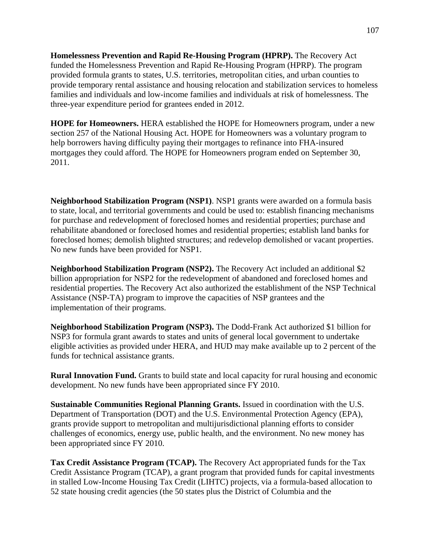**Homelessness Prevention and Rapid Re-Housing Program (HPRP).** The Recovery Act funded the Homelessness Prevention and Rapid Re-Housing Program (HPRP). The program provided formula grants to states, U.S. territories, metropolitan cities, and urban counties to provide temporary rental assistance and housing relocation and stabilization services to homeless families and individuals and low-income families and individuals at risk of homelessness. The three-year expenditure period for grantees ended in 2012.

**HOPE for Homeowners.** HERA established the HOPE for Homeowners program, under a new section 257 of the National Housing Act. HOPE for Homeowners was a voluntary program to help borrowers having difficulty paying their mortgages to refinance into FHA-insured mortgages they could afford. The HOPE for Homeowners program ended on September 30, 2011.

**Neighborhood Stabilization Program (NSP1)**. NSP1 grants were awarded on a formula basis to state, local, and territorial governments and could be used to: establish financing mechanisms for purchase and redevelopment of foreclosed homes and residential properties; purchase and rehabilitate abandoned or foreclosed homes and residential properties; establish land banks for foreclosed homes; demolish blighted structures; and redevelop demolished or vacant properties. No new funds have been provided for NSP1.

**Neighborhood Stabilization Program (NSP2).** The Recovery Act included an additional \$2 billion appropriation for NSP2 for the redevelopment of abandoned and foreclosed homes and residential properties. The Recovery Act also authorized the establishment of the NSP Technical Assistance (NSP-TA) program to improve the capacities of NSP grantees and the implementation of their programs.

**Neighborhood Stabilization Program (NSP3).** The Dodd-Frank Act authorized \$1 billion for NSP3 for formula grant awards to states and units of general local government to undertake eligible activities as provided under HERA, and HUD may make available up to 2 percent of the funds for technical assistance grants.

**Rural Innovation Fund.** Grants to build state and local capacity for rural housing and economic development. No new funds have been appropriated since FY 2010.

**Sustainable Communities Regional Planning Grants.** Issued in coordination with the U.S. Department of Transportation (DOT) and the U.S. Environmental Protection Agency (EPA), grants provide support to metropolitan and multijurisdictional planning efforts to consider challenges of economics, energy use, public health, and the environment. No new money has been appropriated since FY 2010.

**Tax Credit Assistance Program (TCAP).** The Recovery Act appropriated funds for the Tax Credit Assistance Program (TCAP), a grant program that provided funds for capital investments in stalled Low-Income Housing Tax Credit (LIHTC) projects, via a formula-based allocation to 52 state housing credit agencies (the 50 states plus the District of Columbia and the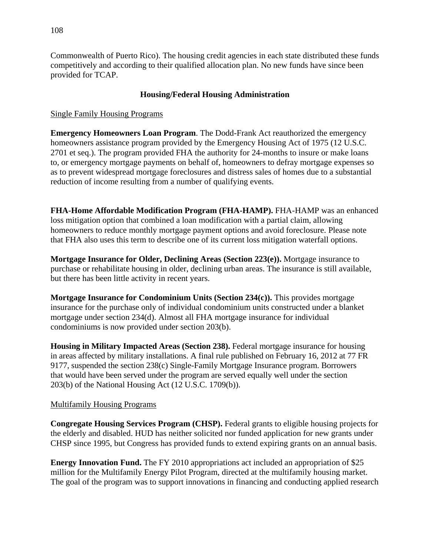Commonwealth of Puerto Rico). The housing credit agencies in each state distributed these funds competitively and according to their qualified allocation plan. No new funds have since been provided for TCAP.

# **Housing/Federal Housing Administration**

# Single Family Housing Programs

**Emergency Homeowners Loan Program**. The Dodd-Frank Act reauthorized the emergency homeowners assistance program provided by the Emergency Housing Act of 1975 (12 U.S.C. 2701 et seq.). The program provided FHA the authority for 24-months to insure or make loans to, or emergency mortgage payments on behalf of, homeowners to defray mortgage expenses so as to prevent widespread mortgage foreclosures and distress sales of homes due to a substantial reduction of income resulting from a number of qualifying events.

**FHA-Home Affordable Modification Program (FHA-HAMP).** FHA-HAMP was an enhanced loss mitigation option that combined a loan modification with a partial claim, allowing homeowners to reduce monthly mortgage payment options and avoid foreclosure. Please note that FHA also uses this term to describe one of its current loss mitigation waterfall options.

**Mortgage Insurance for Older, Declining Areas (Section 223(e)).** Mortgage insurance to purchase or rehabilitate housing in older, declining urban areas. The insurance is still available, but there has been little activity in recent years.

**Mortgage Insurance for Condominium Units (Section 234(c)).** This provides mortgage insurance for the purchase only of individual condominium units constructed under a blanket mortgage under section 234(d). Almost all FHA mortgage insurance for individual condominiums is now provided under section 203(b).

**Housing in Military Impacted Areas (Section 238).** Federal mortgage insurance for housing in areas affected by military installations. A final rule published on February 16, 2012 at 77 FR 9177, suspended the section 238(c) Single-Family Mortgage Insurance program. Borrowers that would have been served under the program are served equally well under the section 203(b) of the National Housing Act (12 U.S.C. 1709(b)).

#### Multifamily Housing Programs

**Congregate Housing Services Program (CHSP).** Federal grants to eligible housing projects for the elderly and disabled. HUD has neither solicited nor funded application for new grants under CHSP since 1995, but Congress has provided funds to extend expiring grants on an annual basis.

**Energy Innovation Fund.** The FY 2010 appropriations act included an appropriation of \$25 million for the Multifamily Energy Pilot Program, directed at the multifamily housing market. The goal of the program was to support innovations in financing and conducting applied research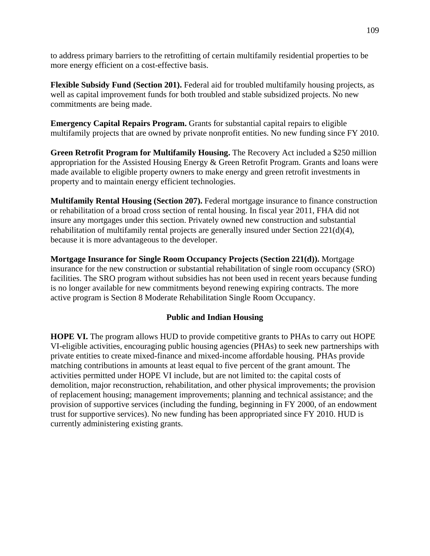to address primary barriers to the retrofitting of certain multifamily residential properties to be more energy efficient on a cost-effective basis.

**Flexible Subsidy Fund (Section 201).** Federal aid for troubled multifamily housing projects, as well as capital improvement funds for both troubled and stable subsidized projects. No new commitments are being made.

**Emergency Capital Repairs Program.** Grants for substantial capital repairs to eligible multifamily projects that are owned by private nonprofit entities. No new funding since FY 2010.

**Green Retrofit Program for Multifamily Housing.** The Recovery Act included a \$250 million appropriation for the Assisted Housing Energy & Green Retrofit Program. Grants and loans were made available to eligible property owners to make energy and green retrofit investments in property and to maintain energy efficient technologies.

**Multifamily Rental Housing (Section 207).** Federal mortgage insurance to finance construction or rehabilitation of a broad cross section of rental housing. In fiscal year 2011, FHA did not insure any mortgages under this section. Privately owned new construction and substantial rehabilitation of multifamily rental projects are generally insured under Section 221(d)(4), because it is more advantageous to the developer.

**Mortgage Insurance for Single Room Occupancy Projects (Section 221(d)).** Mortgage insurance for the new construction or substantial rehabilitation of single room occupancy (SRO) facilities. The SRO program without subsidies has not been used in recent years because funding is no longer available for new commitments beyond renewing expiring contracts. The more active program is Section 8 Moderate Rehabilitation Single Room Occupancy.

#### **Public and Indian Housing**

**HOPE VI.** The program allows HUD to provide competitive grants to PHAs to carry out HOPE VI-eligible activities, encouraging public housing agencies (PHAs) to seek new partnerships with private entities to create mixed-finance and mixed-income affordable housing. PHAs provide matching contributions in amounts at least equal to five percent of the grant amount. The activities permitted under HOPE VI include, but are not limited to: the capital costs of demolition, major reconstruction, rehabilitation, and other physical improvements; the provision of replacement housing; management improvements; planning and technical assistance; and the provision of supportive services (including the funding, beginning in FY 2000, of an endowment trust for supportive services). No new funding has been appropriated since FY 2010. HUD is currently administering existing grants.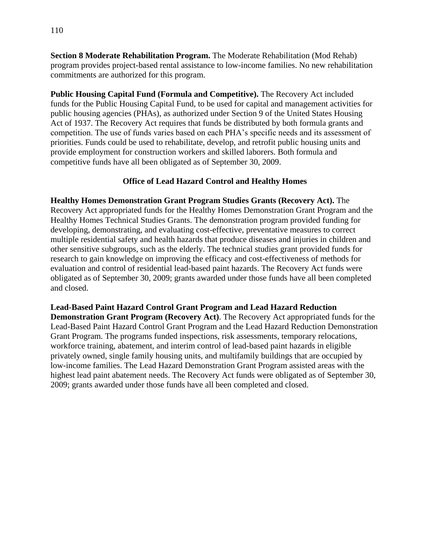**Section 8 Moderate Rehabilitation Program.** The Moderate Rehabilitation (Mod Rehab) program provides project-based rental assistance to low-income families. No new rehabilitation commitments are authorized for this program.

**Public Housing Capital Fund (Formula and Competitive).** The Recovery Act included funds for the Public Housing Capital Fund, to be used for capital and management activities for public housing agencies (PHAs), as authorized under Section 9 of the United States Housing Act of 1937. The Recovery Act requires that funds be distributed by both formula grants and competition. The use of funds varies based on each PHA's specific needs and its assessment of priorities. Funds could be used to rehabilitate, develop, and retrofit public housing units and provide employment for construction workers and skilled laborers. Both formula and competitive funds have all been obligated as of September 30, 2009.

# **Office of Lead Hazard Control and Healthy Homes**

**Healthy Homes Demonstration Grant Program Studies Grants (Recovery Act).** The Recovery Act appropriated funds for the Healthy Homes Demonstration Grant Program and the Healthy Homes Technical Studies Grants. The demonstration program provided funding for developing, demonstrating, and evaluating cost-effective, preventative measures to correct multiple residential safety and health hazards that produce diseases and injuries in children and other sensitive subgroups, such as the elderly. The technical studies grant provided funds for research to gain knowledge on improving the efficacy and cost-effectiveness of methods for evaluation and control of residential lead-based paint hazards. The Recovery Act funds were obligated as of September 30, 2009; grants awarded under those funds have all been completed and closed.

**Lead-Based Paint Hazard Control Grant Program and Lead Hazard Reduction Demonstration Grant Program (Recovery Act)**. The Recovery Act appropriated funds for the Lead-Based Paint Hazard Control Grant Program and the Lead Hazard Reduction Demonstration Grant Program. The programs funded inspections, risk assessments, temporary relocations, workforce training, abatement, and interim control of lead-based paint hazards in eligible privately owned, single family housing units, and multifamily buildings that are occupied by low-income families. The Lead Hazard Demonstration Grant Program assisted areas with the highest lead paint abatement needs. The Recovery Act funds were obligated as of September 30, 2009; grants awarded under those funds have all been completed and closed.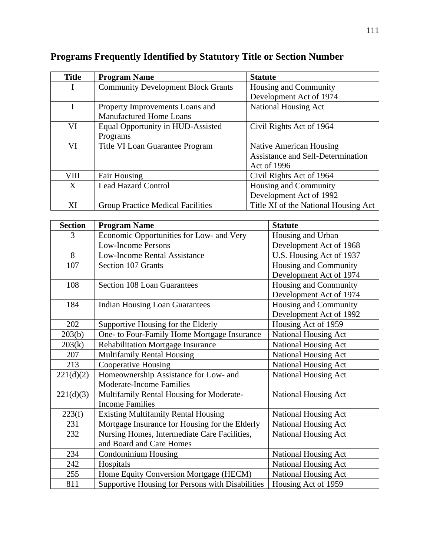| <b>Title</b> | <b>Program Name</b>                       | <b>Statute</b>                           |
|--------------|-------------------------------------------|------------------------------------------|
|              | <b>Community Development Block Grants</b> | Housing and Community                    |
|              |                                           | Development Act of 1974                  |
| T            | Property Improvements Loans and           | <b>National Housing Act</b>              |
|              | <b>Manufactured Home Loans</b>            |                                          |
| VI           | Equal Opportunity in HUD-Assisted         | Civil Rights Act of 1964                 |
|              | Programs                                  |                                          |
| VI           | Title VI Loan Guarantee Program           | <b>Native American Housing</b>           |
|              |                                           | <b>Assistance and Self-Determination</b> |
|              |                                           | Act of 1996                              |
| <b>VIII</b>  | <b>Fair Housing</b>                       | Civil Rights Act of 1964                 |
| X            | <b>Lead Hazard Control</b>                | Housing and Community                    |
|              |                                           | Development Act of 1992                  |
| XI           | <b>Group Practice Medical Facilities</b>  | Title XI of the National Housing Act     |

# **Programs Frequently Identified by Statutory Title or Section Number**

| <b>Section</b> | <b>Program Name</b>                              | <b>Statute</b>              |
|----------------|--------------------------------------------------|-----------------------------|
| 3              | Economic Opportunities for Low- and Very         | Housing and Urban           |
|                | <b>Low-Income Persons</b>                        | Development Act of 1968     |
| 8              | Low-Income Rental Assistance                     | U.S. Housing Act of 1937    |
| 107            | Section 107 Grants                               | Housing and Community       |
|                |                                                  | Development Act of 1974     |
| 108            | <b>Section 108 Loan Guarantees</b>               | Housing and Community       |
|                |                                                  | Development Act of 1974     |
| 184            | <b>Indian Housing Loan Guarantees</b>            | Housing and Community       |
|                |                                                  | Development Act of 1992     |
| 202            | Supportive Housing for the Elderly               | Housing Act of 1959         |
| 203(b)         | One- to Four-Family Home Mortgage Insurance      | <b>National Housing Act</b> |
| 203(k)         | <b>Rehabilitation Mortgage Insurance</b>         | <b>National Housing Act</b> |
| 207            | <b>Multifamily Rental Housing</b>                | National Housing Act        |
| 213            | <b>Cooperative Housing</b>                       | National Housing Act        |
| 221(d)(2)      | Homeownership Assistance for Low- and            | <b>National Housing Act</b> |
|                | <b>Moderate-Income Families</b>                  |                             |
| 221(d)(3)      | Multifamily Rental Housing for Moderate-         | <b>National Housing Act</b> |
|                | <b>Income Families</b>                           |                             |
| 223(f)         | <b>Existing Multifamily Rental Housing</b>       | National Housing Act        |
| 231            | Mortgage Insurance for Housing for the Elderly   | National Housing Act        |
| 232            | Nursing Homes, Intermediate Care Facilities,     | National Housing Act        |
|                | and Board and Care Homes                         |                             |
| 234            | Condominium Housing                              | National Housing Act        |
| 242            | Hospitals                                        | <b>National Housing Act</b> |
| 255            | Home Equity Conversion Mortgage (HECM)           | National Housing Act        |
| 811            | Supportive Housing for Persons with Disabilities | Housing Act of 1959         |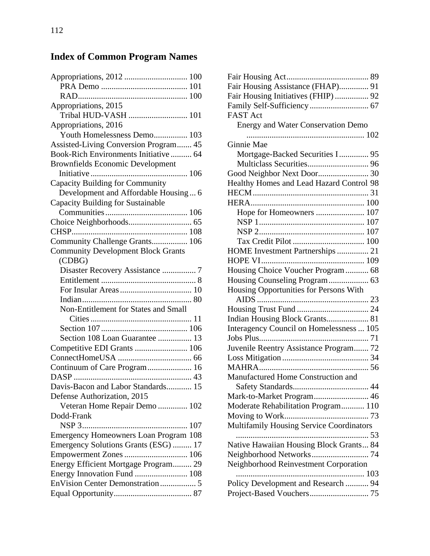# **Index of Common Program Names**

| Appropriations, 2015                      |
|-------------------------------------------|
| Tribal HUD-VASH  101                      |
| Appropriations, 2016                      |
| Youth Homelessness Demo 103               |
| Assisted-Living Conversion Program 45     |
| Book-Rich Environments Initiative  64     |
| <b>Brownfields Economic Development</b>   |
|                                           |
| Capacity Building for Community           |
| Development and Affordable Housing 6      |
| <b>Capacity Building for Sustainable</b>  |
|                                           |
|                                           |
|                                           |
| Community Challenge Grants 106            |
| <b>Community Development Block Grants</b> |
| (CDBG)                                    |
| Disaster Recovery Assistance  7           |
|                                           |
|                                           |
|                                           |
| Non-Entitlement for States and Small      |
|                                           |
|                                           |
| Section 108 Loan Guarantee  13            |
|                                           |
|                                           |
| Continuum of Care Program 16              |
|                                           |
| Davis-Bacon and Labor Standards 15        |
| Defense Authorization, 2015               |
| Veteran Home Repair Demo  102             |
| Dodd-Frank                                |
|                                           |
| Emergency Homeowners Loan Program 108     |
| Emergency Solutions Grants (ESG)  17      |
| Empowerment Zones  106                    |
| Energy Efficient Mortgage Program 29      |
| Energy Innovation Fund  108               |
| EnVision Center Demonstration 5           |
|                                           |
|                                           |

| Fair Housing Assistance (FHAP) 91         |
|-------------------------------------------|
| Fair Housing Initiatives (FHIP)  92       |
|                                           |
| <b>FAST Act</b>                           |
| <b>Energy and Water Conservation Demo</b> |
|                                           |
| Ginnie Mae                                |
| Mortgage-Backed Securities I  95          |
|                                           |
|                                           |
| Healthy Homes and Lead Hazard Control 98  |
|                                           |
|                                           |
| Hope for Homeowners  107                  |
|                                           |
|                                           |
|                                           |
| HOME Investment Partnerships  21          |
|                                           |
| Housing Choice Voucher Program  68        |
|                                           |
| Housing Opportunities for Persons With    |
|                                           |
|                                           |
|                                           |
| Interagency Council on Homelessness  105  |
|                                           |
| Juvenile Reentry Assistance Program 72    |
|                                           |
|                                           |
| Manufactured Home Construction and        |
| .44                                       |
| Mark-to-Market Program 46                 |
| Moderate Rehabilitation Program 110       |
|                                           |
| Multifamily Housing Service Coordinators  |
| 53<br>                                    |
| Native Hawaiian Housing Block Grants 84   |
|                                           |
| Neighborhood Reinvestment Corporation     |
|                                           |
| Policy Development and Research  94       |
|                                           |
|                                           |